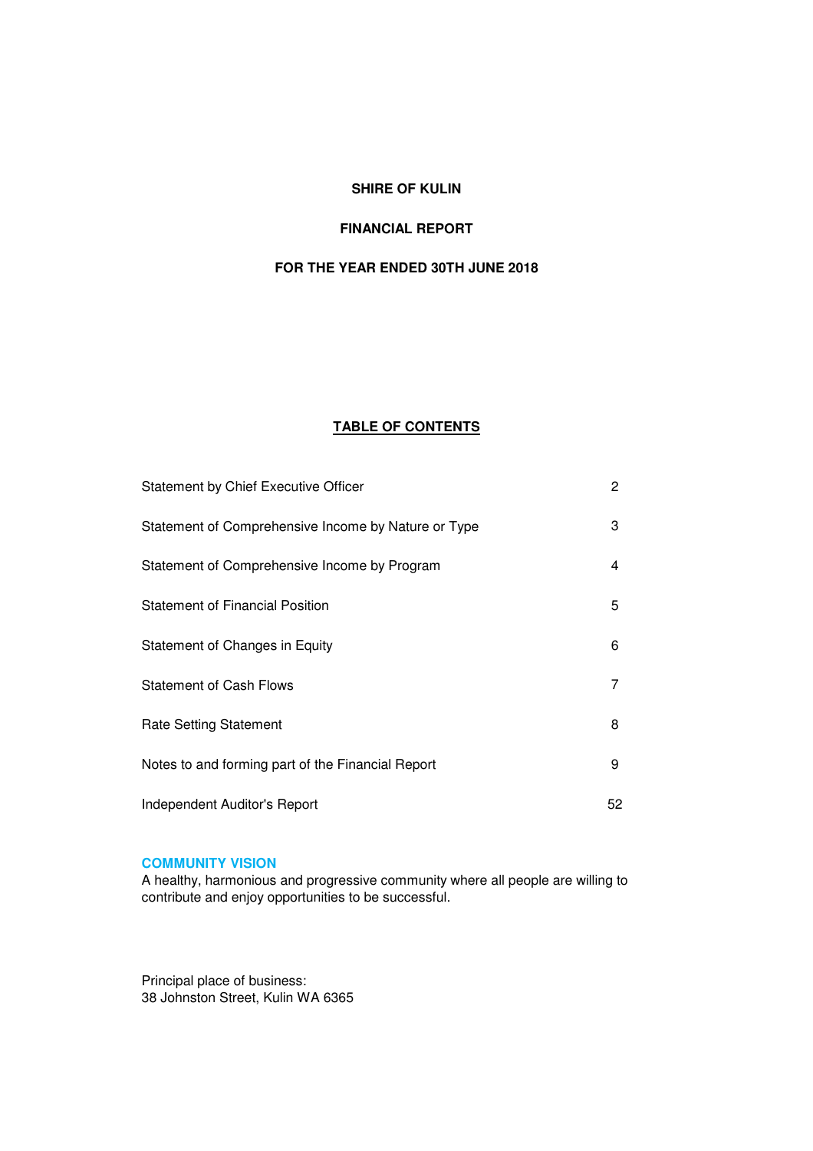## **SHIRE OF KULIN**

# **FINANCIAL REPORT**

# **FOR THE YEAR ENDED 30TH JUNE 2018**

# **TABLE OF CONTENTS**

| Statement by Chief Executive Officer                | $\overline{2}$ |
|-----------------------------------------------------|----------------|
| Statement of Comprehensive Income by Nature or Type | 3              |
| Statement of Comprehensive Income by Program        | 4              |
| <b>Statement of Financial Position</b>              | 5              |
| Statement of Changes in Equity                      | 6              |
| <b>Statement of Cash Flows</b>                      | 7              |
| <b>Rate Setting Statement</b>                       | 8              |
| Notes to and forming part of the Financial Report   | 9              |
| Independent Auditor's Report                        | 52             |

## **COMMUNITY VISION**

A healthy, harmonious and progressive community where all people are willing to contribute and enjoy opportunities to be successful.

Principal place of business: 38 Johnston Street, Kulin WA 6365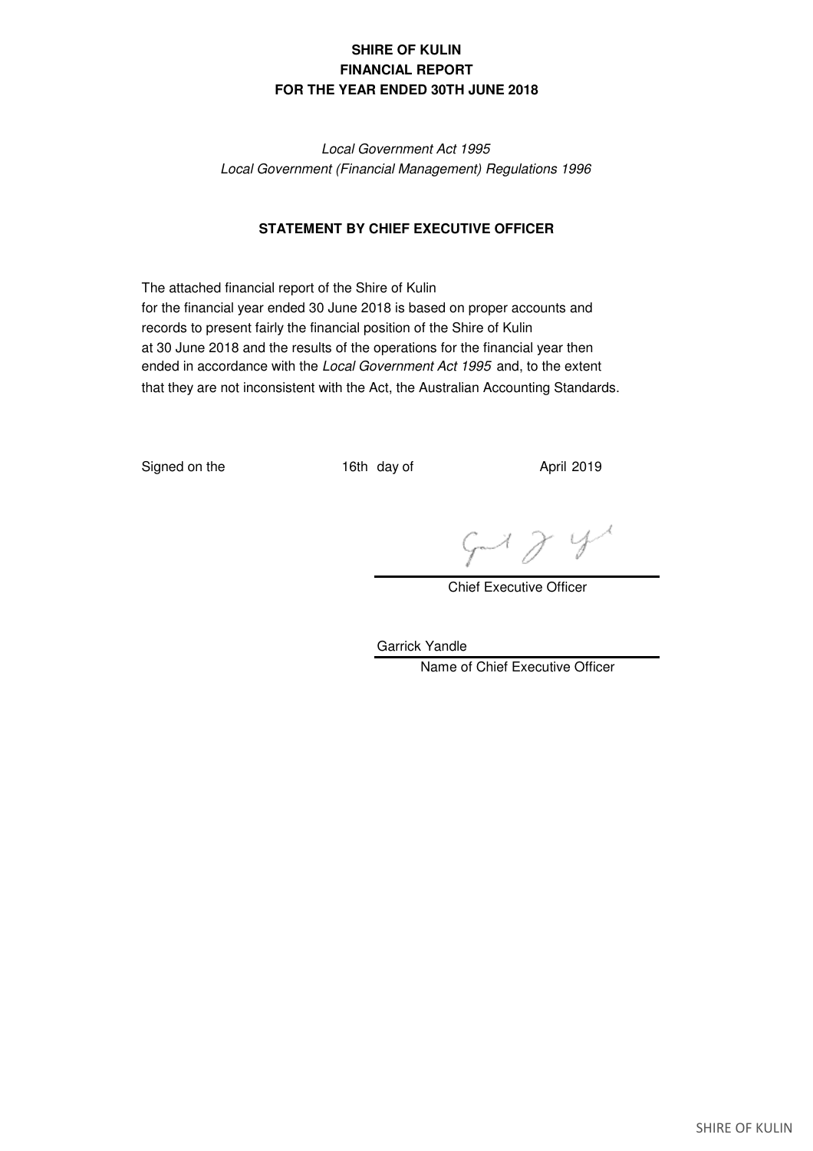# **SHIRE OF KULIN FINANCIAL REPORT FOR THE YEAR ENDED 30TH JUNE 2018**

*Local Government Act 1995 Local Government (Financial Management) Regulations 1996*

## **STATEMENT BY CHIEF EXECUTIVE OFFICER**

The attached financial report of the Shire of Kulin for the financial year ended 30 June 2018 is based on proper accounts and records to present fairly the financial position of the Shire of Kulin at 30 June 2018 and the results of the operations for the financial year then ended in accordance with the *Local Government Act 1995* and, to the extent that they are not inconsistent with the Act, the Australian Accounting Standards.

Signed on the 16th day of April 2019

 $4184$ 

Chief Executive Officer

Garrick Yandle Name of Chief Executive Officer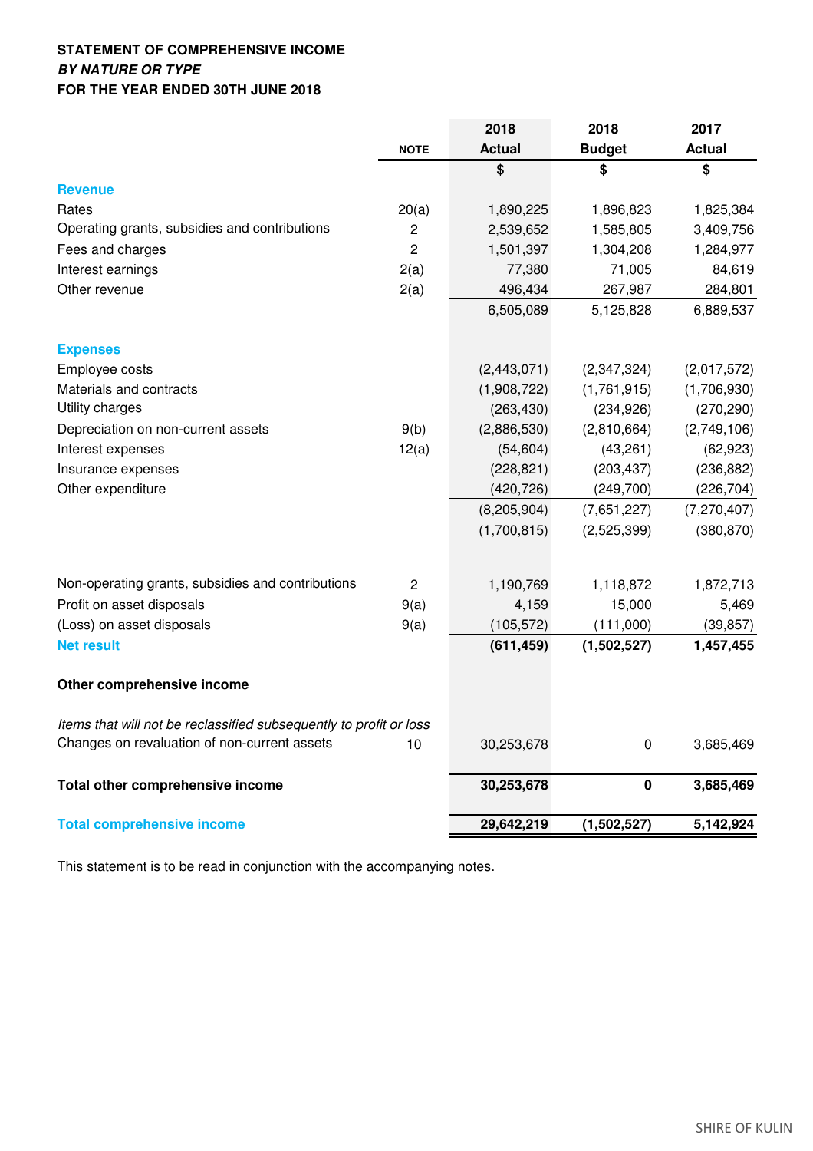# **STATEMENT OF COMPREHENSIVE INCOME BY NATURE OR TYPE FOR THE YEAR ENDED 30TH JUNE 2018**

|                                                                    |                | 2018          | 2018          | 2017          |
|--------------------------------------------------------------------|----------------|---------------|---------------|---------------|
|                                                                    | <b>NOTE</b>    | <b>Actual</b> | <b>Budget</b> | <b>Actual</b> |
|                                                                    |                | \$            | \$            | \$            |
| <b>Revenue</b>                                                     |                |               |               |               |
| Rates                                                              | 20(a)          | 1,890,225     | 1,896,823     | 1,825,384     |
| Operating grants, subsidies and contributions                      | $\overline{c}$ | 2,539,652     | 1,585,805     | 3,409,756     |
| Fees and charges                                                   | $\overline{2}$ | 1,501,397     | 1,304,208     | 1,284,977     |
| Interest earnings                                                  | 2(a)           | 77,380        | 71,005        | 84,619        |
| Other revenue                                                      | 2(a)           | 496,434       | 267,987       | 284,801       |
|                                                                    |                | 6,505,089     | 5,125,828     | 6,889,537     |
| <b>Expenses</b>                                                    |                |               |               |               |
| Employee costs                                                     |                | (2,443,071)   | (2,347,324)   | (2,017,572)   |
| Materials and contracts                                            |                | (1,908,722)   | (1,761,915)   | (1,706,930)   |
| Utility charges                                                    |                | (263, 430)    | (234, 926)    | (270, 290)    |
| Depreciation on non-current assets                                 | 9(b)           | (2,886,530)   | (2,810,664)   | (2,749,106)   |
| Interest expenses                                                  | 12(a)          | (54, 604)     | (43,261)      | (62, 923)     |
| Insurance expenses                                                 |                | (228, 821)    | (203, 437)    | (236, 882)    |
| Other expenditure                                                  |                | (420, 726)    | (249,700)     | (226, 704)    |
|                                                                    |                | (8, 205, 904) | (7,651,227)   | (7, 270, 407) |
|                                                                    |                | (1,700,815)   | (2,525,399)   | (380, 870)    |
|                                                                    |                |               |               |               |
| Non-operating grants, subsidies and contributions                  | $\overline{2}$ | 1,190,769     | 1,118,872     | 1,872,713     |
| Profit on asset disposals                                          | 9(a)           | 4,159         | 15,000        | 5,469         |
| (Loss) on asset disposals                                          | 9(a)           | (105, 572)    | (111,000)     | (39, 857)     |
| <b>Net result</b>                                                  |                | (611, 459)    | (1,502,527)   | 1,457,455     |
| Other comprehensive income                                         |                |               |               |               |
| Items that will not be reclassified subsequently to profit or loss |                |               |               |               |
| Changes on revaluation of non-current assets                       | 10             | 30,253,678    | 0             | 3,685,469     |
| Total other comprehensive income                                   |                | 30,253,678    | $\pmb{0}$     | 3,685,469     |
| <b>Total comprehensive income</b>                                  |                | 29,642,219    | (1,502,527)   | 5,142,924     |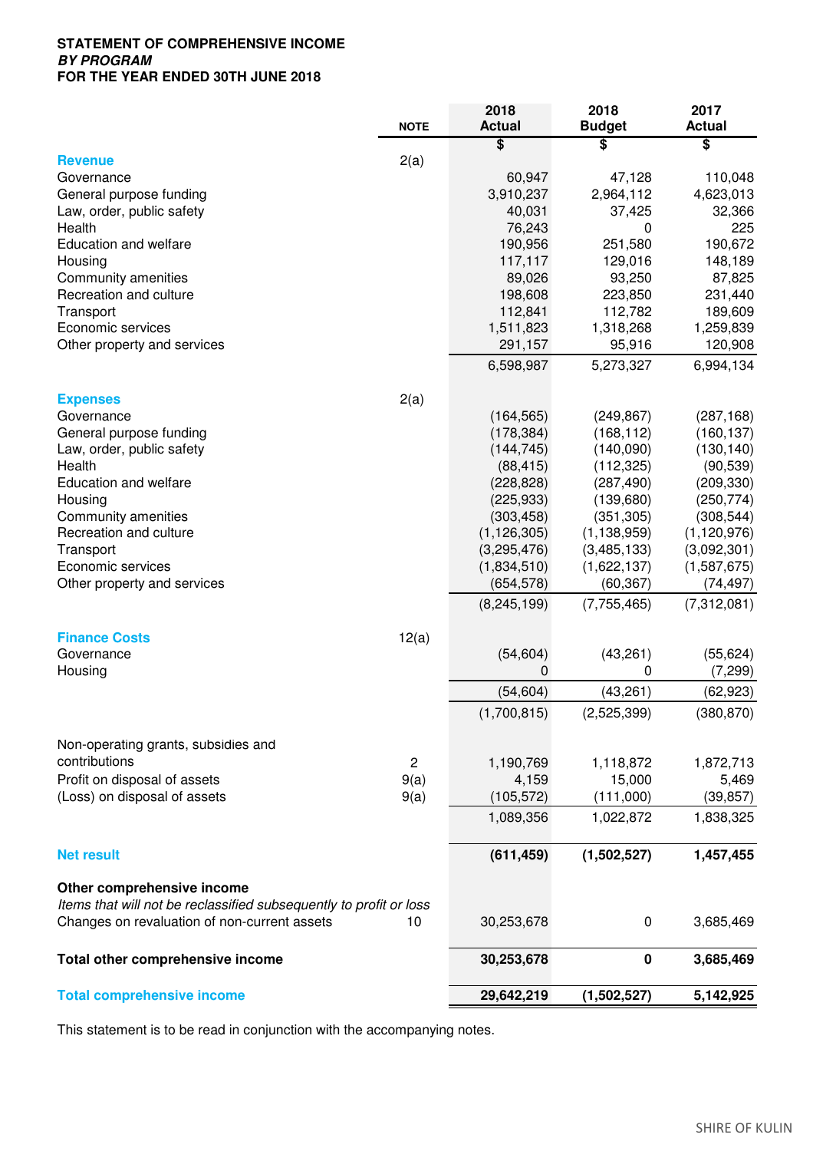## **STATEMENT OF COMPREHENSIVE INCOME BY PROGRAM FOR THE YEAR ENDED 30TH JUNE 2018**

|                                                                    | <b>NOTE</b>    | 2018<br><b>Actual</b> | 2018<br><b>Budget</b> | 2017<br><b>Actual</b> |
|--------------------------------------------------------------------|----------------|-----------------------|-----------------------|-----------------------|
|                                                                    |                | \$                    | \$                    | \$                    |
| <b>Revenue</b>                                                     | 2(a)           |                       |                       |                       |
| Governance                                                         |                | 60,947                | 47,128                | 110,048               |
| General purpose funding                                            |                | 3,910,237             | 2,964,112             | 4,623,013             |
| Law, order, public safety                                          |                | 40,031                | 37,425                | 32,366                |
| Health                                                             |                | 76,243                | 0                     | 225                   |
| Education and welfare                                              |                | 190,956               | 251,580               | 190,672               |
| Housing                                                            |                | 117,117               | 129,016               | 148,189               |
| Community amenities                                                |                | 89,026                | 93,250                | 87,825                |
| Recreation and culture                                             |                | 198,608               | 223,850               | 231,440               |
| Transport                                                          |                | 112,841               | 112,782               | 189,609               |
| Economic services                                                  |                | 1,511,823             | 1,318,268             | 1,259,839             |
| Other property and services                                        |                | 291,157               | 95,916                | 120,908               |
|                                                                    |                | 6,598,987             | 5,273,327             | 6,994,134             |
| <b>Expenses</b>                                                    | 2(a)           |                       |                       |                       |
| Governance                                                         |                | (164, 565)            | (249, 867)            | (287, 168)            |
| General purpose funding                                            |                | (178, 384)            | (168, 112)            | (160, 137)            |
| Law, order, public safety                                          |                | (144, 745)            | (140,090)             | (130, 140)            |
| Health                                                             |                | (88, 415)             | (112, 325)            | (90, 539)             |
| Education and welfare                                              |                | (228, 828)            | (287, 490)            | (209, 330)            |
| Housing                                                            |                | (225, 933)            | (139,680)             | (250, 774)            |
| Community amenities                                                |                | (303, 458)            | (351, 305)            | (308, 544)            |
| Recreation and culture                                             |                | (1, 126, 305)         | (1, 138, 959)         | (1, 120, 976)         |
| Transport                                                          |                | (3,295,476)           | (3,485,133)           | (3,092,301)           |
| Economic services                                                  |                | (1,834,510)           | (1,622,137)           | (1,587,675)           |
| Other property and services                                        |                | (654, 578)            | (60, 367)             | (74, 497)             |
|                                                                    |                | (8, 245, 199)         | (7, 755, 465)         | (7,312,081)           |
|                                                                    |                |                       |                       |                       |
| <b>Finance Costs</b>                                               | 12(a)          |                       |                       |                       |
| Governance                                                         |                | (54, 604)             | (43, 261)             | (55, 624)             |
| Housing                                                            |                | 0                     | 0                     | (7, 299)              |
|                                                                    |                | (54, 604)             | (43, 261)             | (62, 923)             |
|                                                                    |                | (1,700,815)           | (2,525,399)           | (380, 870)            |
| Non-operating grants, subsidies and                                |                |                       |                       |                       |
| contributions                                                      | $\overline{c}$ | 1,190,769             | 1,118,872             | 1,872,713             |
| Profit on disposal of assets                                       | 9(a)           | 4,159                 | 15,000                | 5,469                 |
| (Loss) on disposal of assets                                       | 9(a)           | (105, 572)            | (111,000)             | (39, 857)             |
|                                                                    |                | 1,089,356             | 1,022,872             | 1,838,325             |
| <b>Net result</b>                                                  |                | (611, 459)            | (1,502,527)           | 1,457,455             |
|                                                                    |                |                       |                       |                       |
| Other comprehensive income                                         |                |                       |                       |                       |
| Items that will not be reclassified subsequently to profit or loss |                |                       |                       |                       |
| Changes on revaluation of non-current assets                       | 10             | 30,253,678            | 0                     | 3,685,469             |
| Total other comprehensive income                                   |                | 30,253,678            | $\pmb{0}$             | 3,685,469             |
| <b>Total comprehensive income</b>                                  |                | 29,642,219            | (1,502,527)           | 5,142,925             |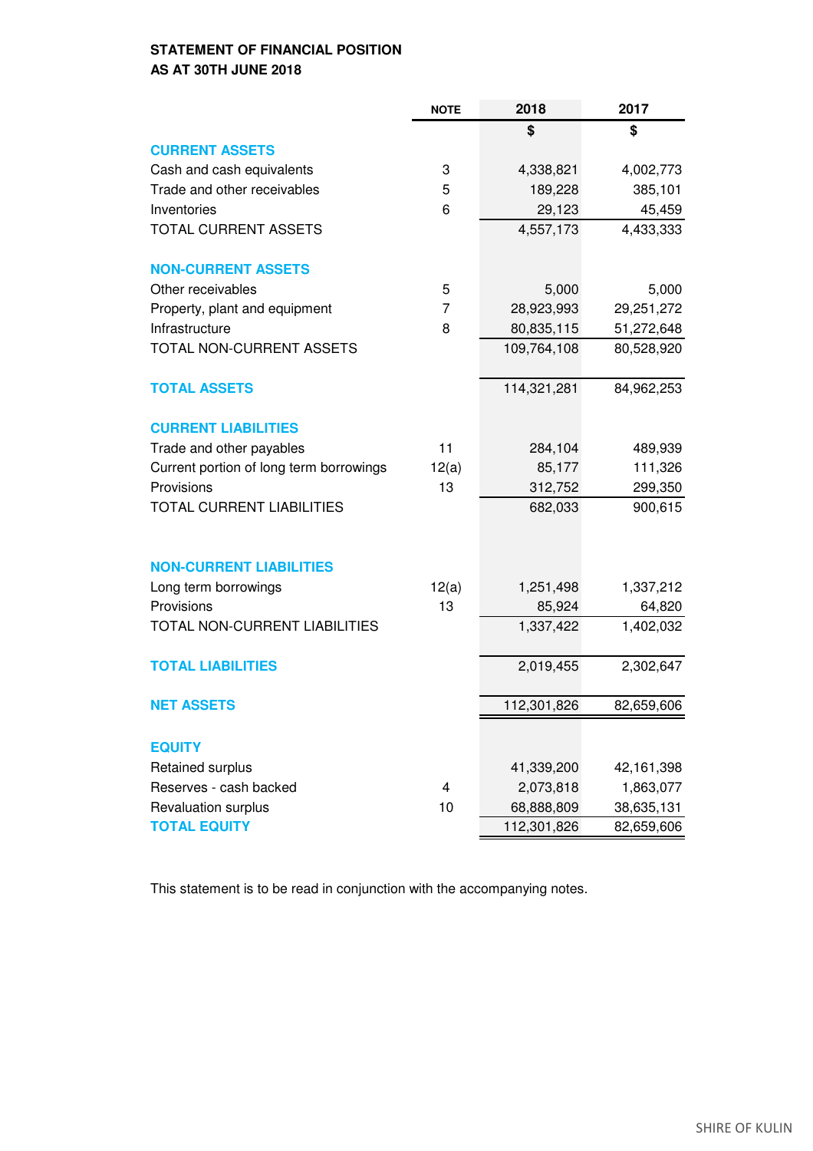# **STATEMENT OF FINANCIAL POSITION AS AT 30TH JUNE 2018**

|                                         | <b>NOTE</b>    | 2018        | 2017         |
|-----------------------------------------|----------------|-------------|--------------|
|                                         |                | \$          | \$           |
| <b>CURRENT ASSETS</b>                   |                |             |              |
| Cash and cash equivalents               | 3              | 4,338,821   | 4,002,773    |
| Trade and other receivables             | 5              | 189,228     | 385,101      |
| Inventories                             | 6              | 29,123      | 45,459       |
| <b>TOTAL CURRENT ASSETS</b>             |                | 4,557,173   | 4,433,333    |
| <b>NON-CURRENT ASSETS</b>               |                |             |              |
| Other receivables                       | 5              | 5,000       | 5,000        |
| Property, plant and equipment           | $\overline{7}$ | 28,923,993  | 29,251,272   |
| Infrastructure                          | 8              | 80,835,115  | 51,272,648   |
| TOTAL NON-CURRENT ASSETS                |                | 109,764,108 | 80,528,920   |
| <b>TOTAL ASSETS</b>                     |                | 114,321,281 | 84,962,253   |
| <b>CURRENT LIABILITIES</b>              |                |             |              |
| Trade and other payables                | 11             | 284,104     | 489,939      |
| Current portion of long term borrowings | 12(a)          | 85,177      | 111,326      |
| Provisions                              | 13             | 312,752     | 299,350      |
| <b>TOTAL CURRENT LIABILITIES</b>        |                | 682,033     | 900,615      |
| <b>NON-CURRENT LIABILITIES</b>          |                |             |              |
| Long term borrowings                    | 12(a)          | 1,251,498   | 1,337,212    |
| Provisions                              | 13             | 85,924      | 64,820       |
| TOTAL NON-CURRENT LIABILITIES           |                | 1,337,422   | 1,402,032    |
| <b>TOTAL LIABILITIES</b>                |                | 2,019,455   | 2,302,647    |
|                                         |                |             |              |
| <b>NET ASSETS</b>                       |                | 112,301,826 | 82,659,606   |
| <b>EQUITY</b>                           |                |             |              |
| Retained surplus                        |                | 41,339,200  | 42, 161, 398 |
| Reserves - cash backed                  | 4              | 2,073,818   | 1,863,077    |
| Revaluation surplus                     | 10             | 68,888,809  | 38,635,131   |
| <b>TOTAL EQUITY</b>                     |                | 112,301,826 | 82,659,606   |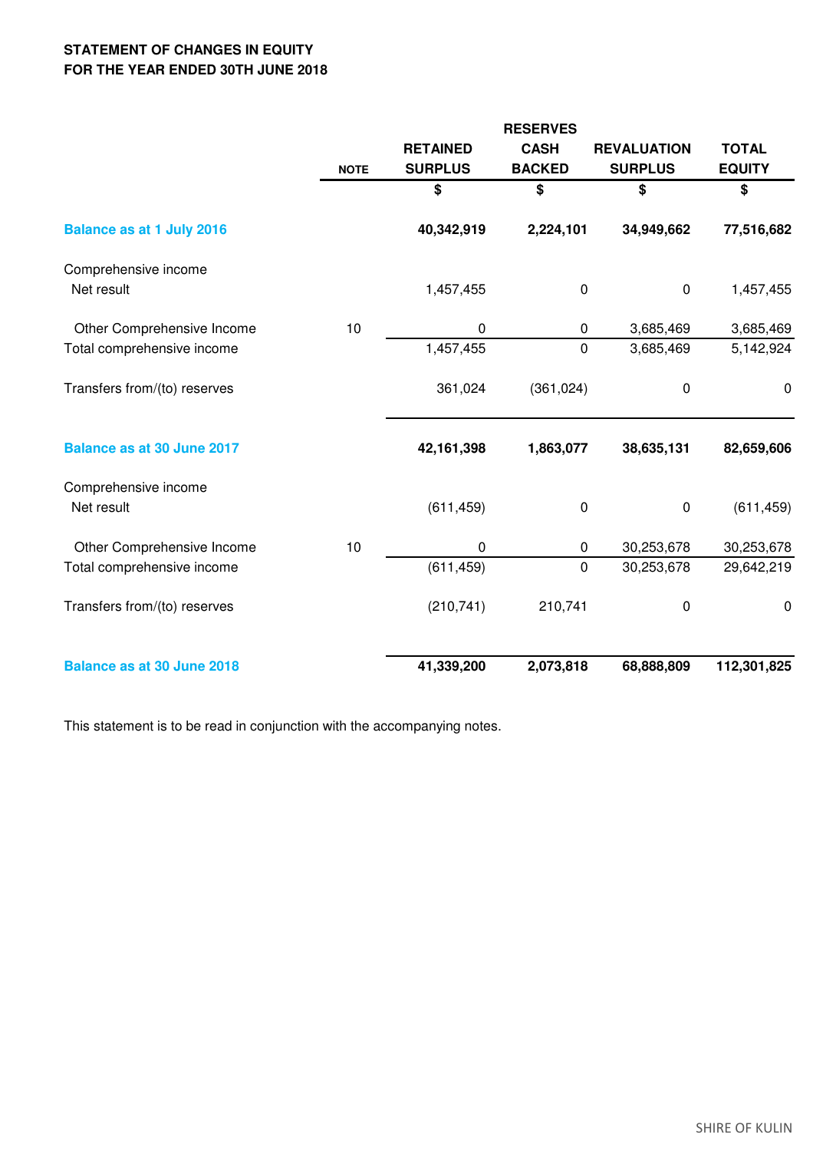# **STATEMENT OF CHANGES IN EQUITY FOR THE YEAR ENDED 30TH JUNE 2018**

|                                    |             |                 | <b>RESERVES</b> |                    |               |
|------------------------------------|-------------|-----------------|-----------------|--------------------|---------------|
|                                    |             | <b>RETAINED</b> | <b>CASH</b>     | <b>REVALUATION</b> | <b>TOTAL</b>  |
|                                    | <b>NOTE</b> | <b>SURPLUS</b>  | <b>BACKED</b>   | <b>SURPLUS</b>     | <b>EQUITY</b> |
|                                    |             | \$              | \$              | \$                 | \$            |
| <b>Balance as at 1 July 2016</b>   |             | 40,342,919      | 2,224,101       | 34,949,662         | 77,516,682    |
| Comprehensive income               |             |                 |                 |                    |               |
| Net result                         |             | 1,457,455       | $\pmb{0}$       | $\pmb{0}$          | 1,457,455     |
| Other Comprehensive Income         | 10          | 0               | 0               | 3,685,469          | 3,685,469     |
| Total comprehensive income         |             | 1,457,455       | 0               | 3,685,469          | 5,142,924     |
| Transfers from/(to) reserves       |             | 361,024         | (361, 024)      | 0                  | 0             |
| <b>Balance as at 30 June 2017</b>  |             | 42,161,398      | 1,863,077       | 38,635,131         | 82,659,606    |
| Comprehensive income<br>Net result |             | (611, 459)      | $\pmb{0}$       | $\pmb{0}$          | (611, 459)    |
| Other Comprehensive Income         | 10          | 0               | 0               | 30,253,678         | 30,253,678    |
| Total comprehensive income         |             | (611, 459)      | $\mathbf 0$     | 30,253,678         | 29,642,219    |
| Transfers from/(to) reserves       |             | (210, 741)      | 210,741         | 0                  | $\mathbf 0$   |
| <b>Balance as at 30 June 2018</b>  |             | 41,339,200      | 2,073,818       | 68,888,809         | 112,301,825   |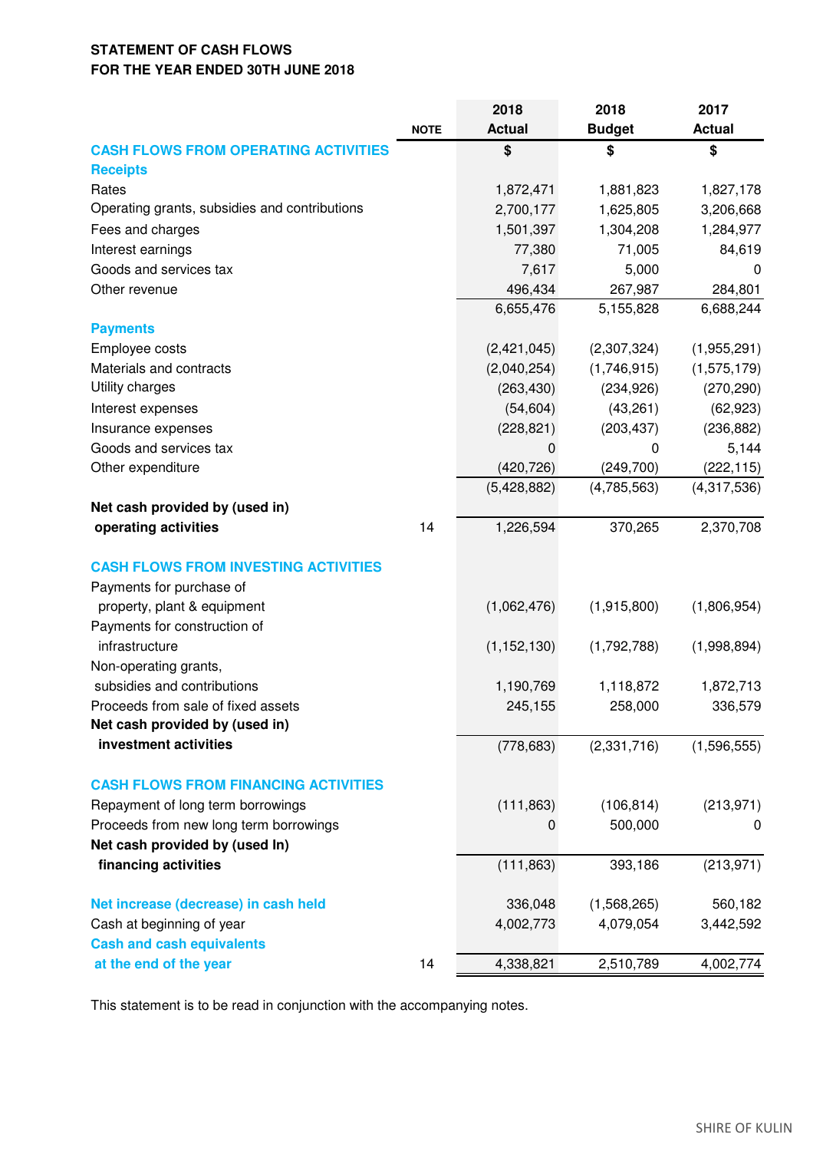# **STATEMENT OF CASH FLOWS FOR THE YEAR ENDED 30TH JUNE 2018**

|                                               |             | 2018          | 2018          | 2017          |
|-----------------------------------------------|-------------|---------------|---------------|---------------|
|                                               | <b>NOTE</b> | <b>Actual</b> | <b>Budget</b> | <b>Actual</b> |
| <b>CASH FLOWS FROM OPERATING ACTIVITIES</b>   |             | \$            | \$            | \$            |
| <b>Receipts</b>                               |             |               |               |               |
| Rates                                         |             | 1,872,471     | 1,881,823     | 1,827,178     |
| Operating grants, subsidies and contributions |             | 2,700,177     | 1,625,805     | 3,206,668     |
| Fees and charges                              |             | 1,501,397     | 1,304,208     | 1,284,977     |
| Interest earnings                             |             | 77,380        | 71,005        | 84,619        |
| Goods and services tax                        |             | 7,617         | 5,000         | 0             |
| Other revenue                                 |             | 496,434       | 267,987       | 284,801       |
|                                               |             | 6,655,476     | 5,155,828     | 6,688,244     |
| <b>Payments</b>                               |             |               |               |               |
| Employee costs                                |             | (2,421,045)   | (2,307,324)   | (1,955,291)   |
| Materials and contracts                       |             | (2,040,254)   | (1,746,915)   | (1, 575, 179) |
| Utility charges                               |             | (263, 430)    | (234, 926)    | (270, 290)    |
| Interest expenses                             |             | (54, 604)     | (43, 261)     | (62, 923)     |
| Insurance expenses                            |             | (228, 821)    | (203, 437)    | (236, 882)    |
| Goods and services tax                        |             | 0             | 0             | 5,144         |
| Other expenditure                             |             | (420, 726)    | (249, 700)    | (222, 115)    |
|                                               |             | (5,428,882)   | (4,785,563)   | (4,317,536)   |
| Net cash provided by (used in)                |             |               |               |               |
| operating activities                          | 14          | 1,226,594     | 370,265       | 2,370,708     |
|                                               |             |               |               |               |
| <b>CASH FLOWS FROM INVESTING ACTIVITIES</b>   |             |               |               |               |
| Payments for purchase of                      |             |               |               |               |
| property, plant & equipment                   |             | (1,062,476)   | (1,915,800)   | (1,806,954)   |
| Payments for construction of                  |             |               |               |               |
| infrastructure                                |             | (1, 152, 130) | (1,792,788)   | (1,998,894)   |
| Non-operating grants,                         |             |               |               |               |
| subsidies and contributions                   |             | 1,190,769     | 1,118,872     | 1,872,713     |
| Proceeds from sale of fixed assets            |             | 245,155       | 258,000       | 336,579       |
| Net cash provided by (used in)                |             |               |               |               |
| investment activities                         |             | (778, 683)    | (2,331,716)   | (1,596,555)   |
|                                               |             |               |               |               |
| <b>CASH FLOWS FROM FINANCING ACTIVITIES</b>   |             |               |               |               |
| Repayment of long term borrowings             |             | (111, 863)    | (106, 814)    | (213, 971)    |
| Proceeds from new long term borrowings        |             | 0             | 500,000       | 0             |
| Net cash provided by (used In)                |             |               |               |               |
| financing activities                          |             | (111, 863)    | 393,186       | (213, 971)    |
|                                               |             |               |               |               |
| Net increase (decrease) in cash held          |             | 336,048       | (1,568,265)   | 560,182       |
| Cash at beginning of year                     |             | 4,002,773     | 4,079,054     | 3,442,592     |
| <b>Cash and cash equivalents</b>              |             |               |               |               |
| at the end of the year                        | 14          | 4,338,821     | 2,510,789     | 4,002,774     |
|                                               |             |               |               |               |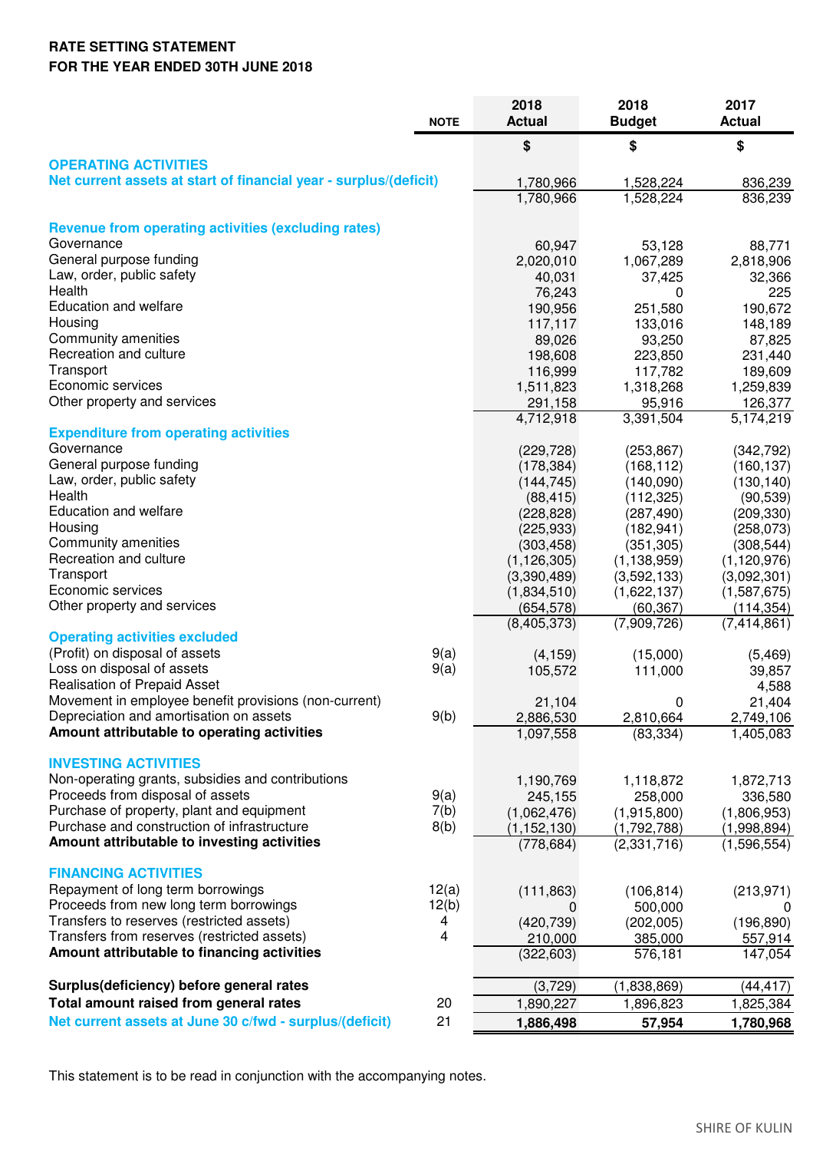# **RATE SETTING STATEMENT FOR THE YEAR ENDED 30TH JUNE 2018**

|                                                                                            |             | 2018                         | 2018                   | 2017                       |
|--------------------------------------------------------------------------------------------|-------------|------------------------------|------------------------|----------------------------|
|                                                                                            | <b>NOTE</b> | <b>Actual</b>                | <b>Budget</b>          | <b>Actual</b>              |
|                                                                                            |             | \$                           | \$                     | \$                         |
| <b>OPERATING ACTIVITIES</b>                                                                |             |                              |                        |                            |
| Net current assets at start of financial year - surplus/(deficit)                          |             | 1,780,966                    | 1,528,224              | 836,239                    |
|                                                                                            |             | 1,780,966                    | 1,528,224              | 836,239                    |
| <b>Revenue from operating activities (excluding rates)</b>                                 |             |                              |                        |                            |
| Governance                                                                                 |             | 60,947                       | 53,128                 | 88,771                     |
| General purpose funding                                                                    |             | 2,020,010                    | 1,067,289              | 2,818,906                  |
| Law, order, public safety                                                                  |             | 40,031                       | 37,425                 | 32,366                     |
| Health                                                                                     |             | 76,243                       | 0                      | 225                        |
| <b>Education and welfare</b>                                                               |             | 190,956                      | 251,580                | 190,672                    |
| Housing                                                                                    |             | 117,117                      | 133,016                | 148,189                    |
| Community amenities                                                                        |             | 89,026                       | 93,250                 | 87,825                     |
| Recreation and culture                                                                     |             | 198,608                      | 223,850                | 231,440                    |
| Transport                                                                                  |             | 116,999                      | 117,782                | 189,609                    |
| Economic services                                                                          |             | 1,511,823                    | 1,318,268              | 1,259,839                  |
| Other property and services                                                                |             | 291,158                      | 95,916                 | 126,377                    |
| <b>Expenditure from operating activities</b>                                               |             | 4,712,918                    | 3,391,504              | 5,174,219                  |
| Governance                                                                                 |             | (229, 728)                   | (253, 867)             | (342, 792)                 |
| General purpose funding                                                                    |             | (178, 384)                   | (168, 112)             | (160, 137)                 |
| Law, order, public safety                                                                  |             | (144, 745)                   | (140,090)              | (130, 140)                 |
| Health                                                                                     |             | (88, 415)                    | (112, 325)             | (90, 539)                  |
| <b>Education and welfare</b>                                                               |             | (228, 828)                   | (287, 490)             | (209, 330)                 |
| Housing                                                                                    |             | (225, 933)                   | (182, 941)             | (258,073)                  |
| Community amenities                                                                        |             | (303, 458)                   | (351, 305)             | (308, 544)                 |
| Recreation and culture                                                                     |             | (1, 126, 305)                | (1, 138, 959)          | (1, 120, 976)              |
| Transport                                                                                  |             | (3,390,489)                  | (3,592,133)            | (3,092,301)                |
| Economic services                                                                          |             | (1,834,510)                  | (1,622,137)            | (1,587,675)                |
| Other property and services                                                                |             | (654, 578)                   | (60, 367)              | (114,354)                  |
| <b>Operating activities excluded</b>                                                       |             | (8, 405, 373)                | (7,909,726)            | (7,414,861)                |
| (Profit) on disposal of assets                                                             | 9(a)        | (4, 159)                     | (15,000)               | (5, 469)                   |
| Loss on disposal of assets                                                                 | 9(a)        | 105,572                      | 111,000                | 39,857                     |
| <b>Realisation of Prepaid Asset</b>                                                        |             |                              |                        | 4,588                      |
| Movement in employee benefit provisions (non-current)                                      |             | 21,104                       | 0                      | 21,404                     |
| Depreciation and amortisation on assets                                                    | 9(b)        | 2,886,530                    | 2,810,664              | 2,749,106                  |
| Amount attributable to operating activities                                                |             | 1,097,558                    | (83, 334)              | 1,405,083                  |
|                                                                                            |             |                              |                        |                            |
| <b>INVESTING ACTIVITIES</b>                                                                |             |                              |                        |                            |
| Non-operating grants, subsidies and contributions<br>Proceeds from disposal of assets      | 9(a)        | 1,190,769                    | 1,118,872              | 1,872,713                  |
| Purchase of property, plant and equipment                                                  | 7(b)        | 245,155                      | 258,000<br>(1,915,800) | 336,580                    |
| Purchase and construction of infrastructure                                                | 8(b)        | (1,062,476)<br>(1, 152, 130) | (1,792,788)            | (1,806,953)<br>(1,998,894) |
| Amount attributable to investing activities                                                |             | (778, 684)                   | (2,331,716)            | (1,596,554)                |
|                                                                                            |             |                              |                        |                            |
| <b>FINANCING ACTIVITIES</b>                                                                |             |                              |                        |                            |
| Repayment of long term borrowings                                                          | 12(a)       | (111, 863)                   | (106, 814)             | (213, 971)                 |
| Proceeds from new long term borrowings                                                     | 12(b)       | 0                            | 500,000                | U                          |
| Transfers to reserves (restricted assets)                                                  | 4           | (420, 739)                   | (202,005)              | (196, 890)                 |
| Transfers from reserves (restricted assets)<br>Amount attributable to financing activities | 4           | 210,000                      | 385,000                | 557,914                    |
|                                                                                            |             | (322, 603)                   | 576,181                | 147,054                    |
| Surplus(deficiency) before general rates                                                   |             | (3,729)                      | (1,838,869)            | (44, 417)                  |
| Total amount raised from general rates                                                     | 20          | 1,890,227                    | 1,896,823              | 1,825,384                  |
| Net current assets at June 30 c/fwd - surplus/(deficit)                                    | 21          | 1,886,498                    | 57,954                 | 1,780,968                  |
|                                                                                            |             |                              |                        |                            |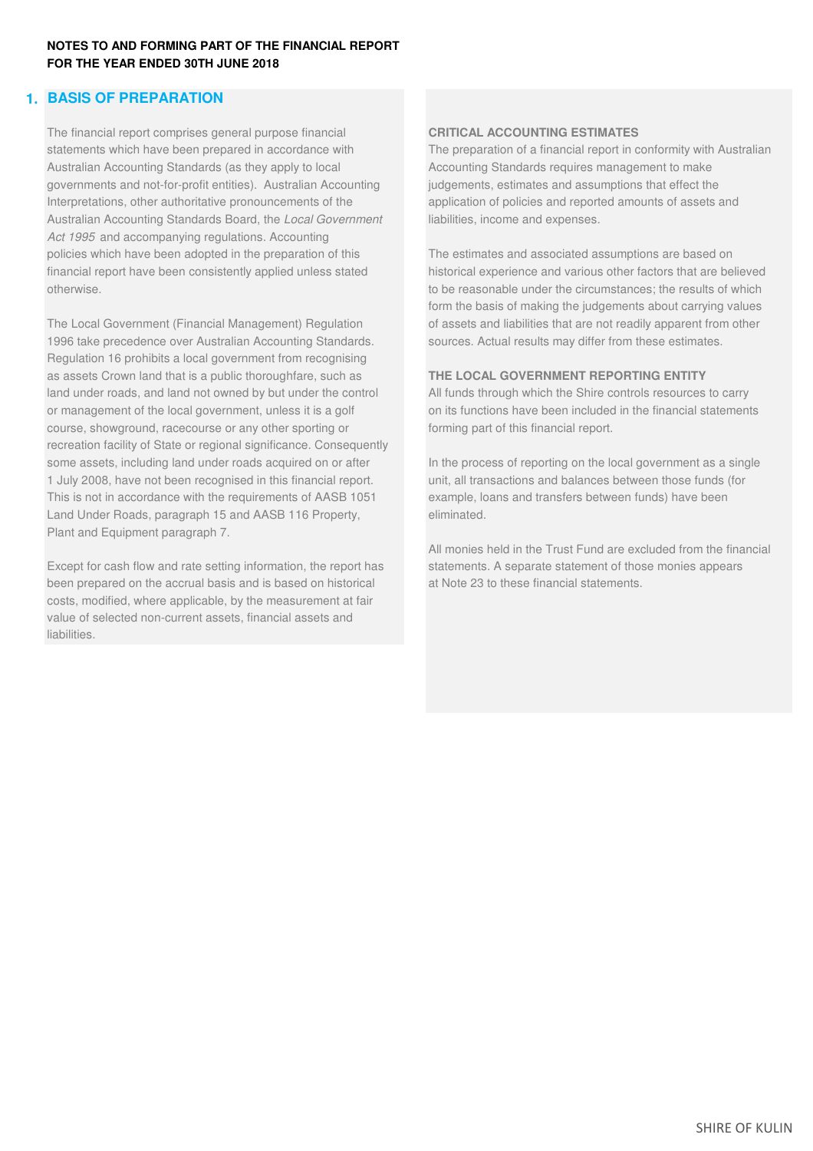# **1. BASIS OF PREPARATION**

The financial report comprises general purpose financial **CRITICAL ACCOUNTING ESTIMATES** Australian Accounting Standards (as they apply to local Accounting Standards requires management to make governments and not-for-profit entities). Australian Accounting judgements, estimates and assumptions that effect the Interpretations, other authoritative pronouncements of the application of policies and reported amounts of assets and Australian Accounting Standards Board, the *Local Government* liabilities, income and expenses. *Act 1995* and accompanying regulations. Accounting policies which have been adopted in the preparation of this The estimates and associated assumptions are based on financial report have been consistently applied unless stated historical experience and various other factors that are believed otherwise. to be reasonable under the circumstances; the results of which

The Local Government (Financial Management) Regulation of assets and liabilities that are not readily apparent from other 1996 take precedence over Australian Accounting Standards. sources. Actual results may differ from these estimates. Regulation 16 prohibits a local government from recognising as assets Crown land that is a public thoroughfare, such as **THE LOCAL GOVERNMENT REPORTING ENTITY** land under roads, and land not owned by but under the control All funds through which the Shire controls resources to carry or management of the local government, unless it is a golf on its functions have been included in the financial statements course, showground, racecourse or any other sporting or forming part of this financial report. recreation facility of State or regional significance. Consequently some assets, including land under roads acquired on or after In the process of reporting on the local government as a single 1 July 2008, have not been recognised in this financial report. unit, all transactions and balances between those funds (for This is not in accordance with the requirements of AASB 1051 example, loans and transfers between funds) have been Land Under Roads, paragraph 15 and AASB 116 Property, eliminated. Plant and Equipment paragraph 7.

Except for cash flow and rate setting information, the report has statements. A separate statement of those monies appears been prepared on the accrual basis and is based on historical at Note 23 to these financial statements. costs, modified, where applicable, by the measurement at fair value of selected non-current assets, financial assets and liabilities.

statements which have been prepared in accordance with The preparation of a financial report in conformity with Australian

form the basis of making the judgements about carrying values

All monies held in the Trust Fund are excluded from the financial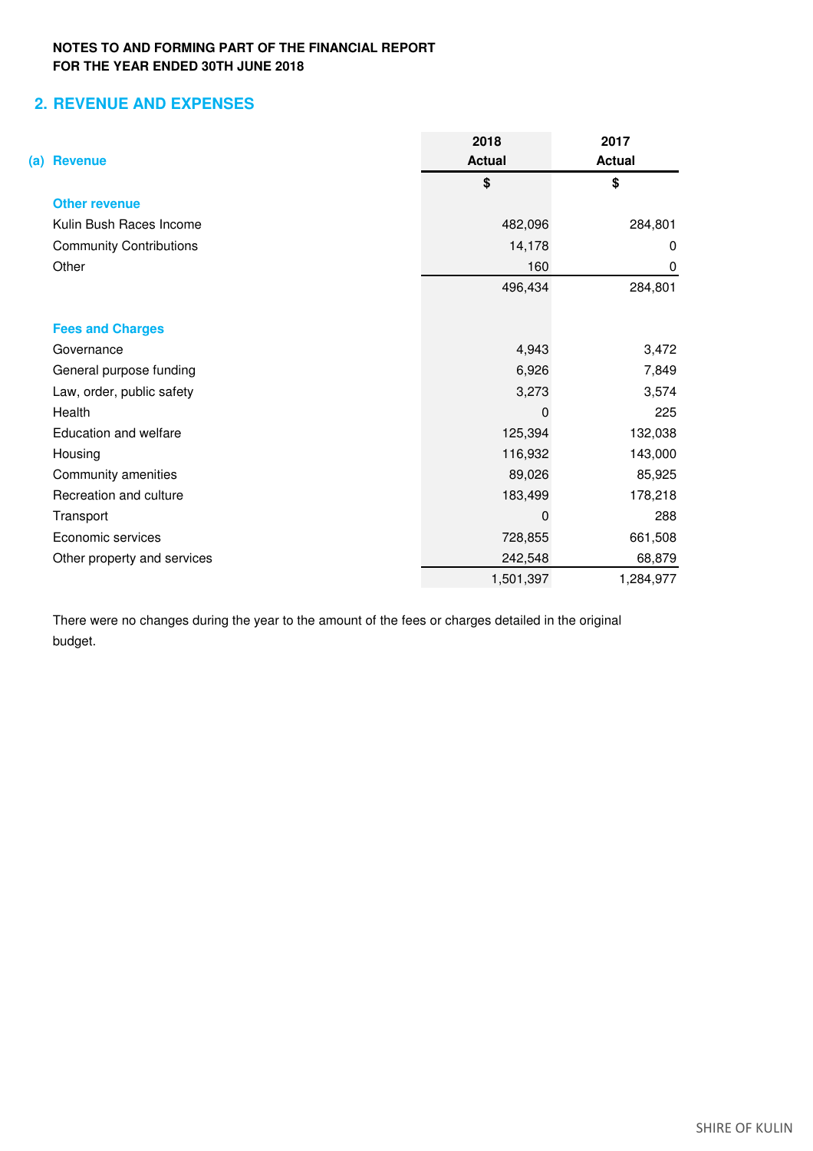# **2. REVENUE AND EXPENSES**

|                                | 2018          | 2017          |
|--------------------------------|---------------|---------------|
| <b>Revenue</b><br>(a)          | <b>Actual</b> | <b>Actual</b> |
|                                | \$            | \$            |
| <b>Other revenue</b>           |               |               |
| Kulin Bush Races Income        | 482,096       | 284,801       |
| <b>Community Contributions</b> | 14,178        | 0             |
| Other                          | 160           | 0             |
|                                | 496,434       | 284,801       |
| <b>Fees and Charges</b>        |               |               |
| Governance                     | 4,943         | 3,472         |
| General purpose funding        | 6,926         | 7,849         |
| Law, order, public safety      | 3,273         | 3,574         |
| Health                         | 0             | 225           |
| Education and welfare          | 125,394       | 132,038       |
| Housing                        | 116,932       | 143,000       |
| Community amenities            | 89,026        | 85,925        |
| Recreation and culture         | 183,499       | 178,218       |
| Transport                      | 0             | 288           |
| Economic services              | 728,855       | 661,508       |
| Other property and services    | 242,548       | 68,879        |
|                                | 1,501,397     | 1,284,977     |

There were no changes during the year to the amount of the fees or charges detailed in the original budget.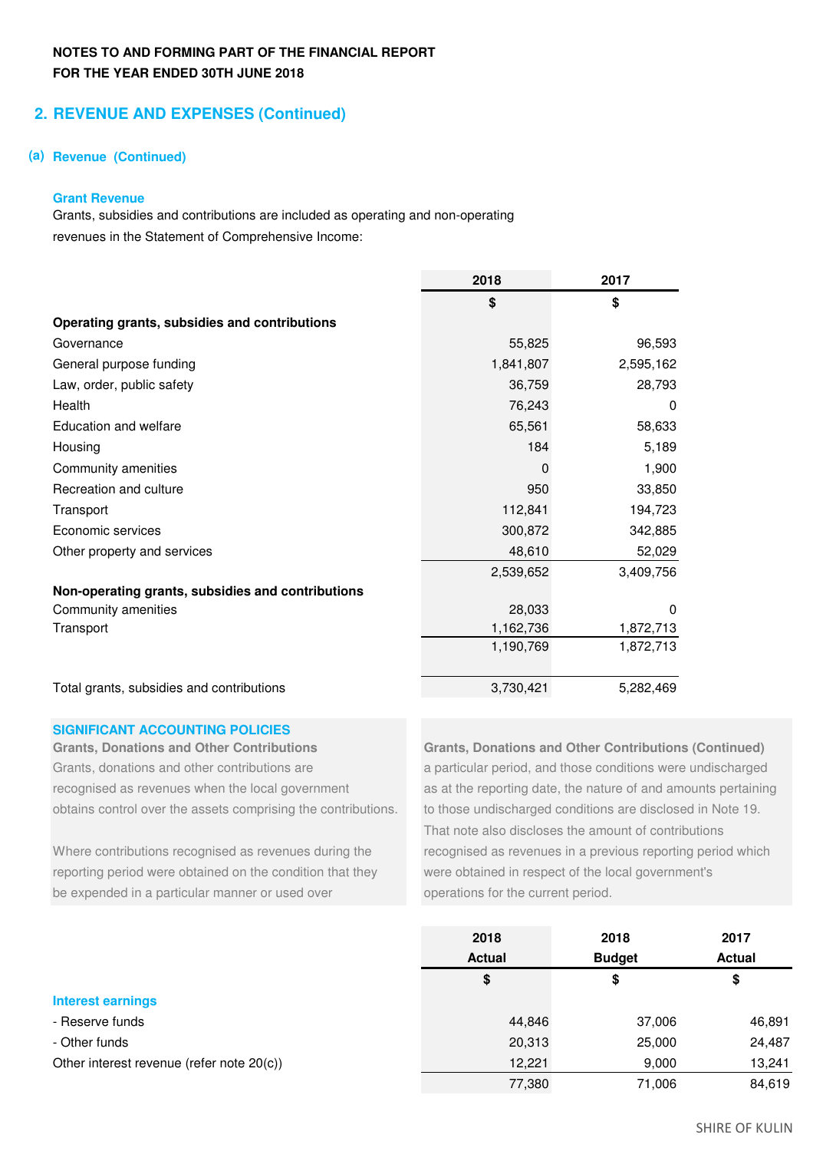# **2. REVENUE AND EXPENSES (Continued)**

### **(a) Revenue (Continued)**

### **Grant Revenue**

Grants, subsidies and contributions are included as operating and non-operating revenues in the Statement of Comprehensive Income:

|                                                   | 2018      | 2017      |
|---------------------------------------------------|-----------|-----------|
|                                                   | \$        | \$        |
| Operating grants, subsidies and contributions     |           |           |
| Governance                                        | 55,825    | 96,593    |
| General purpose funding                           | 1,841,807 | 2,595,162 |
| Law, order, public safety                         | 36,759    | 28,793    |
| Health                                            | 76,243    | 0         |
| Education and welfare                             | 65,561    | 58,633    |
| Housing                                           | 184       | 5,189     |
| Community amenities                               | 0         | 1,900     |
| Recreation and culture                            | 950       | 33,850    |
| Transport                                         | 112,841   | 194,723   |
| Economic services                                 | 300,872   | 342,885   |
| Other property and services                       | 48,610    | 52,029    |
|                                                   | 2,539,652 | 3,409,756 |
| Non-operating grants, subsidies and contributions |           |           |
| Community amenities                               | 28,033    | 0         |
| Transport                                         | 1,162,736 | 1,872,713 |
|                                                   | 1,190,769 | 1,872,713 |
| Total grants, subsidies and contributions         | 3,730,421 | 5,282,469 |

### **SIGNIFICANT ACCOUNTING POLICIES**

Grants, donations and other contributions are a particular period, and those conditions were undischarged obtains control over the assets comprising the contributions. to those undischarged conditions are disclosed in Note 19.

reporting period were obtained on the condition that they were obtained in respect of the local government's be expended in a particular manner or used over **operations** for the current period.

**Grants, Donations and Other Contributions Grants, Donations and Other Contributions (Continued)** recognised as revenues when the local government as at the reporting date, the nature of and amounts pertaining That note also discloses the amount of contributions Where contributions recognised as revenues during the recognised as revenues in a previous reporting period which

|                                           | 2018          | 2018          | 2017          |
|-------------------------------------------|---------------|---------------|---------------|
|                                           | <b>Actual</b> | <b>Budget</b> | <b>Actual</b> |
|                                           | \$            | \$            | \$            |
| <b>Interest earnings</b>                  |               |               |               |
| - Reserve funds                           | 44,846        | 37,006        | 46,891        |
| - Other funds                             | 20,313        | 25,000        | 24,487        |
| Other interest revenue (refer note 20(c)) | 12.221        | 9,000         | 13,241        |
|                                           | 77,380        | 71.006        | 84,619        |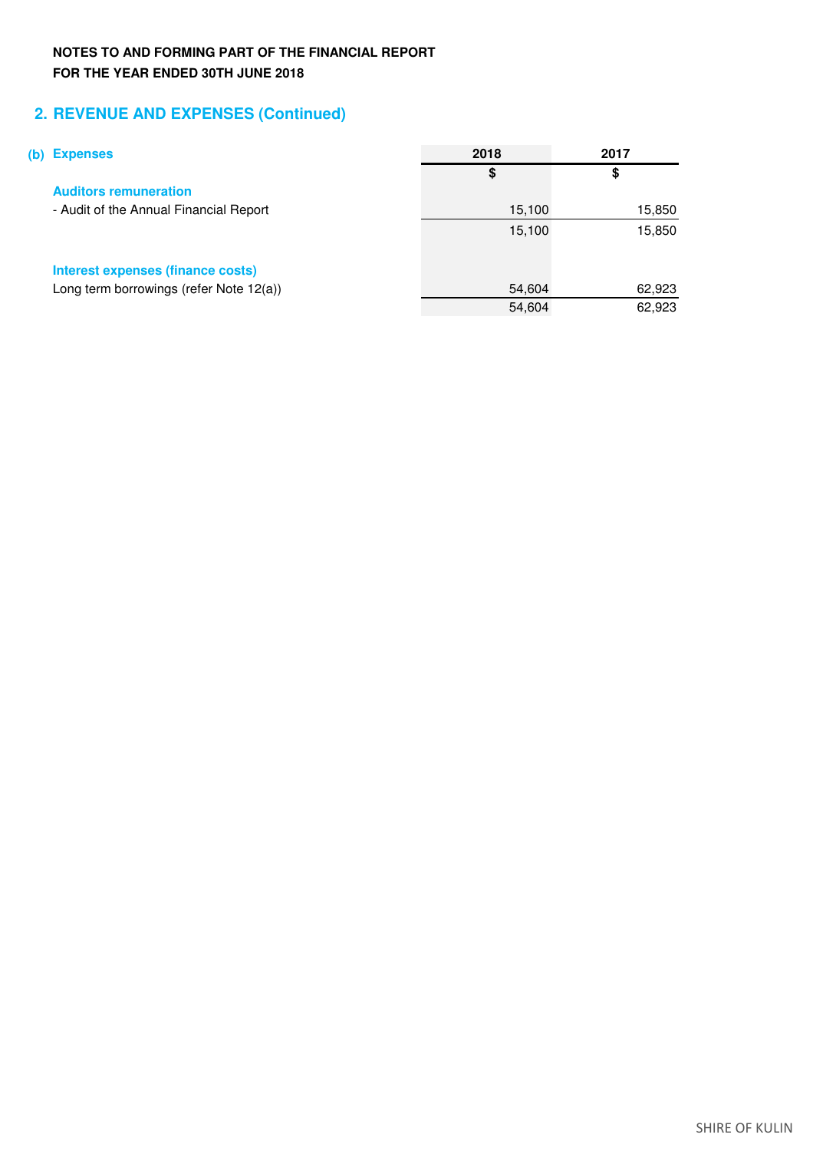# **2. REVENUE AND EXPENSES (Continued)**

| (b) | <b>Expenses</b>                         | 2018   | 2017   |
|-----|-----------------------------------------|--------|--------|
|     |                                         | S      | \$     |
|     | <b>Auditors remuneration</b>            |        |        |
|     | - Audit of the Annual Financial Report  | 15,100 | 15,850 |
|     |                                         | 15,100 | 15,850 |
|     | Interest expenses (finance costs)       |        |        |
|     | Long term borrowings (refer Note 12(a)) | 54,604 | 62,923 |
|     |                                         | 54,604 | 62,923 |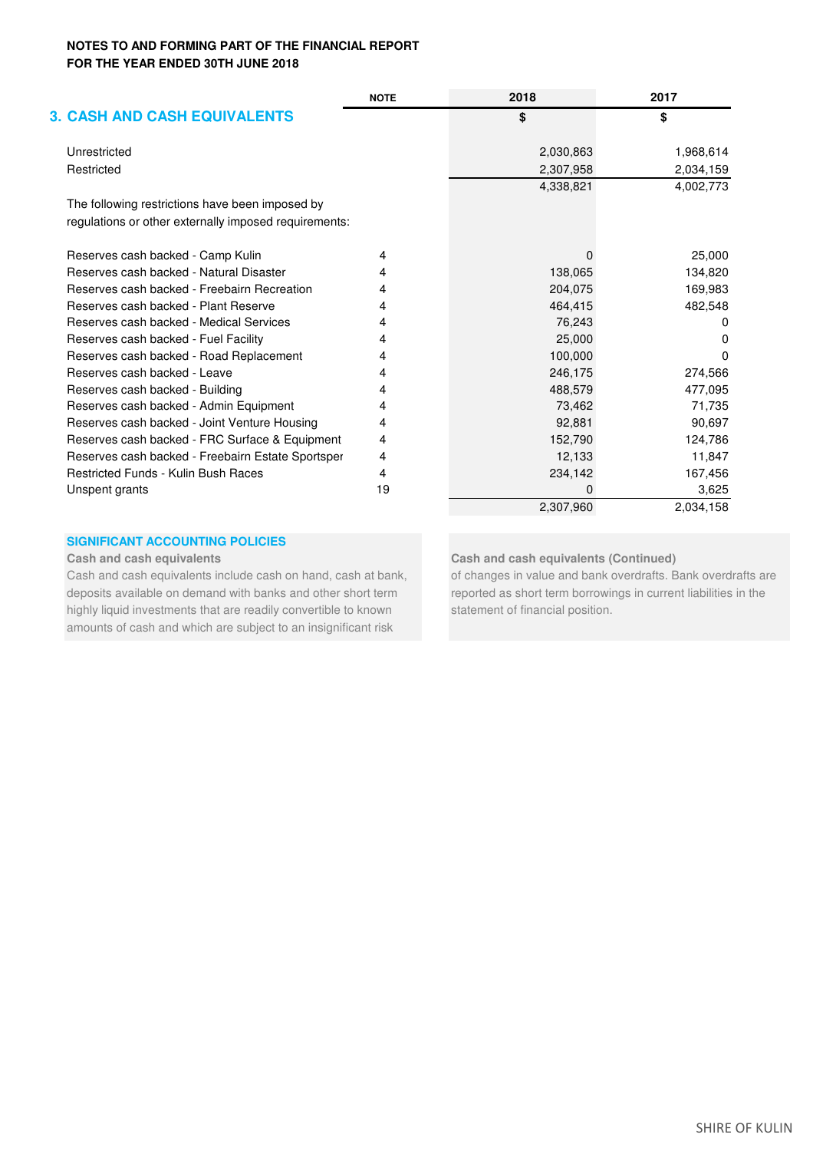|                                                       | <b>NOTE</b> | 2018      | 2017         |
|-------------------------------------------------------|-------------|-----------|--------------|
| <b>3. CASH AND CASH EQUIVALENTS</b>                   |             | \$        | \$           |
| Unrestricted                                          |             | 2,030,863 | 1,968,614    |
| Restricted                                            |             | 2,307,958 | 2,034,159    |
|                                                       |             | 4,338,821 | 4,002,773    |
| The following restrictions have been imposed by       |             |           |              |
| regulations or other externally imposed requirements: |             |           |              |
| Reserves cash backed - Camp Kulin                     | 4           |           | 25,000       |
| Reserves cash backed - Natural Disaster               | 4           | 138,065   | 134,820      |
| Reserves cash backed - Freebairn Recreation           | 4           | 204,075   | 169,983      |
| Reserves cash backed - Plant Reserve                  | 4           | 464,415   | 482,548      |
| Reserves cash backed - Medical Services               | 4           | 76,243    | <sup>0</sup> |
| Reserves cash backed - Fuel Facility                  | 4           | 25,000    | O            |
| Reserves cash backed - Road Replacement               | 4           | 100,000   | <sup>0</sup> |
| Reserves cash backed - Leave                          | 4           | 246,175   | 274,566      |
| Reserves cash backed - Building                       | 4           | 488,579   | 477,095      |
| Reserves cash backed - Admin Equipment                | 4           | 73,462    | 71,735       |
| Reserves cash backed - Joint Venture Housing          | 4           | 92,881    | 90,697       |
| Reserves cash backed - FRC Surface & Equipment        | 4           | 152,790   | 124,786      |
| Reserves cash backed - Freebairn Estate Sportsper     | 4           | 12,133    | 11,847       |
| <b>Restricted Funds - Kulin Bush Races</b>            | 4           | 234,142   | 167,456      |
| Unspent grants                                        | 19          | $\Omega$  | 3,625        |
|                                                       |             | 2,307,960 | 2,034,158    |

### **SIGNIFICANT ACCOUNTING POLICIES**

deposits available on demand with banks and other short term reported as short term borrowings in current liabilities in the highly liquid investments that are readily convertible to known statement of financial position. amounts of cash and which are subject to an insignificant risk

### **Cash and cash equivalents Cash and cash equivalents (Continued)**

Cash and cash equivalents include cash on hand, cash at bank, of changes in value and bank overdrafts. Bank overdrafts are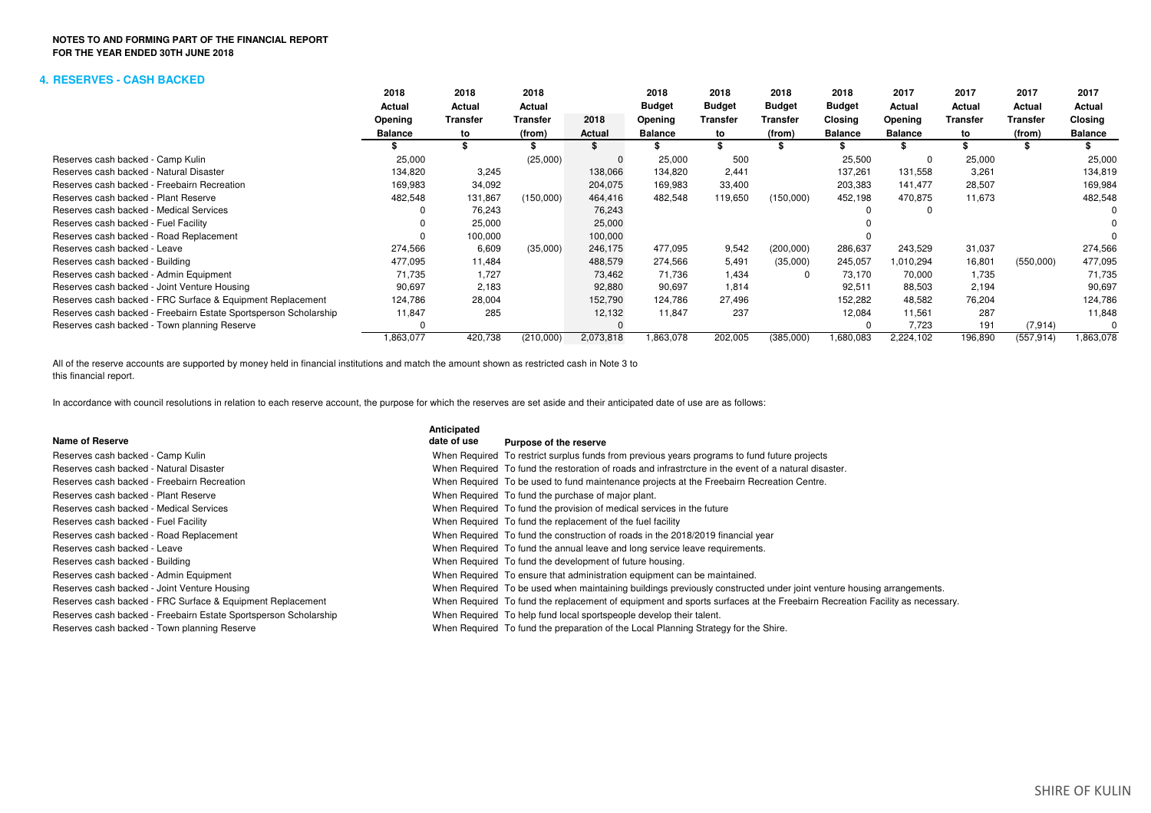### **4. RESERVES - CASH BACKED**

|                                                                  | 2018      | 2018            | 2018            |           | 2018           | 2018          | 2018          | 2018           | 2017           | 2017     | 2017            | 2017           |
|------------------------------------------------------------------|-----------|-----------------|-----------------|-----------|----------------|---------------|---------------|----------------|----------------|----------|-----------------|----------------|
|                                                                  | Actual    | Actual          | Actual          |           | <b>Budget</b>  | <b>Budget</b> | <b>Budget</b> | <b>Budget</b>  | Actual         | Actual   | Actual          | Actual         |
|                                                                  | Opening   | <b>Transfer</b> | <b>Transfer</b> | 2018      | Opening        | Transfer      | Transfer      | Closing        | Opening        | Transfer | <b>Transfer</b> | Closing        |
|                                                                  | Balance   | to              | (from)          | Actual    | <b>Balance</b> | to            | (from)        | <b>Balance</b> | <b>Balance</b> | to       | (from)          | <b>Balance</b> |
|                                                                  |           |                 |                 |           |                |               |               |                |                |          |                 |                |
| Reserves cash backed - Camp Kulin                                | 25,000    |                 | (25,000)        |           | 25,000         | 500           |               | 25,500         | 0              | 25,000   |                 | 25,000         |
| Reserves cash backed - Natural Disaster                          | 134,820   | 3,245           |                 | 138,066   | 134,820        | 2,441         |               | 137,261        | 131,558        | 3.261    |                 | 134,819        |
| Reserves cash backed - Freebairn Recreation                      | 169,983   | 34,092          |                 | 204,075   | 169,983        | 33,400        |               | 203,383        | 141,477        | 28,507   |                 | 169,984        |
| Reserves cash backed - Plant Reserve                             | 482,548   | 131,867         | (150,000)       | 464,416   | 482,548        | 119,650       | (150,000)     | 452,198        | 470,875        | 11,673   |                 | 482,548        |
| Reserves cash backed - Medical Services                          |           | 76,243          |                 | 76,243    |                |               |               |                | 0              |          |                 |                |
| Reserves cash backed - Fuel Facility                             |           | 25,000          |                 | 25,000    |                |               |               |                |                |          |                 |                |
| Reserves cash backed - Road Replacement                          |           | 100,000         |                 | 100,000   |                |               |               |                |                |          |                 |                |
| Reserves cash backed - Leave                                     | 274,566   | 6,609           | (35,000)        | 246,175   | 477,095        | 9,542         | (200,000)     | 286,637        | 243,529        | 31,037   |                 | 274,566        |
| Reserves cash backed - Building                                  | 477,095   | 11.484          |                 | 488,579   | 274,566        | 5,491         | (35,000)      | 245,057        | 1,010,294      | 16,801   | (550,000)       | 477,095        |
| Reserves cash backed - Admin Equipment                           | 71,735    | 1.727           |                 | 73,462    | 71,736         | 1,434         |               | 73,170         | 70,000         | 1,735    |                 | 71,735         |
| Reserves cash backed - Joint Venture Housing                     | 90,697    | 2,183           |                 | 92,880    | 90,697         | 1,814         |               | 92,511         | 88,503         | 2,194    |                 | 90,697         |
| Reserves cash backed - FRC Surface & Equipment Replacement       | 124,786   | 28,004          |                 | 152,790   | 124,786        | 27,496        |               | 152,282        | 48,582         | 76,204   |                 | 124,786        |
| Reserves cash backed - Freebairn Estate Sportsperson Scholarship | 11,847    | 285             |                 | 12,132    | 11,847         | 237           |               | 12,084         | 11,561         | 287      |                 | 11,848         |
| Reserves cash backed - Town planning Reserve                     |           |                 |                 |           |                |               |               |                | 7,723          | 191      | (7, 914)        |                |
|                                                                  | 1,863,077 | 420,738         | (210,000)       | 2,073,818 | 1,863,078      | 202,005       | (385,000)     | 1,680,083      | 2,224,102      | 196,890  | (557, 914)      | .863,078       |

this financial report.All of the reserve accounts are supported by money held in financial institutions and match the amount shown as restricted cash in Note 3 to

In accordance with council resolutions in relation to each reserve account, the purpose for which the reserves are set aside and their anticipated date of use are as follows:

|                                                                  | Anticipated |                                                                                                                           |
|------------------------------------------------------------------|-------------|---------------------------------------------------------------------------------------------------------------------------|
| Name of Reserve                                                  | date of use | Purpose of the reserve                                                                                                    |
| Reserves cash backed - Camp Kulin                                |             | When Required To restrict surplus funds from previous years programs to fund future projects                              |
| Reserves cash backed - Natural Disaster                          |             | When Required To fund the restoration of roads and infrastrcture in the event of a natural disaster.                      |
| Reserves cash backed - Freebairn Recreation                      |             | When Required To be used to fund maintenance projects at the Freebairn Recreation Centre.                                 |
| Reserves cash backed - Plant Reserve                             |             | When Required To fund the purchase of major plant.                                                                        |
| Reserves cash backed - Medical Services                          |             | When Required To fund the provision of medical services in the future                                                     |
| Reserves cash backed - Fuel Facility                             |             | When Required To fund the replacement of the fuel facility                                                                |
| Reserves cash backed - Road Replacement                          |             | When Required To fund the construction of roads in the 2018/2019 financial year                                           |
| Reserves cash backed - Leave                                     |             | When Required To fund the annual leave and long service leave requirements.                                               |
| Reserves cash backed - Building                                  |             | When Required To fund the development of future housing.                                                                  |
| Reserves cash backed - Admin Equipment                           |             | When Required To ensure that administration equipment can be maintained.                                                  |
| Reserves cash backed - Joint Venture Housing                     |             | When Required To be used when maintaining buildings previously constructed under joint venture housing arrangements.      |
| Reserves cash backed - FRC Surface & Equipment Replacement       |             | When Required To fund the replacement of equipment and sports surfaces at the Freebairn Recreation Facility as necessary. |
| Reserves cash backed - Freebairn Estate Sportsperson Scholarship |             | When Required To help fund local sportspeople develop their talent.                                                       |
| Reserves cash backed - Town planning Reserve                     |             | When Required To fund the preparation of the Local Planning Strategy for the Shire.                                       |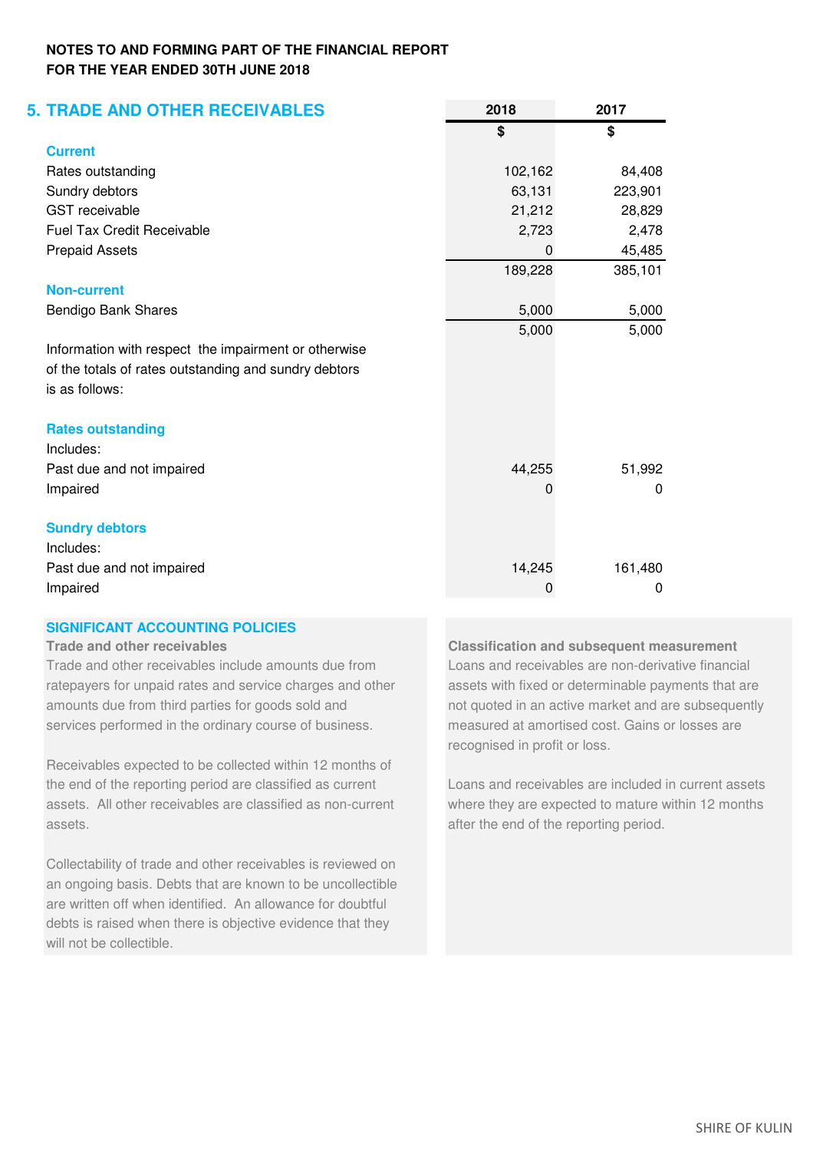| <b>5. TRADE AND OTHER RECEIVABLES</b>                 | 2018    | 2017     |
|-------------------------------------------------------|---------|----------|
|                                                       | \$      | \$       |
| <b>Current</b>                                        |         |          |
| Rates outstanding                                     | 102,162 | 84,408   |
| Sundry debtors                                        | 63,131  | 223,901  |
| <b>GST</b> receivable                                 | 21,212  | 28,829   |
| <b>Fuel Tax Credit Receivable</b>                     | 2,723   | 2,478    |
| <b>Prepaid Assets</b>                                 | 0       | 45,485   |
|                                                       | 189,228 | 385,101  |
| <b>Non-current</b>                                    |         |          |
| Bendigo Bank Shares                                   | 5,000   | 5,000    |
|                                                       | 5,000   | 5,000    |
| Information with respect the impairment or otherwise  |         |          |
| of the totals of rates outstanding and sundry debtors |         |          |
| is as follows:                                        |         |          |
| <b>Rates outstanding</b>                              |         |          |
| Includes:                                             |         |          |
| Past due and not impaired                             | 44,255  | 51,992   |
| Impaired                                              | 0       | $\Omega$ |
| <b>Sundry debtors</b>                                 |         |          |
| Includes:                                             |         |          |
| Past due and not impaired                             | 14,245  | 161,480  |
| Impaired                                              | 0       | 0        |

# **SIGNIFICANT ACCOUNTING POLICIES**

Trade and other receivables include amounts due from Loans and receivables are non-derivative financial ratepayers for unpaid rates and service charges and other assets with fixed or determinable payments that are amounts due from third parties for goods sold and not quoted in an active market and are subsequently services performed in the ordinary course of business. The measured at amortised cost. Gains or losses are

Receivables expected to be collected within 12 months of the end of the reporting period are classified as current Loans and receivables are included in current assets assets. All other receivables are classified as non-current where they are expected to mature within 12 months assets. after the end of the reporting period.

Collectability of trade and other receivables is reviewed on an ongoing basis. Debts that are known to be uncollectible are written off when identified. An allowance for doubtful debts is raised when there is objective evidence that they will not be collectible.

**Trade and other receivables Classification and subsequent measurement**  recognised in profit or loss.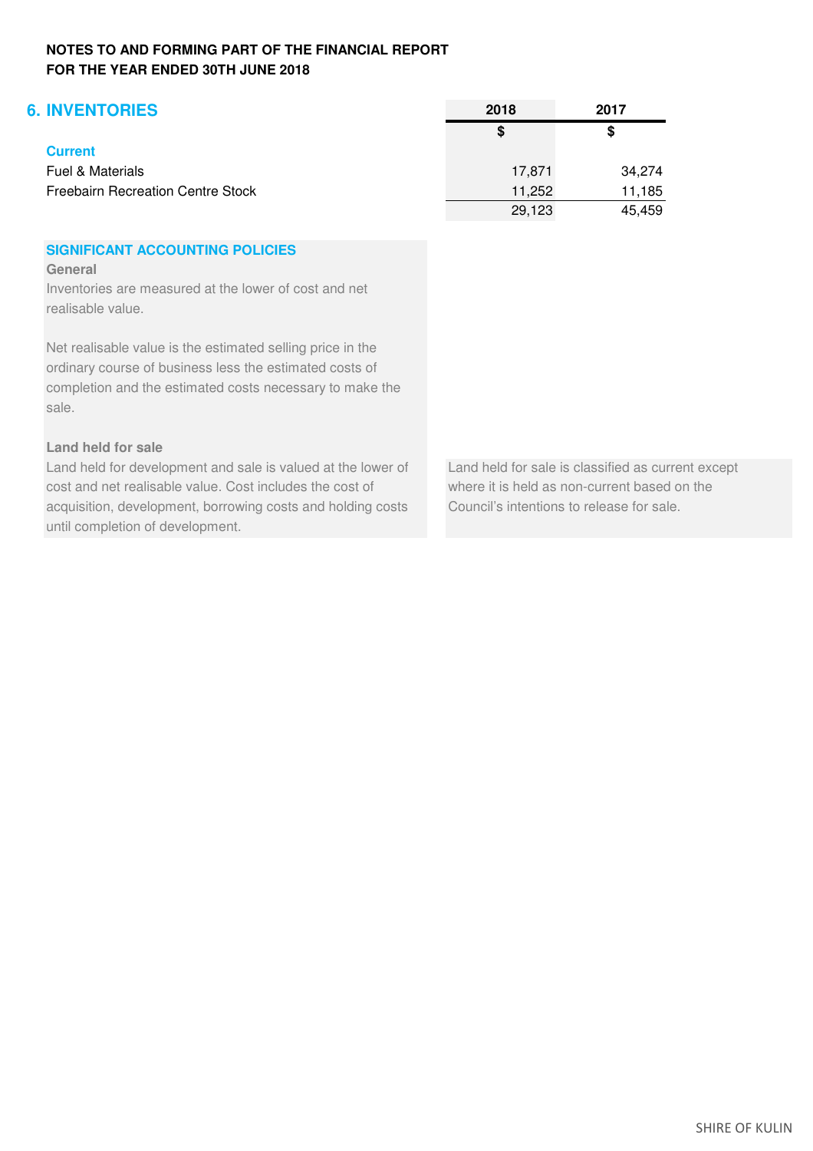| <b>6. INVENTORIES</b>                    | 2018   | 2017   |
|------------------------------------------|--------|--------|
|                                          | S      | \$     |
| <b>Current</b>                           |        |        |
| Fuel & Materials                         | 17.871 | 34,274 |
| <b>Freebairn Recreation Centre Stock</b> | 11,252 | 11,185 |
|                                          | 29,123 | 45,459 |

# **SIGNIFICANT ACCOUNTING POLICIES**

**General**

Inventories are measured at the lower of cost and net realisable value.

Net realisable value is the estimated selling price in the ordinary course of business less the estimated costs of completion and the estimated costs necessary to make the sale.

# **Land held for sale**

Land held for development and sale is valued at the lower of Land held for sale is classified as current except cost and net realisable value. Cost includes the cost of where it is held as non-current based on the acquisition, development, borrowing costs and holding costs Council's intentions to release for sale. until completion of development.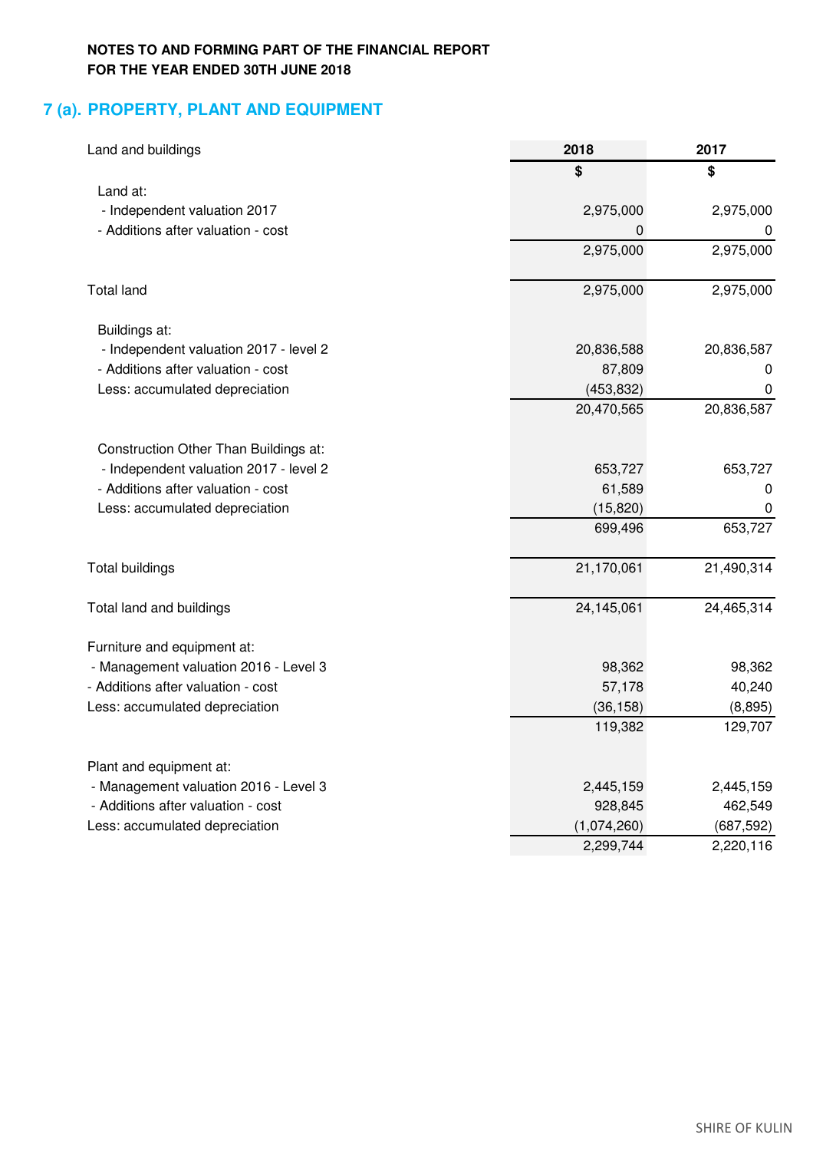# **7 (a). PROPERTY, PLANT AND EQUIPMENT**

| Land and buildings                     | 2018        | 2017       |  |
|----------------------------------------|-------------|------------|--|
|                                        | \$          | \$         |  |
| Land at:                               |             |            |  |
| - Independent valuation 2017           | 2,975,000   | 2,975,000  |  |
| - Additions after valuation - cost     | 0           |            |  |
|                                        | 2,975,000   | 2,975,000  |  |
| <b>Total land</b>                      | 2,975,000   | 2,975,000  |  |
| Buildings at:                          |             |            |  |
| - Independent valuation 2017 - level 2 | 20,836,588  | 20,836,587 |  |
| - Additions after valuation - cost     | 87,809      | 0          |  |
| Less: accumulated depreciation         | (453, 832)  | 0          |  |
|                                        | 20,470,565  | 20,836,587 |  |
| Construction Other Than Buildings at:  |             |            |  |
| - Independent valuation 2017 - level 2 | 653,727     | 653,727    |  |
| - Additions after valuation - cost     | 61,589      | 0          |  |
| Less: accumulated depreciation         | (15, 820)   | 0          |  |
|                                        | 699,496     | 653,727    |  |
| <b>Total buildings</b>                 | 21,170,061  | 21,490,314 |  |
| Total land and buildings               | 24,145,061  | 24,465,314 |  |
| Furniture and equipment at:            |             |            |  |
| - Management valuation 2016 - Level 3  | 98,362      | 98,362     |  |
| - Additions after valuation - cost     | 57,178      | 40,240     |  |
| Less: accumulated depreciation         | (36, 158)   | (8,895)    |  |
|                                        | 119,382     | 129,707    |  |
| Plant and equipment at:                |             |            |  |
| - Management valuation 2016 - Level 3  | 2,445,159   | 2,445,159  |  |
| - Additions after valuation - cost     | 928,845     | 462,549    |  |
| Less: accumulated depreciation         | (1,074,260) | (687, 592) |  |
|                                        | 2,299,744   | 2,220,116  |  |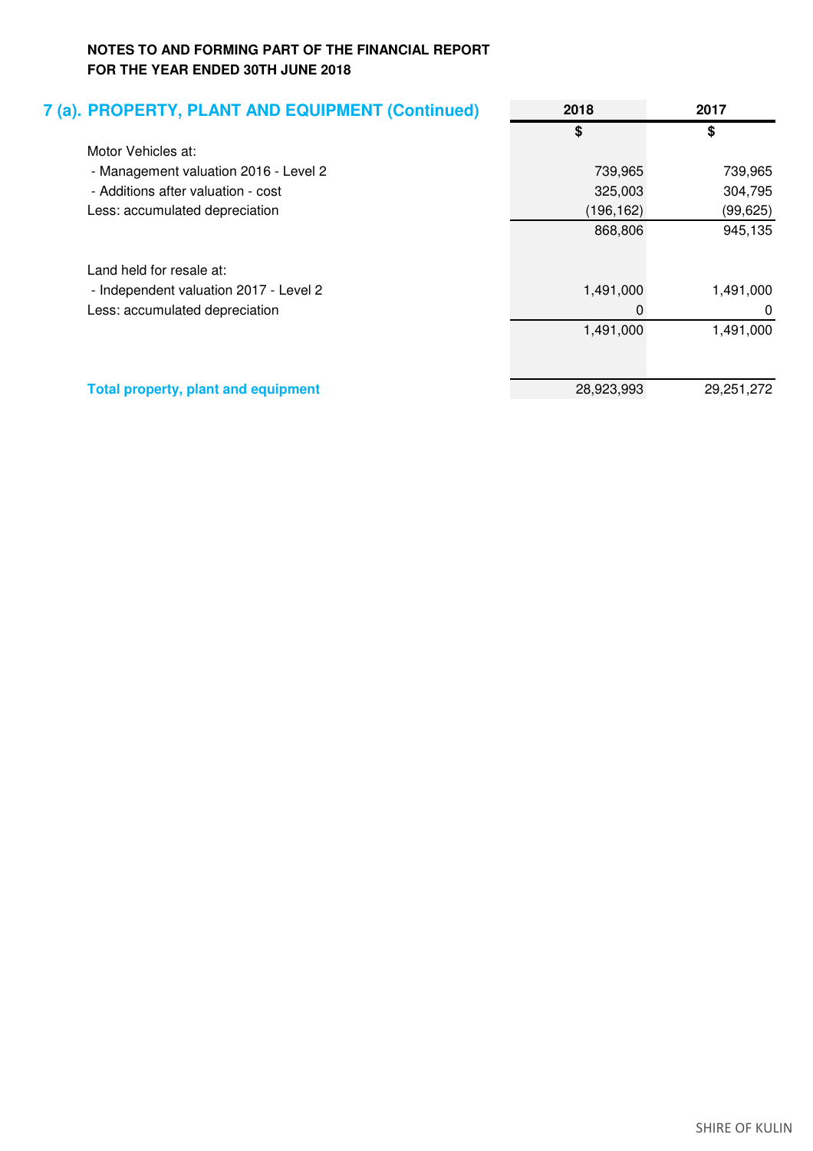| 7 (a). PROPERTY, PLANT AND EQUIPMENT (Continued) | 2018       | 2017       |
|--------------------------------------------------|------------|------------|
|                                                  | \$         | \$         |
| Motor Vehicles at:                               |            |            |
| - Management valuation 2016 - Level 2            | 739,965    | 739,965    |
| - Additions after valuation - cost               | 325,003    | 304,795    |
| Less: accumulated depreciation                   | (196, 162) | (99, 625)  |
|                                                  | 868,806    | 945,135    |
| Land held for resale at:                         |            |            |
| - Independent valuation 2017 - Level 2           | 1,491,000  | 1,491,000  |
| Less: accumulated depreciation                   | 0          | 0          |
|                                                  | 1,491,000  | 1,491,000  |
|                                                  |            |            |
| <b>Total property, plant and equipment</b>       | 28,923,993 | 29,251,272 |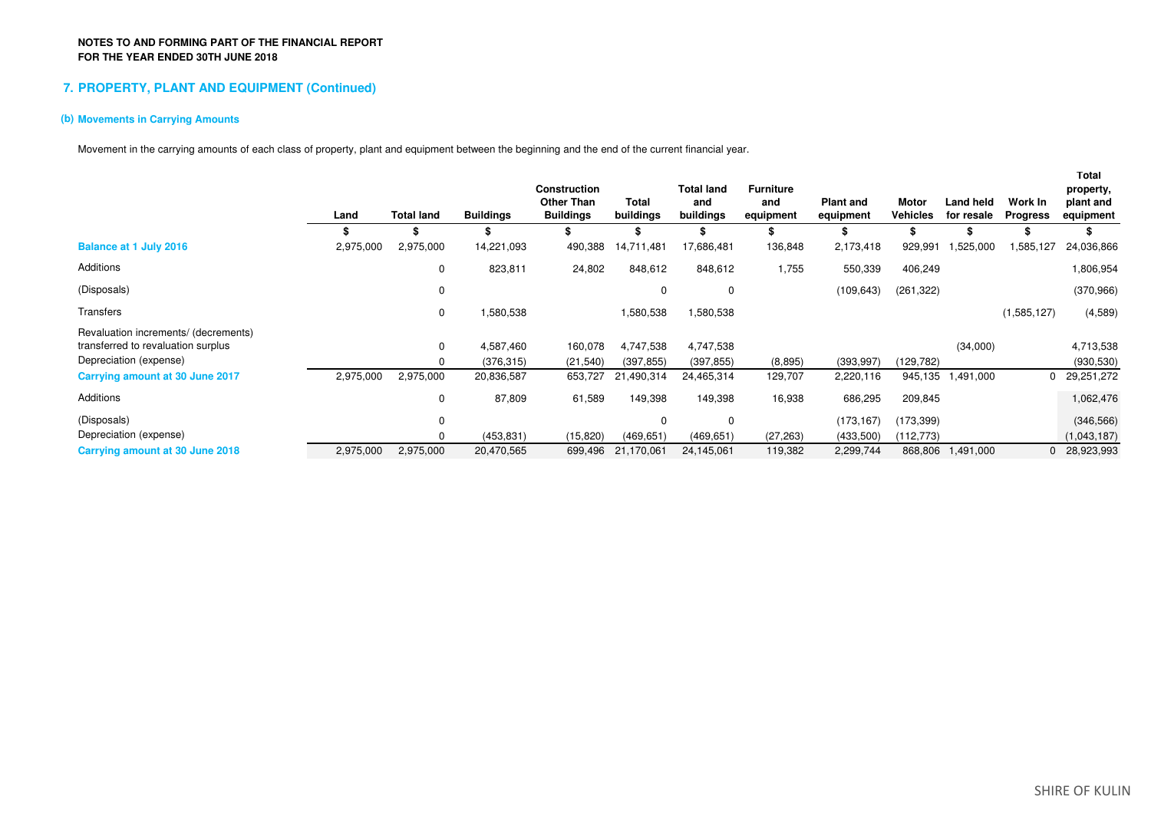### **7. PROPERTY, PLANT AND EQUIPMENT (Continued)**

### **(b) Movements in Carrying Amounts**

Movement in the carrying amounts of each class of property, plant and equipment between the beginning and the end of the current financial year.

|                                      | Land      | <b>Total land</b> | <b>Buildings</b> | <b>Construction</b><br><b>Other Than</b><br><b>Buildings</b> | <b>Total</b><br>buildings | <b>Total land</b><br>and<br>buildings | <b>Furniture</b><br>and<br>equipment | <b>Plant and</b><br>equipment | <b>Motor</b><br><b>Vehicles</b> | Land held<br>for resale | Work In<br><b>Progress</b> | Total<br>property,<br>plant and<br>equipment |
|--------------------------------------|-----------|-------------------|------------------|--------------------------------------------------------------|---------------------------|---------------------------------------|--------------------------------------|-------------------------------|---------------------------------|-------------------------|----------------------------|----------------------------------------------|
|                                      |           |                   |                  |                                                              |                           |                                       |                                      |                               |                                 |                         |                            |                                              |
| <b>Balance at 1 July 2016</b>        | 2,975,000 | 2,975,000         | 14,221,093       | 490,388                                                      | 14,711,481                | 17,686,481                            | 136,848                              | 2,173,418                     | 929,991                         | 1,525,000               | 1,585,127                  | 24,036,866                                   |
| Additions                            |           | 0                 | 823,811          | 24,802                                                       | 848,612                   | 848,612                               | 1,755                                | 550,339                       | 406,249                         |                         |                            | 1,806,954                                    |
| (Disposals)                          |           | 0                 |                  |                                                              | 0                         | 0                                     |                                      | (109, 643)                    | (261, 322)                      |                         |                            | (370,966)                                    |
| Transfers                            |           | 0                 | 1,580,538        |                                                              | 1,580,538                 | 1,580,538                             |                                      |                               |                                 |                         | (1,585,127)                | (4,589)                                      |
| Revaluation increments/ (decrements) |           |                   |                  |                                                              |                           |                                       |                                      |                               |                                 |                         |                            |                                              |
| transferred to revaluation surplus   |           | 0                 | 4,587,460        | 160,078                                                      | 4,747,538                 | 4,747,538                             |                                      |                               |                                 | (34,000)                |                            | 4,713,538                                    |
| Depreciation (expense)               |           | 0                 | (376, 315)       | (21, 540)                                                    | (397, 855)                | (397, 855)                            | (8,895)                              | (393, 997)                    | (129,782)                       |                         |                            | (930, 530)                                   |
| Carrying amount at 30 June 2017      | 2,975,000 | 2,975,000         | 20,836,587       | 653,727                                                      | 21,490,314                | 24,465,314                            | 129,707                              | 2,220,116                     | 945,135                         | 1,491,000               |                            | 29,251,272                                   |
| Additions                            |           | 0                 | 87,809           | 61,589                                                       | 149,398                   | 149,398                               | 16,938                               | 686,295                       | 209,845                         |                         |                            | 1,062,476                                    |
| (Disposals)                          |           | $\mathbf 0$       |                  |                                                              | $\Omega$                  | 0                                     |                                      | (173, 167)                    | (173, 399)                      |                         |                            | (346, 566)                                   |
| Depreciation (expense)               |           | 0                 | (453, 831)       | (15, 820)                                                    | (469, 651)                | (469, 651)                            | (27, 263)                            | (433,500)                     | (112, 773)                      |                         |                            | (1,043,187)                                  |
| Carrying amount at 30 June 2018      | 2,975,000 | 2,975,000         | 20,470,565       | 699,496                                                      | 21,170,061                | 24,145,061                            | 119,382                              | 2,299,744                     | 868,806                         | 1,491,000               |                            | 0 28,923,993                                 |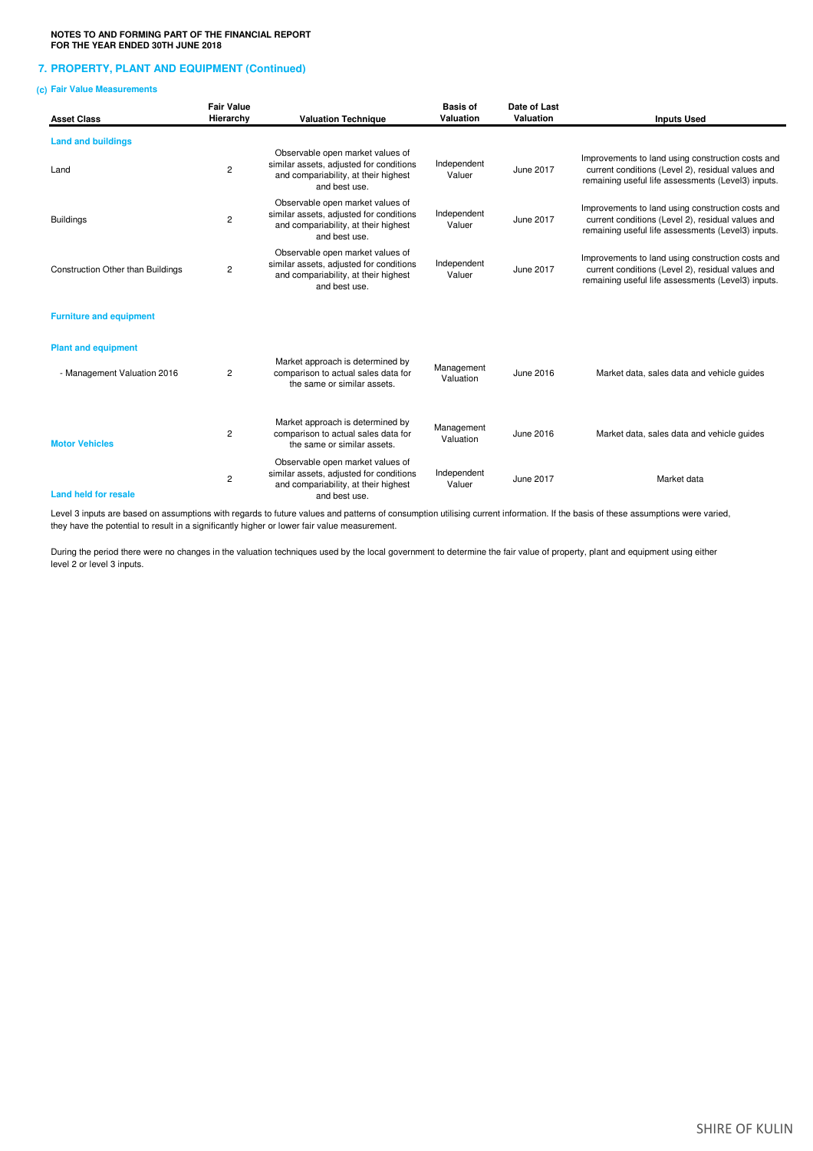### **7. PROPERTY, PLANT AND EQUIPMENT (Continued)**

### **(c) Fair Value Measurements**

| <b>Asset Class</b>                       | <b>Fair Value</b><br>Hierarchy | <b>Valuation Technique</b>                                                                                                           | <b>Basis of</b><br>Valuation | Date of Last<br>Valuation | <b>Inputs Used</b>                                                                                                                                           |
|------------------------------------------|--------------------------------|--------------------------------------------------------------------------------------------------------------------------------------|------------------------------|---------------------------|--------------------------------------------------------------------------------------------------------------------------------------------------------------|
| <b>Land and buildings</b>                |                                |                                                                                                                                      |                              |                           |                                                                                                                                                              |
| Land                                     | $\overline{c}$                 | Observable open market values of<br>similar assets, adjusted for conditions<br>and compariability, at their highest<br>and best use. | Independent<br>Valuer        | June 2017                 | Improvements to land using construction costs and<br>current conditions (Level 2), residual values and<br>remaining useful life assessments (Level3) inputs. |
| <b>Buildings</b>                         | $\overline{c}$                 | Observable open market values of<br>similar assets, adjusted for conditions<br>and compariability, at their highest<br>and best use. | Independent<br>Valuer        | June 2017                 | Improvements to land using construction costs and<br>current conditions (Level 2), residual values and<br>remaining useful life assessments (Level3) inputs. |
| <b>Construction Other than Buildings</b> | 2                              | Observable open market values of<br>similar assets, adjusted for conditions<br>and compariability, at their highest<br>and best use. | Independent<br>Valuer        | June 2017                 | Improvements to land using construction costs and<br>current conditions (Level 2), residual values and<br>remaining useful life assessments (Level3) inputs. |
| <b>Furniture and equipment</b>           |                                |                                                                                                                                      |                              |                           |                                                                                                                                                              |
| <b>Plant and equipment</b>               |                                |                                                                                                                                      |                              |                           |                                                                                                                                                              |
| - Management Valuation 2016              | $\overline{c}$                 | Market approach is determined by<br>comparison to actual sales data for<br>the same or similar assets.                               | Management<br>Valuation      | June 2016                 | Market data, sales data and vehicle guides                                                                                                                   |
| <b>Motor Vehicles</b>                    | $\overline{2}$                 | Market approach is determined by<br>comparison to actual sales data for<br>the same or similar assets.                               | Management<br>Valuation      | June 2016                 | Market data, sales data and vehicle guides                                                                                                                   |
| <b>Land held for resale</b>              | $\overline{c}$                 | Observable open market values of<br>similar assets, adjusted for conditions<br>and compariability, at their highest<br>and best use. | Independent<br>Valuer        | June 2017                 | Market data                                                                                                                                                  |

Level 3 inputs are based on assumptions with regards to future values and patterns of consumption utilising current information. If the basis of these assumptions were varied, they have the potential to result in a significantly higher or lower fair value measurement.

During the period there were no changes in the valuation techniques used by the local government to determine the fair value of property, plant and equipment using either level 2 or level 3 inputs.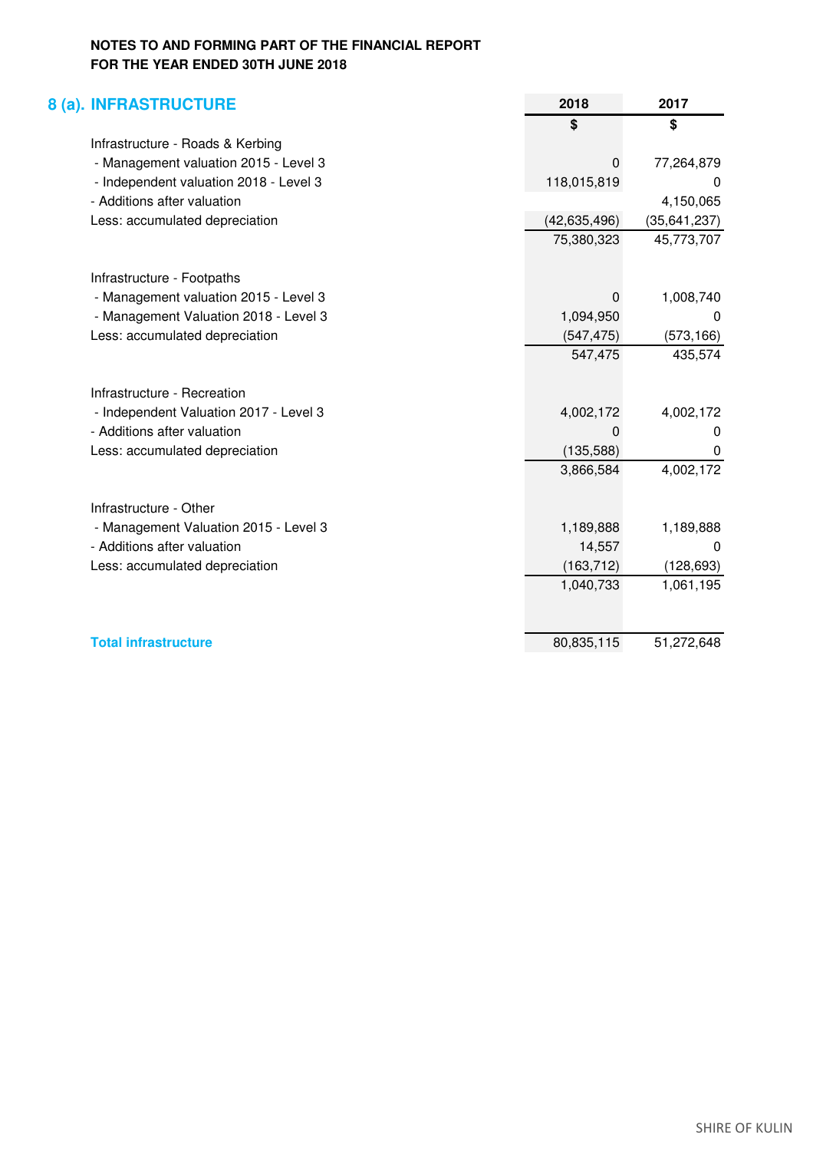| <b>8 (a). INFRASTRUCTURE</b>           | 2018           | 2017           |
|----------------------------------------|----------------|----------------|
|                                        | \$             | \$             |
| Infrastructure - Roads & Kerbing       |                |                |
| - Management valuation 2015 - Level 3  | 0              | 77,264,879     |
| - Independent valuation 2018 - Level 3 | 118,015,819    | 0              |
| - Additions after valuation            |                | 4,150,065      |
| Less: accumulated depreciation         | (42, 635, 496) | (35, 641, 237) |
|                                        | 75,380,323     | 45,773,707     |
| Infrastructure - Footpaths             |                |                |
| - Management valuation 2015 - Level 3  | 0              | 1,008,740      |
| - Management Valuation 2018 - Level 3  | 1,094,950      | 0              |
| Less: accumulated depreciation         | (547, 475)     | (573, 166)     |
|                                        | 547,475        | 435,574        |
| Infrastructure - Recreation            |                |                |
| - Independent Valuation 2017 - Level 3 | 4,002,172      | 4,002,172      |
| - Additions after valuation            | O              | $\Omega$       |
| Less: accumulated depreciation         | (135, 588)     | $\Omega$       |
|                                        | 3,866,584      | 4,002,172      |
| Infrastructure - Other                 |                |                |
| - Management Valuation 2015 - Level 3  | 1,189,888      | 1,189,888      |
| - Additions after valuation            | 14,557         | $\Omega$       |
| Less: accumulated depreciation         | (163, 712)     | (128, 693)     |
|                                        | 1,040,733      | 1,061,195      |
|                                        |                |                |
| <b>Total infrastructure</b>            | 80,835,115     | 51,272,648     |
|                                        |                |                |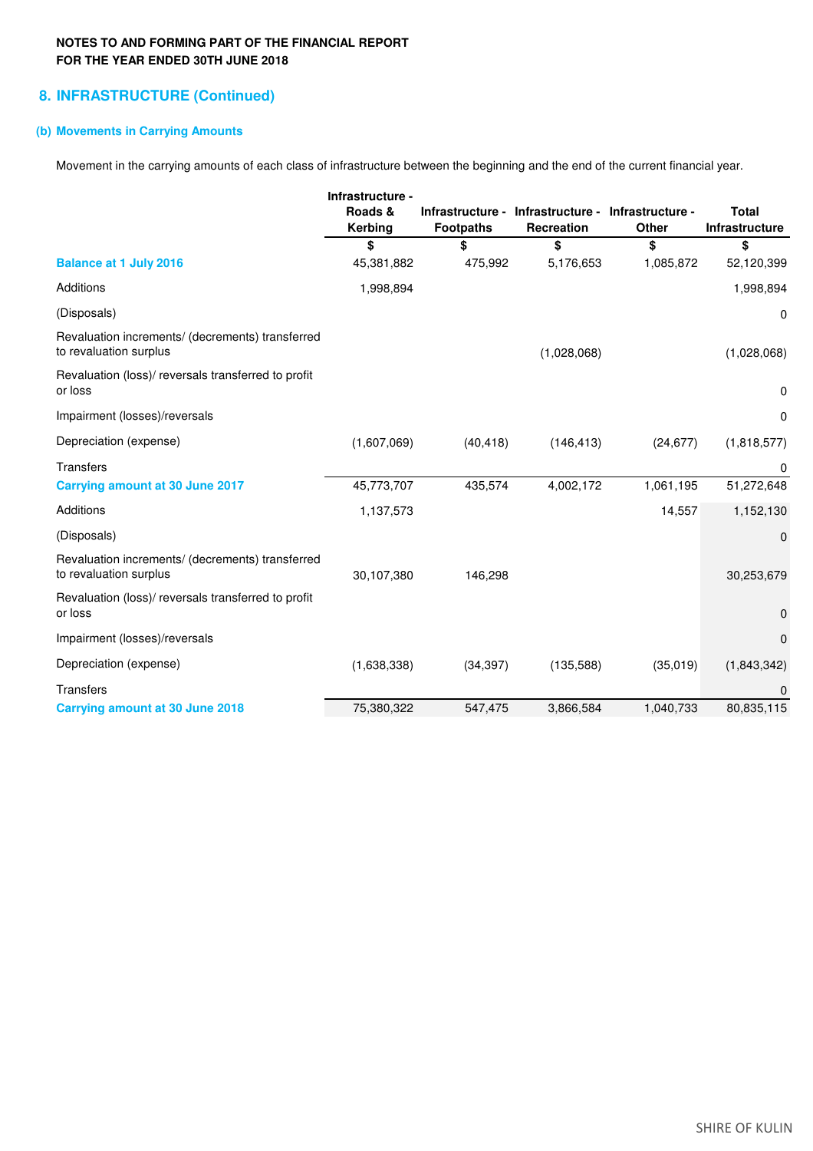## **8. INFRASTRUCTURE (Continued)**

### **(b) Movements in Carrying Amounts**

Movement in the carrying amounts of each class of infrastructure between the beginning and the end of the current financial year.

|                                                                            | Infrastructure -   |                  |                                                 |                                  |                                |
|----------------------------------------------------------------------------|--------------------|------------------|-------------------------------------------------|----------------------------------|--------------------------------|
|                                                                            | Roads &<br>Kerbing | <b>Footpaths</b> | Infrastructure - Infrastructure -<br>Recreation | Infrastructure -<br><b>Other</b> | <b>Total</b><br>Infrastructure |
|                                                                            | \$                 | \$               | \$                                              | \$                               | \$                             |
| <b>Balance at 1 July 2016</b>                                              | 45,381,882         | 475,992          | 5,176,653                                       | 1,085,872                        | 52,120,399                     |
| Additions                                                                  | 1,998,894          |                  |                                                 |                                  | 1,998,894                      |
| (Disposals)                                                                |                    |                  |                                                 |                                  | 0                              |
| Revaluation increments/ (decrements) transferred<br>to revaluation surplus |                    |                  | (1,028,068)                                     |                                  | (1,028,068)                    |
| Revaluation (loss)/ reversals transferred to profit<br>or loss             |                    |                  |                                                 |                                  | 0                              |
| Impairment (losses)/reversals                                              |                    |                  |                                                 |                                  | 0                              |
| Depreciation (expense)                                                     | (1,607,069)        | (40, 418)        | (146, 413)                                      | (24, 677)                        | (1,818,577)                    |
| <b>Transfers</b>                                                           |                    |                  |                                                 |                                  | 0                              |
| <b>Carrying amount at 30 June 2017</b>                                     | 45,773,707         | 435,574          | 4,002,172                                       | 1,061,195                        | 51,272,648                     |
| Additions                                                                  | 1,137,573          |                  |                                                 | 14,557                           | 1,152,130                      |
| (Disposals)                                                                |                    |                  |                                                 |                                  | 0                              |
| Revaluation increments/ (decrements) transferred<br>to revaluation surplus | 30,107,380         | 146,298          |                                                 |                                  | 30,253,679                     |
| Revaluation (loss)/ reversals transferred to profit<br>or loss             |                    |                  |                                                 |                                  | 0                              |
| Impairment (losses)/reversals                                              |                    |                  |                                                 |                                  | $\mathbf 0$                    |
| Depreciation (expense)                                                     | (1,638,338)        | (34, 397)        | (135,588)                                       | (35,019)                         | (1,843,342)                    |
| <b>Transfers</b>                                                           |                    |                  |                                                 |                                  | 0                              |
| <b>Carrying amount at 30 June 2018</b>                                     | 75,380,322         | 547,475          | 3,866,584                                       | 1,040,733                        | 80,835,115                     |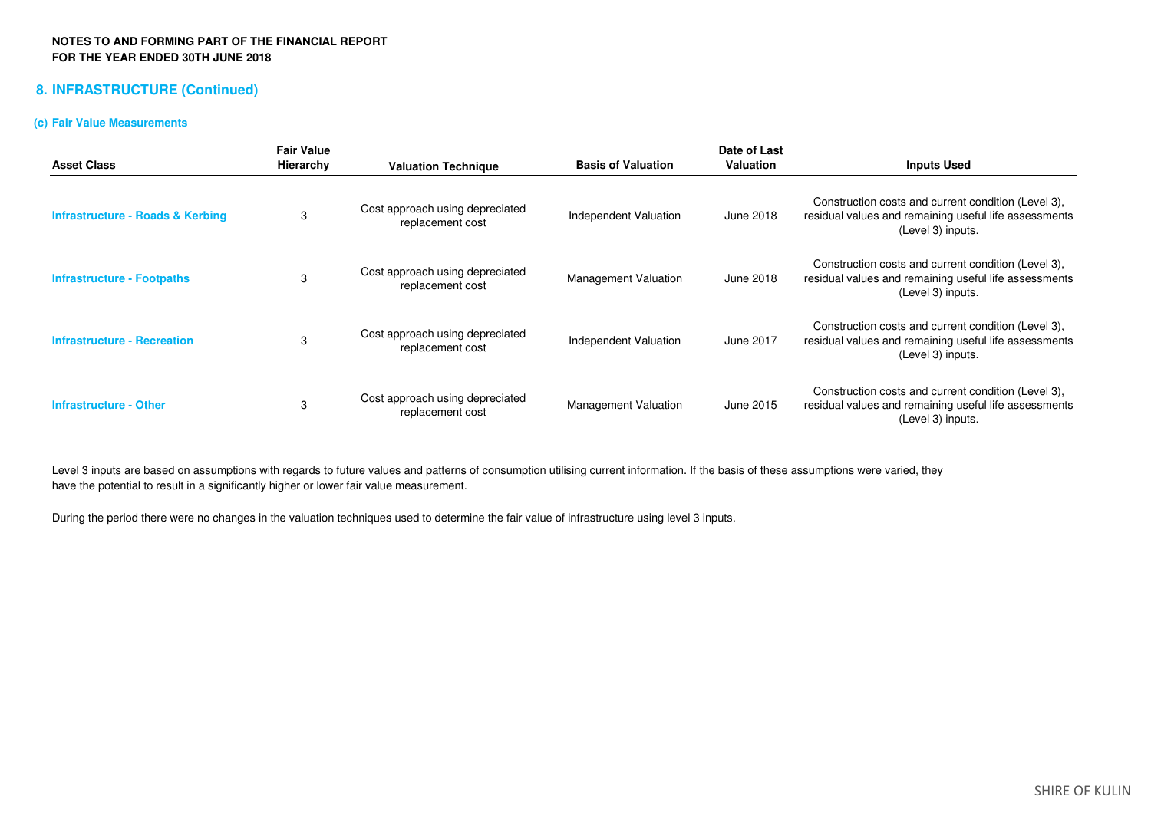## **8. INFRASTRUCTURE (Continued)**

### **(c) Fair Value Measurements**

| <b>Asset Class</b>                          | <b>Fair Value</b><br><b>Hierarchy</b> | <b>Valuation Technique</b>                          | <b>Basis of Valuation</b>   | Date of Last<br><b>Valuation</b> | <b>Inputs Used</b>                                                                                                                |
|---------------------------------------------|---------------------------------------|-----------------------------------------------------|-----------------------------|----------------------------------|-----------------------------------------------------------------------------------------------------------------------------------|
| <b>Infrastructure - Roads &amp; Kerbing</b> | 3                                     | Cost approach using depreciated<br>replacement cost | Independent Valuation       | June 2018                        | Construction costs and current condition (Level 3),<br>residual values and remaining useful life assessments<br>(Level 3) inputs. |
| <b>Infrastructure - Footpaths</b>           | 3                                     | Cost approach using depreciated<br>replacement cost | <b>Management Valuation</b> | June 2018                        | Construction costs and current condition (Level 3),<br>residual values and remaining useful life assessments<br>(Level 3) inputs. |
| <b>Infrastructure - Recreation</b>          | 3                                     | Cost approach using depreciated<br>replacement cost | Independent Valuation       | June 2017                        | Construction costs and current condition (Level 3),<br>residual values and remaining useful life assessments<br>(Level 3) inputs. |
| <b>Infrastructure - Other</b>               | 3                                     | Cost approach using depreciated<br>replacement cost | <b>Management Valuation</b> | June 2015                        | Construction costs and current condition (Level 3),<br>residual values and remaining useful life assessments<br>(Level 3) inputs. |

Level 3 inputs are based on assumptions with regards to future values and patterns of consumption utilising current information. If the basis of these assumptions were varied, theyhave the potential to result in a significantly higher or lower fair value measurement.

During the period there were no changes in the valuation techniques used to determine the fair value of infrastructure using level 3 inputs.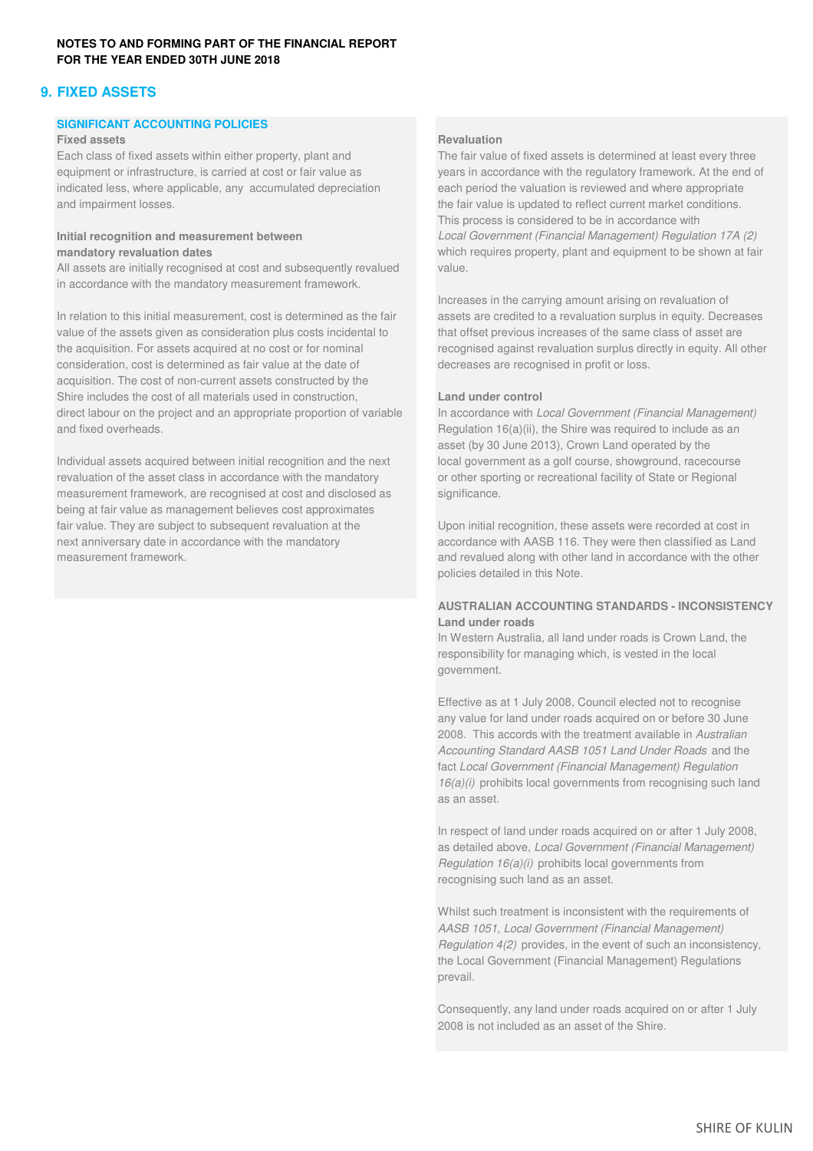## **9. FIXED ASSETS**

### **SIGNIFICANT ACCOUNTING POLICIES**

### **Fixed assets Revaluation**

indicated less, where applicable, any accumulated depreciation each period the valuation is reviewed and where appropriate and impairment losses. the fair value is updated to reflect current market conditions.

All assets are initially recognised at cost and subsequently revalued value. in accordance with the mandatory measurement framework.

In relation to this initial measurement, cost is determined as the fair assets are credited to a revaluation surplus in equity. Decreases value of the assets given as consideration plus costs incidental to that offset previous increases of the same class of asset are the acquisition. For assets acquired at no cost or for nominal recognised against revaluation surplus directly in equity. All other consideration, cost is determined as fair value at the date of decreases are recognised in profit or loss. acquisition. The cost of non-current assets constructed by the Shire includes the cost of all materials used in construction, **Land under control** direct labour on the project and an appropriate proportion of variable In accordance with *Local Government (Financial Management)* and fixed overheads.  $\Box$  Regulation 16(a)(ii), the Shire was required to include as an

Individual assets acquired between initial recognition and the next local government as a golf course, showground, racecourse revaluation of the asset class in accordance with the mandatory or other sporting or recreational facility of State or Regional measurement framework, are recognised at cost and disclosed as significance. being at fair value as management believes cost approximates fair value. They are subject to subsequent revaluation at the Upon initial recognition, these assets were recorded at cost in next anniversary date in accordance with the mandatory accordance with AASB 116. They were then classified as Land measurement framework. The comparison of the comparison of the comparison of the other land in accordance with the other

Each class of fixed assets within either property, plant and The fair value of fixed assets is determined at least every three equipment or infrastructure, is carried at cost or fair value as years in accordance with the regulatory framework. At the end of This process is considered to be in accordance with **Initial recognition and measurement between** *Local Government (Financial Management) Regulation 17A (2)*  **mandatory revaluation dates** and **review of the state of the state of the shown at fair** which requires property, plant and equipment to be shown at fair

Increases in the carrying amount arising on revaluation of

asset (by 30 June 2013), Crown Land operated by the

policies detailed in this Note.

### **AUSTRALIAN ACCOUNTING STANDARDS - INCONSISTENCY Land under roads**

In Western Australia, all land under roads is Crown Land, the responsibility for managing which, is vested in the local government.

Effective as at 1 July 2008, Council elected not to recognise any value for land under roads acquired on or before 30 June 2008. This accords with the treatment available in *Australian Accounting Standard AASB 1051 Land Under Roads* and the fact *Local Government (Financial Management) Regulation 16(a)(i)* prohibits local governments from recognising such land as an asset.

In respect of land under roads acquired on or after 1 July 2008, as detailed above, *Local Government (Financial Management) Regulation 16(a)(i)* prohibits local governments from recognising such land as an asset.

Whilst such treatment is inconsistent with the requirements of *AASB 1051, Local Government (Financial Management) Regulation 4(2)* provides, in the event of such an inconsistency, the Local Government (Financial Management) Regulations prevail.

Consequently, any land under roads acquired on or after 1 July 2008 is not included as an asset of the Shire.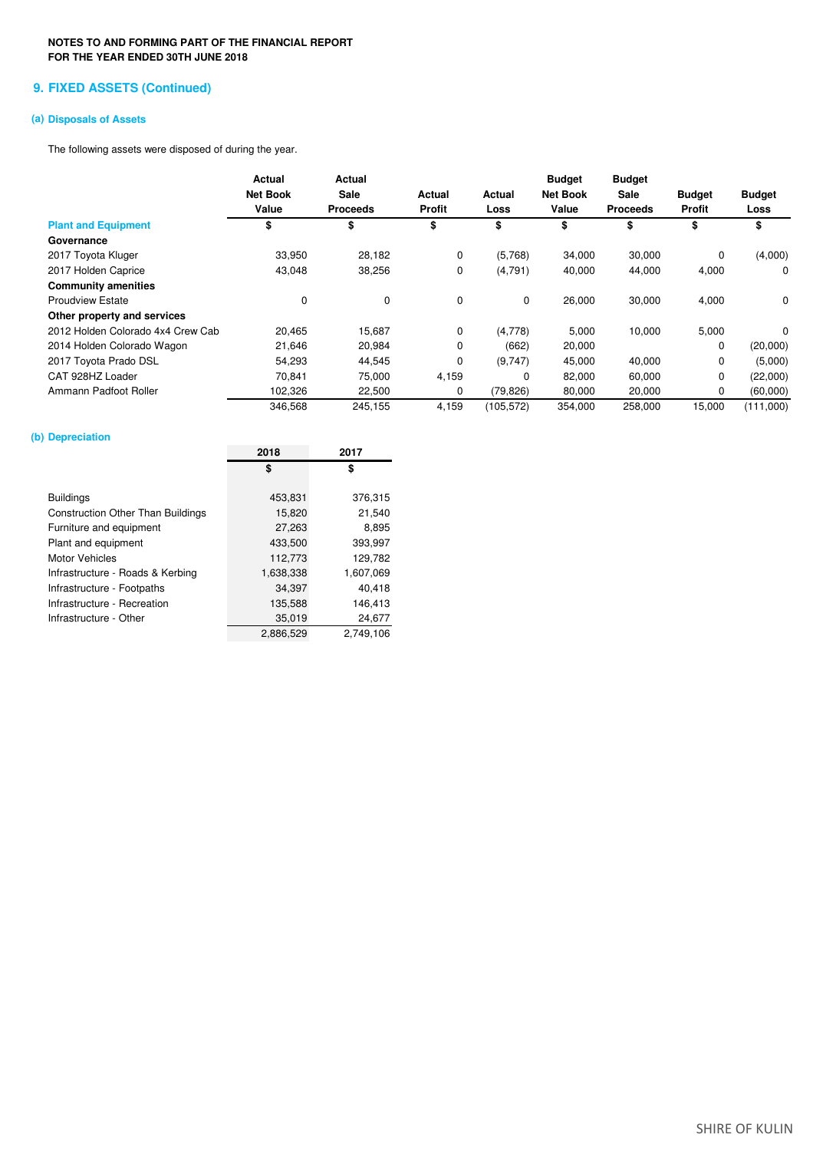### **9. FIXED ASSETS (Continued)**

### **(a) Disposals of Assets**

The following assets were disposed of during the year.

|                                   | Actual<br><b>Net Book</b><br>Value | <b>Actual</b><br>Sale<br><b>Proceeds</b> | Actual<br><b>Profit</b> | Actual<br>Loss | <b>Budget</b><br><b>Net Book</b><br>Value | <b>Budget</b><br>Sale<br><b>Proceeds</b> | <b>Budget</b><br><b>Profit</b> | <b>Budget</b><br>Loss |
|-----------------------------------|------------------------------------|------------------------------------------|-------------------------|----------------|-------------------------------------------|------------------------------------------|--------------------------------|-----------------------|
| <b>Plant and Equipment</b>        | \$                                 | \$                                       | \$                      | \$             | \$                                        | \$                                       | \$                             | \$                    |
| Governance                        |                                    |                                          |                         |                |                                           |                                          |                                |                       |
| 2017 Toyota Kluger                | 33,950                             | 28,182                                   | 0                       | (5,768)        | 34,000                                    | 30,000                                   | 0                              | (4,000)               |
| 2017 Holden Caprice               | 43,048                             | 38,256                                   | 0                       | (4,791)        | 40,000                                    | 44,000                                   | 4,000                          | 0                     |
| <b>Community amenities</b>        |                                    |                                          |                         |                |                                           |                                          |                                |                       |
| <b>Proudview Estate</b>           | $\mathbf 0$                        | 0                                        | 0                       | 0              | 26,000                                    | 30,000                                   | 4,000                          | 0                     |
| Other property and services       |                                    |                                          |                         |                |                                           |                                          |                                |                       |
| 2012 Holden Colorado 4x4 Crew Cab | 20,465                             | 15,687                                   | 0                       | (4,778)        | 5,000                                     | 10,000                                   | 5,000                          | $\Omega$              |
| 2014 Holden Colorado Wagon        | 21,646                             | 20,984                                   | 0                       | (662)          | 20,000                                    |                                          | 0                              | (20,000)              |
| 2017 Toyota Prado DSL             | 54,293                             | 44,545                                   | 0                       | (9,747)        | 45,000                                    | 40,000                                   | 0                              | (5,000)               |
| CAT 928HZ Loader                  | 70.841                             | 75,000                                   | 4,159                   | 0              | 82,000                                    | 60,000                                   | $\mathbf 0$                    | (22,000)              |
| Ammann Padfoot Roller             | 102,326                            | 22,500                                   | 0                       | (79, 826)      | 80,000                                    | 20,000                                   | 0                              | (60,000)              |
|                                   | 346,568                            | 245,155                                  | 4,159                   | (105, 572)     | 354,000                                   | 258,000                                  | 15,000                         | (111,000)             |

### **(b) Depreciation**

|                                          | 2018      | 2017      |
|------------------------------------------|-----------|-----------|
|                                          | \$        | \$        |
|                                          |           |           |
| Buildings                                | 453,831   | 376,315   |
| <b>Construction Other Than Buildings</b> | 15,820    | 21,540    |
| Furniture and equipment                  | 27,263    | 8,895     |
| Plant and equipment                      | 433,500   | 393,997   |
| Motor Vehicles                           | 112,773   | 129,782   |
| Infrastructure - Roads & Kerbing         | 1,638,338 | 1,607,069 |
| Infrastructure - Footpaths               | 34,397    | 40,418    |
| Infrastructure - Recreation              | 135,588   | 146,413   |
| Infrastructure - Other                   | 35,019    | 24,677    |
|                                          | 2,886,529 | 2,749,106 |
|                                          |           |           |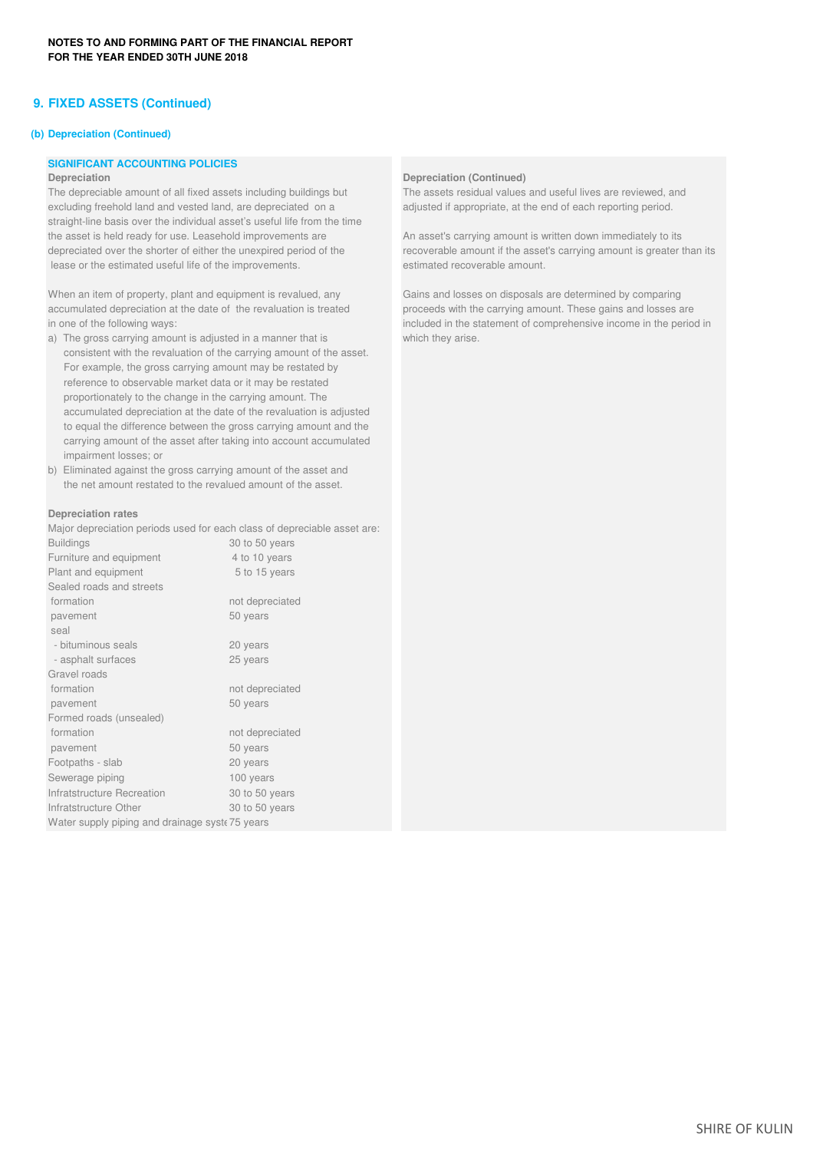### **9. FIXED ASSETS (Continued)**

### **(b) Depreciation (Continued)**

### **SIGNIFICANT ACCOUNTING POLICIES**

The depreciable amount of all fixed assets including buildings but The assets residual values and useful lives are reviewed, and excluding freehold land and vested land, are depreciated on a adjusted if appropriate, at the end of each reporting period. straight-line basis over the individual asset's useful life from the time the asset is held ready for use. Leasehold improvements are An asset's carrying amount is written down immediately to its depreciated over the shorter of either the unexpired period of the recoverable amount if the asset's carrying amount is greater than its lease or the estimated useful life of the improvements. estimated recoverable amount.

When an item of property, plant and equipment is revalued, any Gains and losses on disposals are determined by comparing accumulated depreciation at the date of the revaluation is treated proceeds with the carrying amount. These gains and losses are

- a) The gross carrying amount is adjusted in a manner that is which they arise. consistent with the revaluation of the carrying amount of the asset. For example, the gross carrying amount may be restated by reference to observable market data or it may be restated proportionately to the change in the carrying amount. The accumulated depreciation at the date of the revaluation is adjusted to equal the difference between the gross carrying amount and the carrying amount of the asset after taking into account accumulated impairment losses; or
- b) Eliminated against the gross carrying amount of the asset and the net amount restated to the revalued amount of the asset.

### **Depreciation rates**

Major depreciation periods used for each class of depreciable asset are:

| <b>Buildings</b>                               | 30 to 50 years  |
|------------------------------------------------|-----------------|
| Furniture and equipment                        | 4 to 10 years   |
| Plant and equipment                            | 5 to 15 years   |
| Sealed roads and streets                       |                 |
| formation                                      | not depreciated |
| pavement                                       | 50 years        |
| seal                                           |                 |
| - bituminous seals                             | 20 years        |
| - asphalt surfaces                             | 25 years        |
| Gravel roads                                   |                 |
| formation                                      | not depreciated |
| pavement                                       | 50 years        |
| Formed roads (unsealed)                        |                 |
| formation                                      | not depreciated |
| pavement                                       | 50 years        |
| Footpaths - slab                               | 20 years        |
| Sewerage piping                                | 100 years       |
| Infratstructure Recreation                     | 30 to 50 years  |
| Infratstructure Other                          | 30 to 50 years  |
| Water supply piping and drainage syst 75 years |                 |

### **Depreciation Depreciation Depreciation Depreciation Continued**)

in one of the following ways: included in the statement of comprehensive income in the period in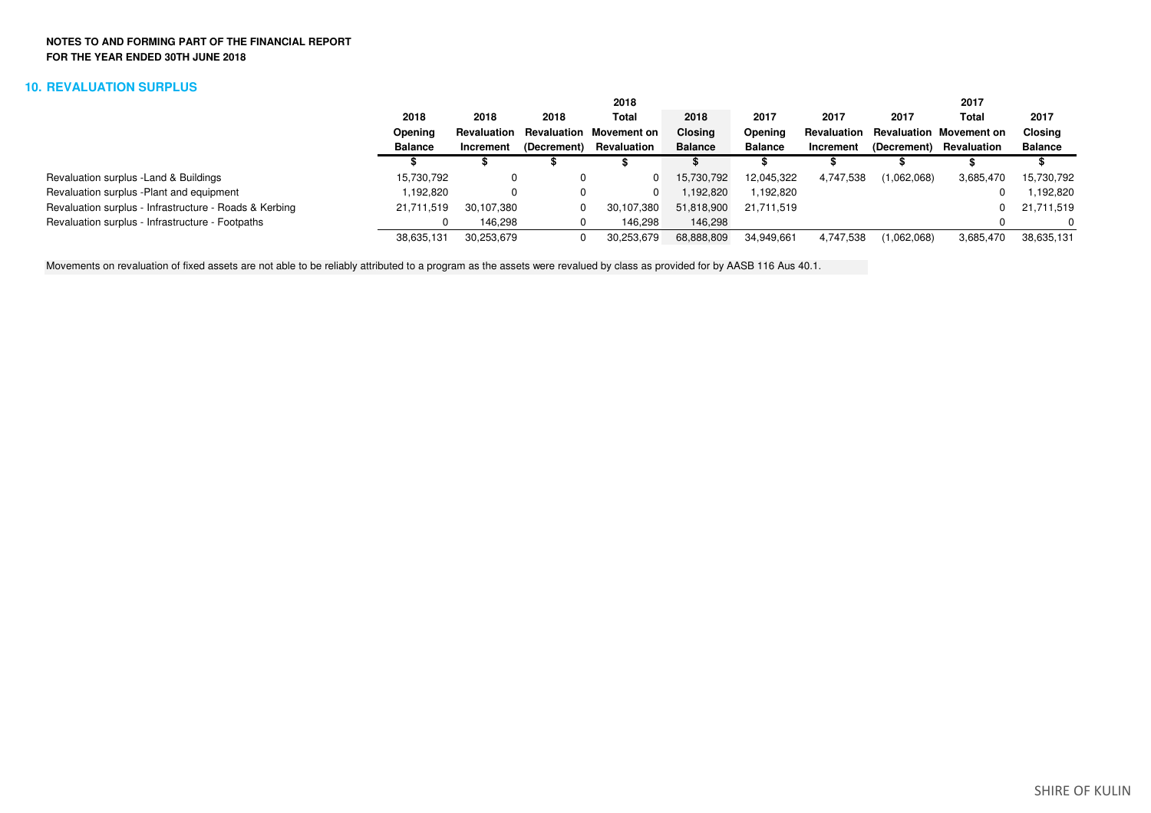### **10. REVALUATION SURPLUS**

|                                                        |                |             |             | 2018                           |                |                |             |             | 2017                           |                |
|--------------------------------------------------------|----------------|-------------|-------------|--------------------------------|----------------|----------------|-------------|-------------|--------------------------------|----------------|
|                                                        | 2018           | 2018        | 2018        | Total                          | 2018           | 2017           | 2017        | 2017        | Total                          | 2017           |
|                                                        | Opening        | Revaluation |             | <b>Revaluation Movement on</b> | <b>Closing</b> | Opening        | Revaluation |             | <b>Revaluation Movement on</b> | <b>Closing</b> |
|                                                        | <b>Balance</b> | Increment   | (Decrement) | Revaluation                    | <b>Balance</b> | <b>Balance</b> | Increment   | (Decrement) | Revaluation                    | <b>Balance</b> |
|                                                        |                |             |             |                                |                |                |             |             |                                |                |
| Revaluation surplus - Land & Buildings                 | 15,730,792     |             |             |                                | 15,730,792     | 12,045,322     | 4,747,538   | (1,062,068) | 3,685,470                      | 15,730,792     |
| Revaluation surplus - Plant and equipment              | .192.820       |             |             |                                | 192,820        | 1,192,820      |             |             |                                | .192,820       |
| Revaluation surplus - Infrastructure - Roads & Kerbing | 21,711,519     | 30,107,380  |             | 30,107,380                     | 51,818,900     | 21,711,519     |             |             | 0                              | 21,711,519     |
| Revaluation surplus - Infrastructure - Footpaths       |                | 146.298     |             | 146.298                        | 146.298        |                |             |             |                                | 0              |
|                                                        | 38,635,131     | 30,253,679  |             | 30,253,679                     | 68,888,809     | 34,949,661     | 4,747,538   | (1,062,068) | 3,685,470                      | 38,635,131     |
|                                                        |                |             |             |                                |                |                |             |             |                                |                |

Movements on revaluation of fixed assets are not able to be reliably attributed to a program as the assets were revalued by class as provided for by AASB 116 Aus 40.1.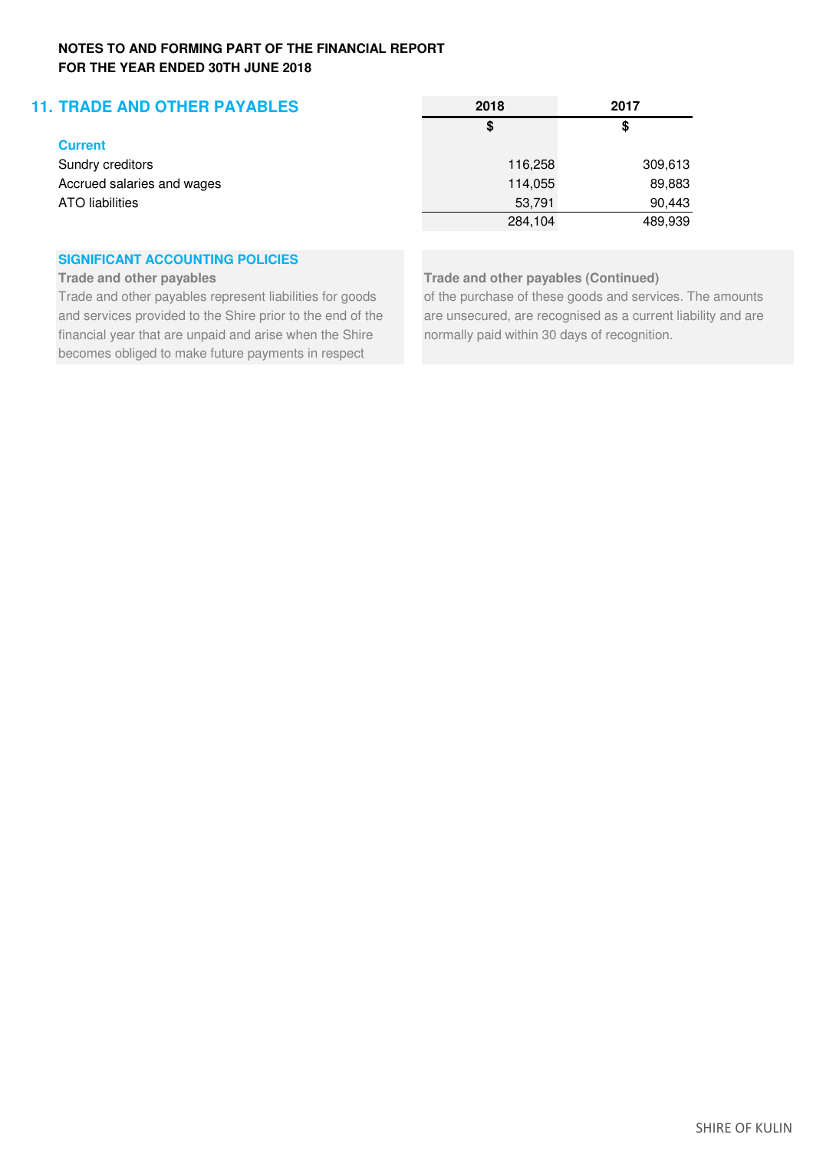# **11. TRADE AND OTHER PAYABLES 2018 2017**

|     | ٠  |  |
|-----|----|--|
|     |    |  |
| ___ | __ |  |

Sundry creditors Accrued salaries and wages ATO liabilities

# **SIGNIFICANT ACCOUNTING POLICIES**

financial year that are unpaid and arise when the Shire normally paid within 30 days of recognition. becomes obliged to make future payments in respect

| 2018    | 2017    |
|---------|---------|
| \$      | \$      |
| 116,258 | 309,613 |
| 114,055 | 89,883  |
| 53,791  | 90,443  |
| 284,104 | 489,939 |
|         |         |

**Trade and other payables Trade and other payables (Continued)**

Trade and other payables represent liabilities for goods of the purchase of these goods and services. The amounts and services provided to the Shire prior to the end of the are unsecured, are recognised as a current liability and are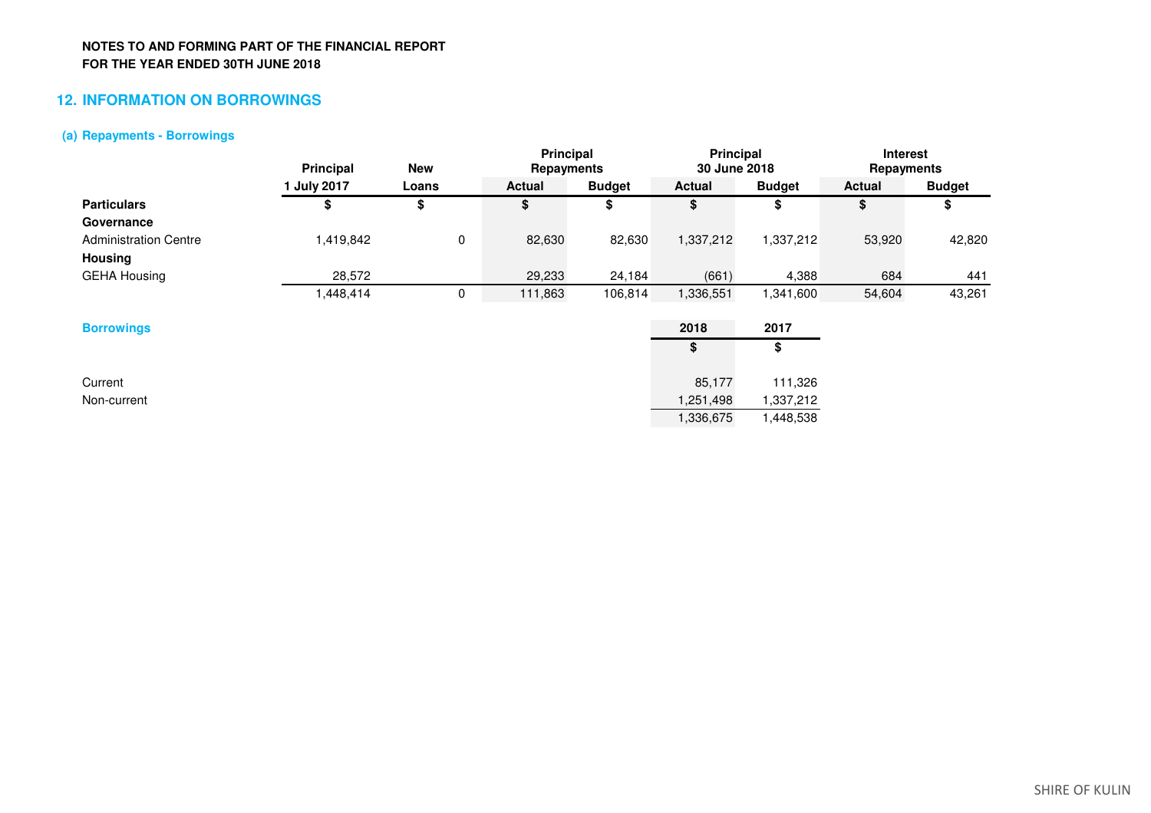# **12. INFORMATION ON BORROWINGS**

### **(a) Repayments - Borrowings**

|                              | Principal | <b>New</b> | <b>Principal</b><br>Repayments |               | <b>Principal</b><br>30 June 2018 |               | <b>Interest</b><br>Repayments |               |
|------------------------------|-----------|------------|--------------------------------|---------------|----------------------------------|---------------|-------------------------------|---------------|
|                              | July 2017 | Loans      | <b>Actual</b>                  | <b>Budget</b> | Actual                           | <b>Budget</b> | <b>Actual</b>                 | <b>Budget</b> |
| <b>Particulars</b>           |           | œ<br>จ     | \$                             |               | Φ                                | \$            | Φ                             |               |
| Governance                   |           |            |                                |               |                                  |               |                               |               |
| <b>Administration Centre</b> | ,419,842  | 0          | 82,630                         | 82,630        | 1,337,212                        | 1,337,212     | 53,920                        | 42,820        |
| <b>Housing</b>               |           |            |                                |               |                                  |               |                               |               |
| <b>GEHA Housing</b>          | 28,572    |            | 29,233                         | 24,184        | (661)                            | 4,388         | 684                           | 441           |
|                              | .448,414  | 0          | 111,863                        | 106,814       | 1,336,551                        | .341,600      | 54,604                        | 43,261        |
|                              |           |            |                                |               |                                  |               |                               |               |
| <b>Borrowings</b>            |           |            |                                |               | 2018                             | 2017          |                               |               |

| <b>Borrowings</b> | 2018      | 2017      |
|-------------------|-----------|-----------|
|                   | \$        | \$        |
| Current           | 85,177    | 111,326   |
| Non-current       | 1,251,498 | 1,337,212 |
|                   | 1,336,675 | 1,448,538 |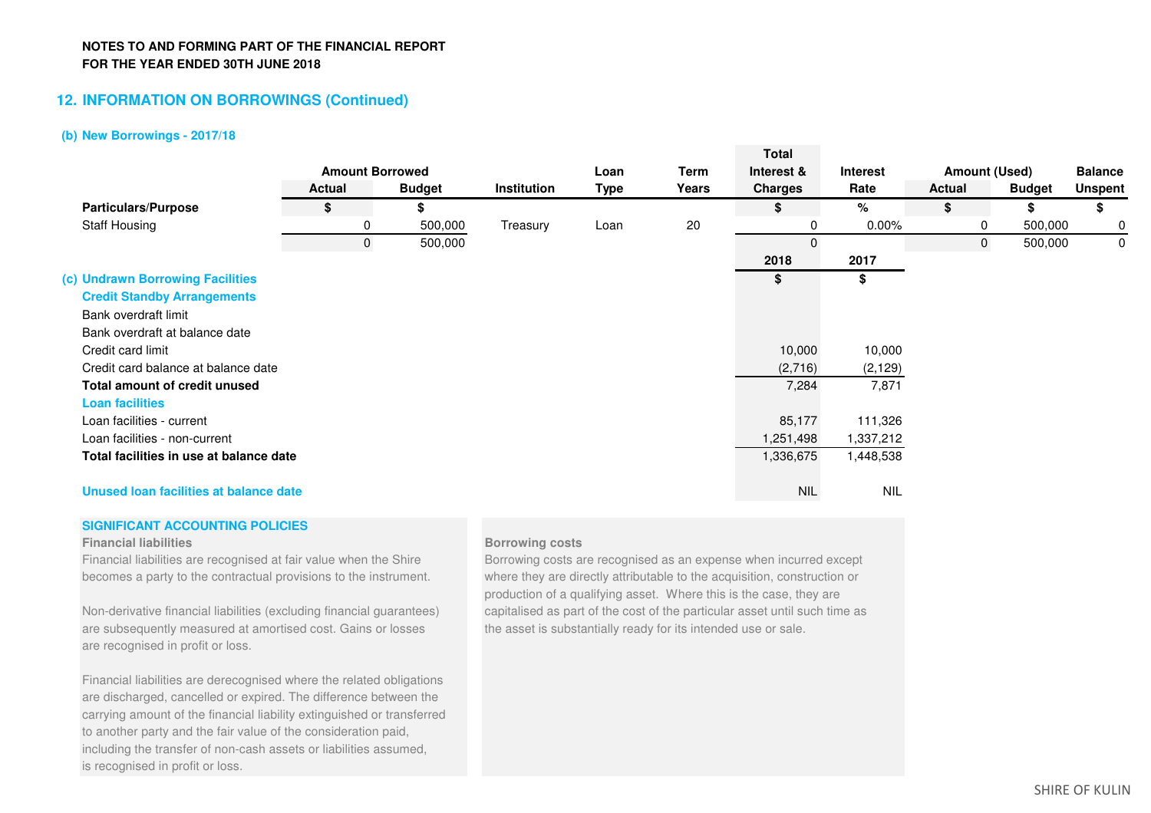## **12. INFORMATION ON BORROWINGS (Continued)**

### **(b) New Borrowings - 2017/18**

|                                         |                        |               |             |             |       | Total          |                 |                      |               |                |
|-----------------------------------------|------------------------|---------------|-------------|-------------|-------|----------------|-----------------|----------------------|---------------|----------------|
|                                         | <b>Amount Borrowed</b> |               |             | Loan        | Term  | Interest &     | <b>Interest</b> | <b>Amount (Used)</b> |               | <b>Balance</b> |
|                                         | <b>Actual</b>          | <b>Budget</b> | Institution | <b>Type</b> | Years | <b>Charges</b> | Rate            | <b>Actual</b>        | <b>Budget</b> | <b>Unspent</b> |
| <b>Particulars/Purpose</b>              | \$                     | \$            |             |             |       | S              | %               | \$                   | \$            | \$             |
| <b>Staff Housing</b>                    | 0                      | 500,000       | Treasury    | Loan        | 20    |                | $0.00\%$        | 0                    | 500,000       | 0              |
|                                         | 0                      | 500,000       |             |             |       | $\mathbf 0$    |                 | $\mathbf{0}$         | 500,000       | 0              |
|                                         |                        |               |             |             |       | 2018           | 2017            |                      |               |                |
| (c) Undrawn Borrowing Facilities        |                        |               |             |             |       | \$             | \$              |                      |               |                |
| <b>Credit Standby Arrangements</b>      |                        |               |             |             |       |                |                 |                      |               |                |
| Bank overdraft limit                    |                        |               |             |             |       |                |                 |                      |               |                |
| Bank overdraft at balance date          |                        |               |             |             |       |                |                 |                      |               |                |
| Credit card limit                       |                        |               |             |             |       | 10,000         | 10,000          |                      |               |                |
| Credit card balance at balance date     |                        |               |             |             |       | (2,716)        | (2, 129)        |                      |               |                |
| Total amount of credit unused           |                        |               |             |             |       | 7,284          | 7,871           |                      |               |                |
| <b>Loan facilities</b>                  |                        |               |             |             |       |                |                 |                      |               |                |
| Loan facilities - current               |                        |               |             |             |       | 85,177         | 111,326         |                      |               |                |
| Loan facilities - non-current           |                        |               |             |             |       | 251,498,       | 1,337,212       |                      |               |                |
| Total facilities in use at balance date |                        |               |             |             |       | 1,336,675      | 1,448,538       |                      |               |                |
| Unused Ioan facilities at balance date  |                        |               |             |             |       | <b>NIL</b>     | <b>NIL</b>      |                      |               |                |
|                                         |                        |               |             |             |       |                |                 |                      |               |                |

### **SIGNIFICANT ACCOUNTING POLICIES**

### **Financial liabilities**

**Financial liabilities**<br>Financial liabilities are recognised at fair value when the Shire<br>Borrowing costs are

are subsequently measured at amortised cost. Gains or losses the asset is substantially ready for its intended use or sale. are recognised in profit or loss.

Financial liabilities are derecognised where the related obligations are discharged, cancelled or expired. The difference between the carrying amount of the financial liability extinguished or transferred to another party and the fair value of the consideration paid, including the transfer of non-cash assets or liabilities assumed, is recognised in profit or loss.

Borrowing costs are recognised as an expense when incurred except becomes a party to the contractual provisions to the instrument. where they are directly attributable to the acquisition, construction or production of a qualifying asset. Where this is the case, they are Non-derivative financial liabilities (excluding financial guarantees) capitalised as part of the cost of the particular asset until such time as

**Total Total Total**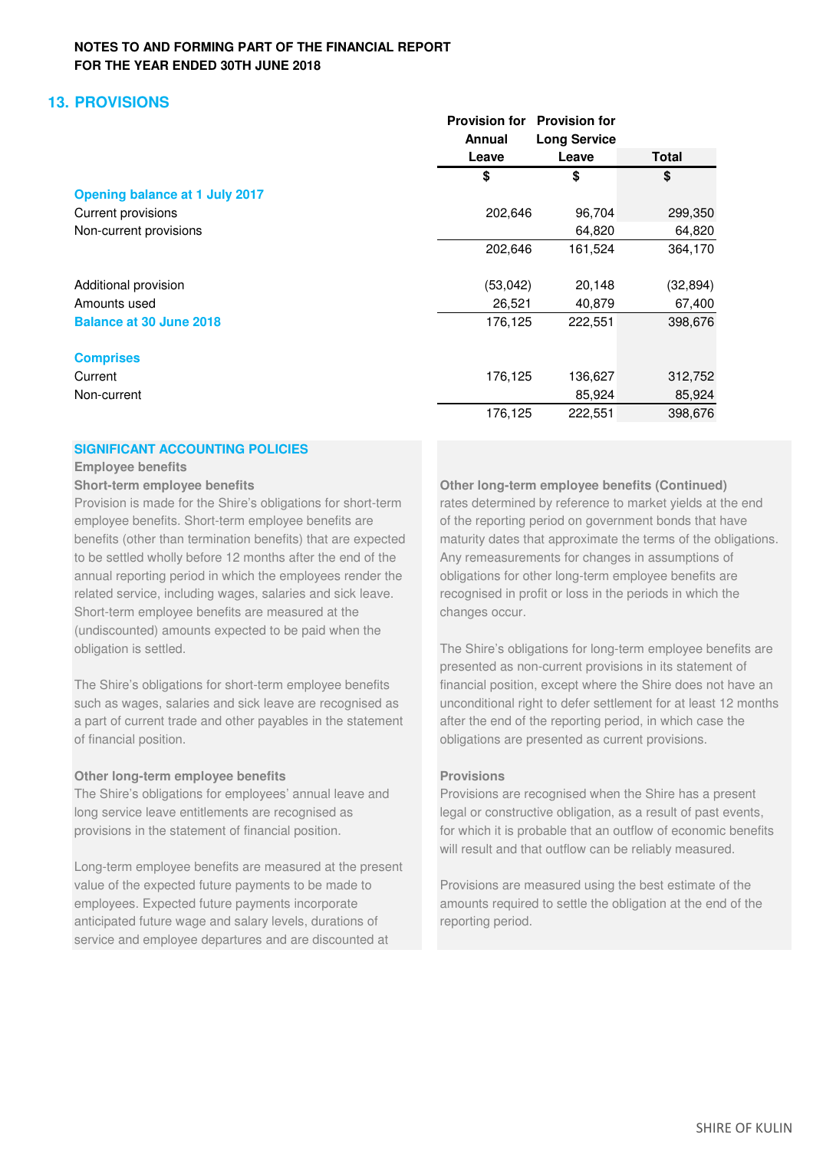# **13. PROVISIONS**

|                                       | <b>Provision for</b><br>Annual | <b>Provision for</b><br><b>Long Service</b> |              |
|---------------------------------------|--------------------------------|---------------------------------------------|--------------|
|                                       | Leave                          | Leave                                       | <b>Total</b> |
|                                       | \$                             | \$                                          | \$           |
| <b>Opening balance at 1 July 2017</b> |                                |                                             |              |
| Current provisions                    | 202,646                        | 96,704                                      | 299,350      |
| Non-current provisions                |                                | 64,820                                      | 64,820       |
|                                       | 202,646                        | 161,524                                     | 364,170      |
| Additional provision                  | (53, 042)                      | 20,148                                      | (32, 894)    |
| Amounts used                          | 26,521                         | 40,879                                      | 67,400       |
| <b>Balance at 30 June 2018</b>        | 176,125                        | 222,551                                     | 398,676      |
| <b>Comprises</b>                      |                                |                                             |              |
| Current                               | 176,125                        | 136,627                                     | 312,752      |
| Non-current                           |                                | 85,924                                      | 85,924       |
|                                       | 176,125                        | 222,551                                     | 398,676      |

### **SIGNIFICANT ACCOUNTING POLICIES**

### **Employee benefits**

Provision is made for the Shire's obligations for short-term rates determined by reference to market yields at the end employee benefits. Short-term employee benefits are of the reporting period on government bonds that have to be settled wholly before 12 months after the end of the Any remeasurements for changes in assumptions of annual reporting period in which the employees render the obligations for other long-term employee benefits are related service, including wages, salaries and sick leave. recognised in profit or loss in the periods in which the Short-term employee benefits are measured at the changes occur. (undiscounted) amounts expected to be paid when the

a part of current trade and other payables in the statement after the end of the reporting period, in which case the of financial position. obligations are presented as current provisions.

### **Other long-term employee benefits Provisions**

Long-term employee benefits are measured at the present value of the expected future payments to be made to Provisions are measured using the best estimate of the employees. Expected future payments incorporate amounts required to settle the obligation at the end of the anticipated future wage and salary levels, durations of reporting period. service and employee departures and are discounted at

**Short-term employee benefits Other long-term employee benefits (Continued)** benefits (other than termination benefits) that are expected maturity dates that approximate the terms of the obligations.

obligation is settled. The Shire's obligations for long-term employee benefits are presented as non-current provisions in its statement of The Shire's obligations for short-term employee benefits financial position, except where the Shire does not have an such as wages, salaries and sick leave are recognised as unconditional right to defer settlement for at least 12 months

The Shire's obligations for employees' annual leave and Provisions are recognised when the Shire has a present long service leave entitlements are recognised as legal or constructive obligation, as a result of past events, provisions in the statement of financial position. For which it is probable that an outflow of economic benefits will result and that outflow can be reliably measured.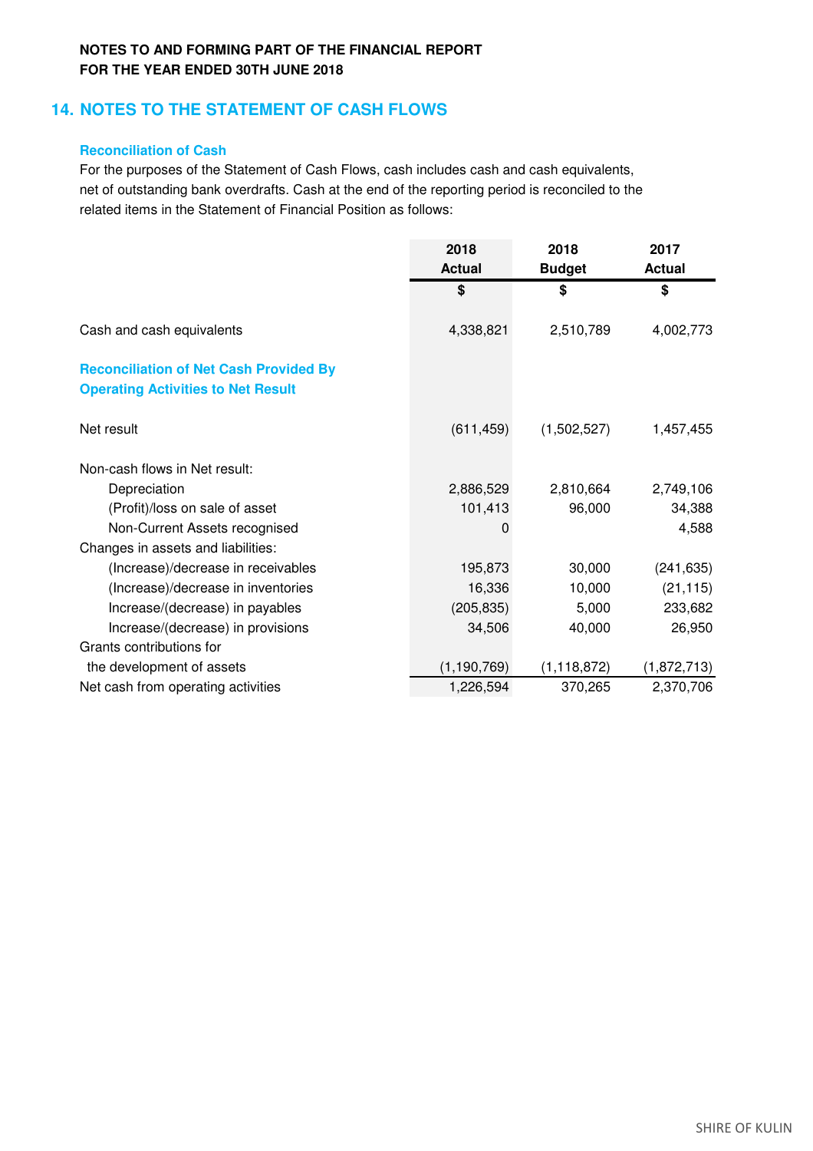# **14. NOTES TO THE STATEMENT OF CASH FLOWS**

## **Reconciliation of Cash**

For the purposes of the Statement of Cash Flows, cash includes cash and cash equivalents, net of outstanding bank overdrafts. Cash at the end of the reporting period is reconciled to the related items in the Statement of Financial Position as follows:

|                                                                                            | 2018<br><b>Actual</b> | 2018<br><b>Budget</b> | 2017<br><b>Actual</b> |
|--------------------------------------------------------------------------------------------|-----------------------|-----------------------|-----------------------|
|                                                                                            | \$                    | \$                    | \$                    |
| Cash and cash equivalents                                                                  | 4,338,821             | 2,510,789             | 4,002,773             |
| <b>Reconciliation of Net Cash Provided By</b><br><b>Operating Activities to Net Result</b> |                       |                       |                       |
| Net result                                                                                 | (611, 459)            | (1,502,527)           | 1,457,455             |
| Non-cash flows in Net result:                                                              |                       |                       |                       |
| Depreciation                                                                               | 2,886,529             | 2,810,664             | 2,749,106             |
| (Profit)/loss on sale of asset                                                             | 101,413               | 96,000                | 34,388                |
| Non-Current Assets recognised                                                              | 0                     |                       | 4,588                 |
| Changes in assets and liabilities:                                                         |                       |                       |                       |
| (Increase)/decrease in receivables                                                         | 195,873               | 30,000                | (241, 635)            |
| (Increase)/decrease in inventories                                                         | 16,336                | 10,000                | (21, 115)             |
| Increase/(decrease) in payables                                                            | (205, 835)            | 5,000                 | 233,682               |
| Increase/(decrease) in provisions                                                          | 34,506                | 40,000                | 26,950                |
| Grants contributions for                                                                   |                       |                       |                       |
| the development of assets                                                                  | (1, 190, 769)         | (1, 118, 872)         | (1,872,713)           |
| Net cash from operating activities                                                         | 1,226,594             | 370,265               | 2,370,706             |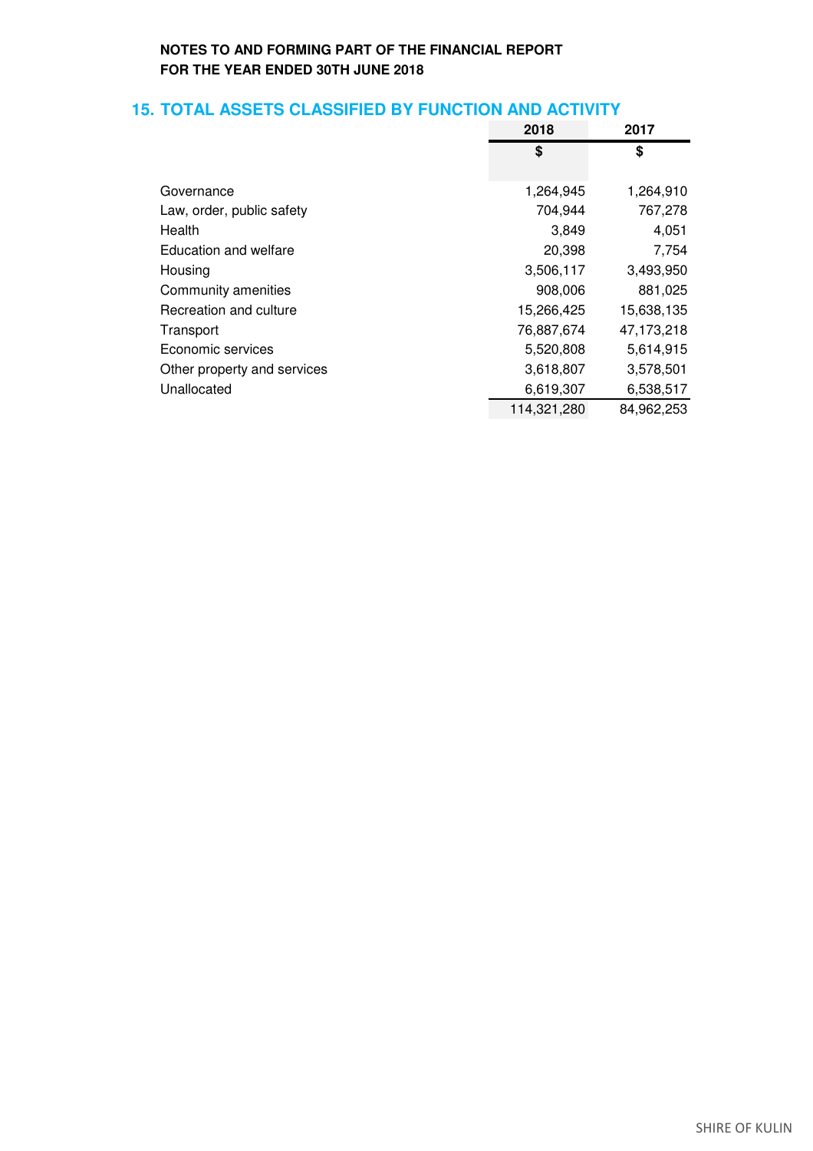# **15. TOTAL ASSETS CLASSIFIED BY FUNCTION AND ACTIVITY**

|                             | 2018        | 2017       |
|-----------------------------|-------------|------------|
|                             | \$          | \$         |
| Governance                  | 1,264,945   | 1,264,910  |
| Law, order, public safety   | 704,944     | 767,278    |
| Health                      | 3,849       | 4,051      |
| Education and welfare       | 20,398      | 7,754      |
| Housing                     | 3,506,117   | 3,493,950  |
| Community amenities         | 908,006     | 881,025    |
| Recreation and culture      | 15,266,425  | 15,638,135 |
| Transport                   | 76,887,674  | 47,173,218 |
| Economic services           | 5,520,808   | 5,614,915  |
| Other property and services | 3,618,807   | 3,578,501  |
| Unallocated                 | 6,619,307   | 6,538,517  |
|                             | 114,321,280 | 84,962,253 |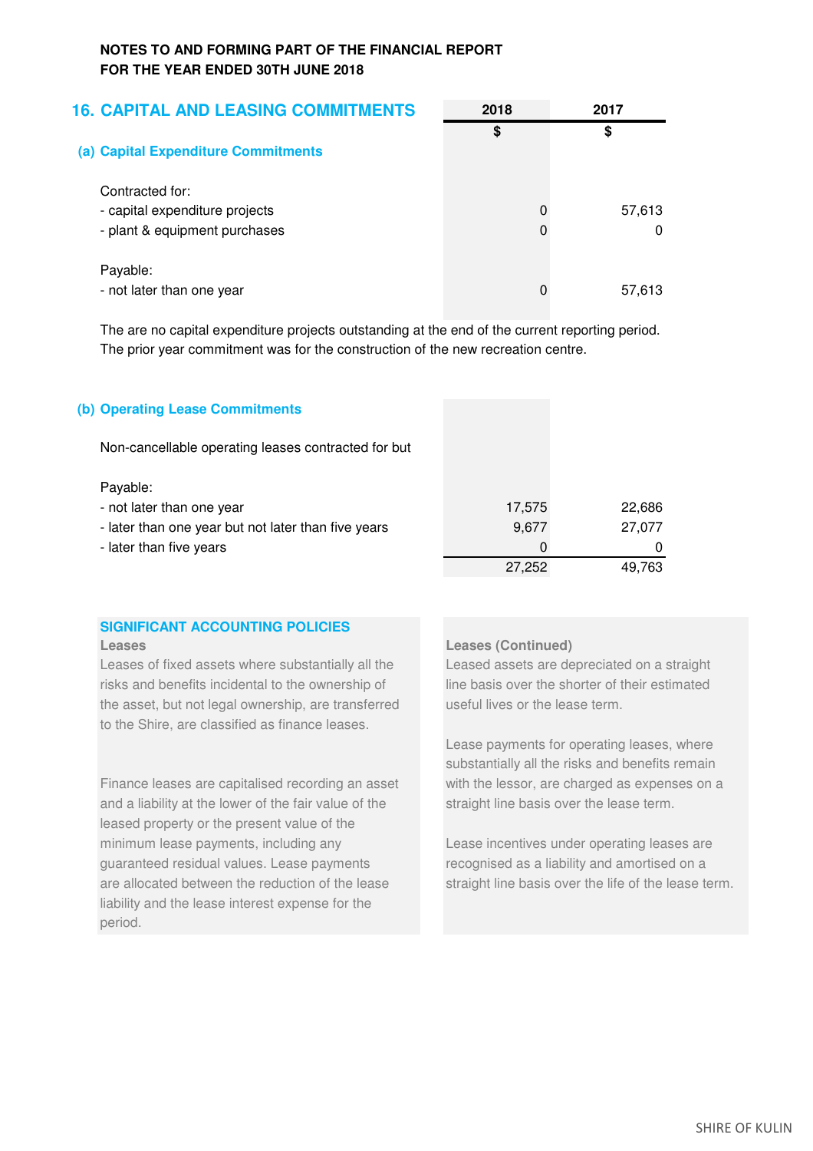| <b>16. CAPITAL AND LEASING COMMITMENTS</b> | 2018 | 2017   |
|--------------------------------------------|------|--------|
| (a) Capital Expenditure Commitments        | \$   | \$     |
| Contracted for:                            |      |        |
| - capital expenditure projects             |      | 57,613 |
| - plant & equipment purchases              |      | 0      |
| Payable:                                   |      |        |
| - not later than one year                  |      | 57,613 |

The are no capital expenditure projects outstanding at the end of the current reporting period. The prior year commitment was for the construction of the new recreation centre.

## **(b) Operating Lease Commitments**

Non-cancellable operating leases contracted for but

### Payable:

| Payable:                                            |          |        |
|-----------------------------------------------------|----------|--------|
| - not later than one year                           | 17.575   | 22,686 |
| - later than one year but not later than five years | 9.677    | 27.077 |
| - later than five years                             | $\Omega$ |        |
|                                                     | 27.252   | 49.763 |

# **SIGNIFICANT ACCOUNTING POLICIES**

Leases of fixed assets where substantially all the Leased assets are depreciated on a straight risks and benefits incidental to the ownership of line basis over the shorter of their estimated the asset, but not legal ownership, are transferred useful lives or the lease term. to the Shire, are classified as finance leases.

Finance leases are capitalised recording an asset with the lessor, are charged as expenses on a and a liability at the lower of the fair value of the straight line basis over the lease term. leased property or the present value of the minimum lease payments, including any **Lease** incentives under operating leases are guaranteed residual values. Lease payments recognised as a liability and amortised on a are allocated between the reduction of the lease straight line basis over the life of the lease term. liability and the lease interest expense for the period.

### **Leases Leases (Continued)**

Lease payments for operating leases, where substantially all the risks and benefits remain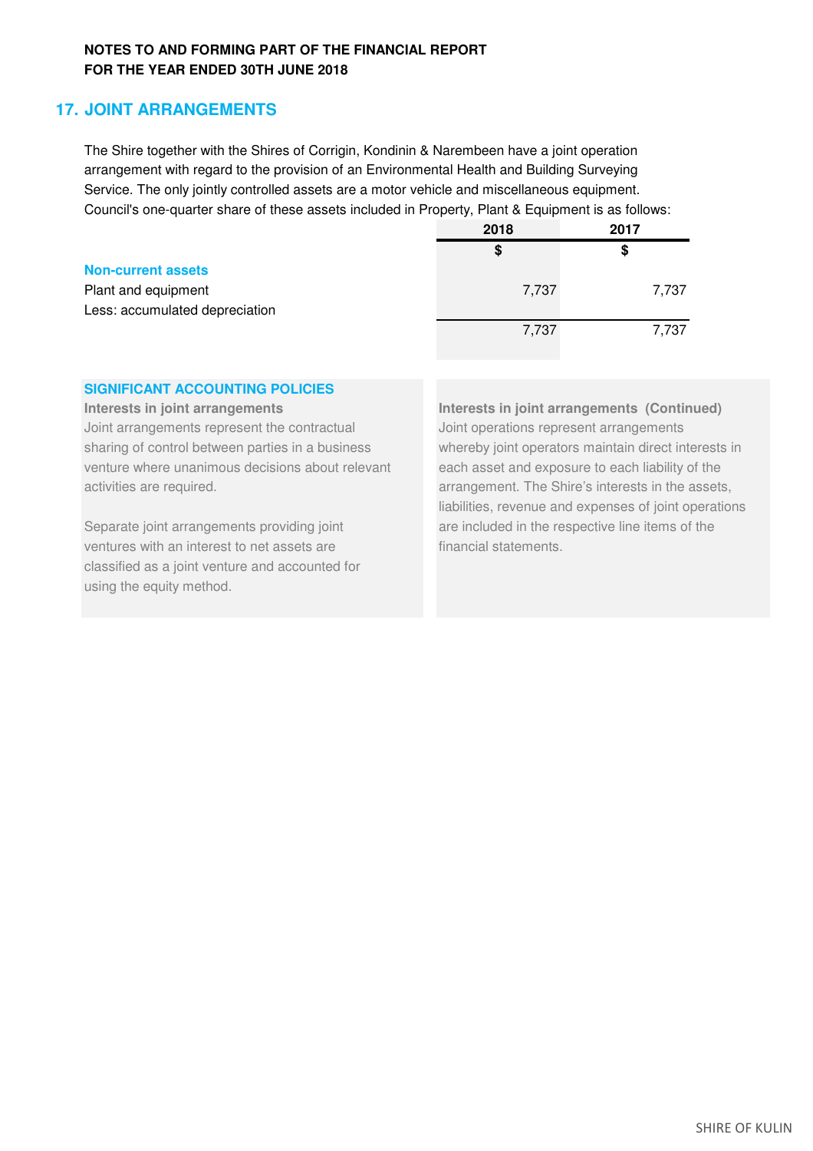# **17. JOINT ARRANGEMENTS**

The Shire together with the Shires of Corrigin, Kondinin & Narembeen have a joint operation arrangement with regard to the provision of an Environmental Health and Building Surveying Service. The only jointly controlled assets are a motor vehicle and miscellaneous equipment. Council's one-quarter share of these assets included in Property, Plant & Equipment is as follows:

|                                | 2018  | 2017  |
|--------------------------------|-------|-------|
|                                | \$    | \$    |
| <b>Non-current assets</b>      |       |       |
| Plant and equipment            | 7,737 | 7,737 |
| Less: accumulated depreciation |       |       |
|                                | 7,737 | 7,737 |
|                                |       |       |

# **SIGNIFICANT ACCOUNTING POLICIES**

Joint arrangements represent the contractual Joint operations represent arrangements sharing of control between parties in a business whereby joint operators maintain direct interests in venture where unanimous decisions about relevant each asset and exposure to each liability of the activities are required. And the state of the Shire's interests in the assets,

Separate joint arrangements providing joint are included in the respective line items of the ventures with an interest to net assets are **financial statements**. classified as a joint venture and accounted for using the equity method.

**Interests in joint arrangements Interests in joint arrangements (Continued)** liabilities, revenue and expenses of joint operations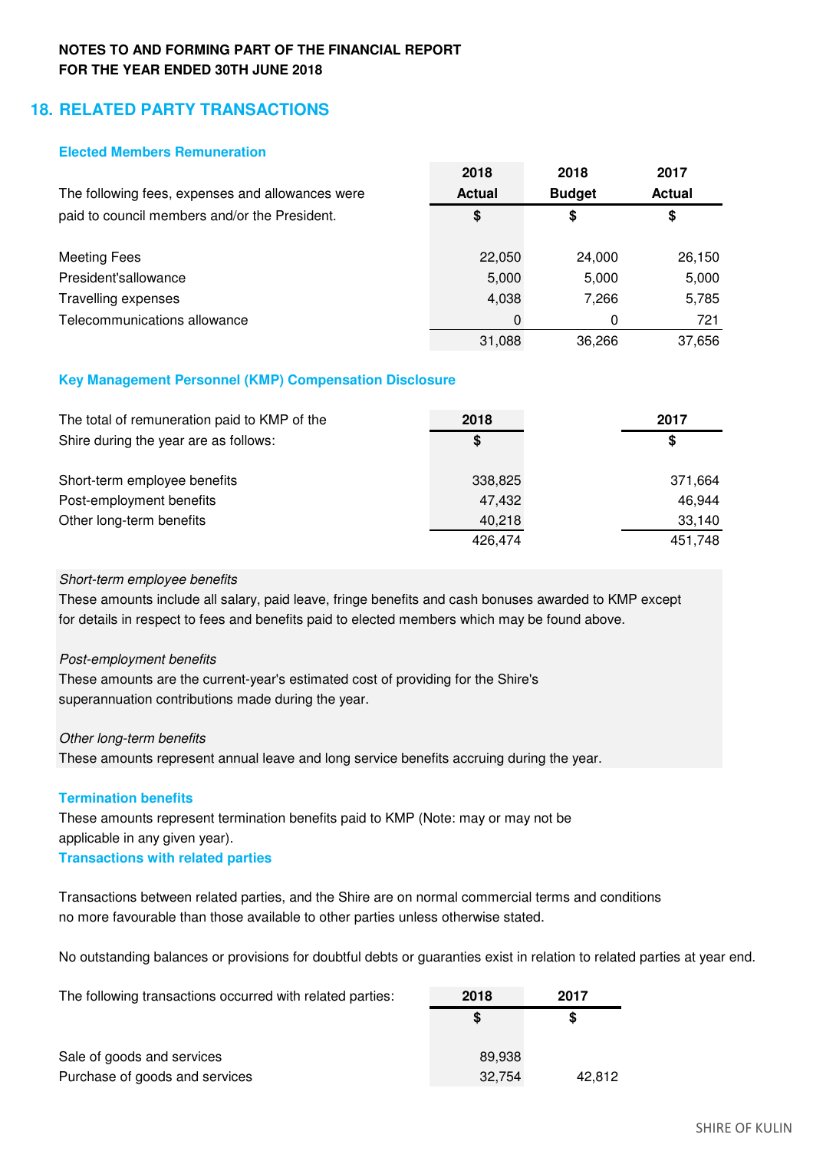# **18. RELATED PARTY TRANSACTIONS**

## **Elected Members Remuneration**

|                                                  | 2018          | 2018          | 2017          |
|--------------------------------------------------|---------------|---------------|---------------|
| The following fees, expenses and allowances were | <b>Actual</b> | <b>Budget</b> | <b>Actual</b> |
| paid to council members and/or the President.    | \$            | \$            | \$            |
|                                                  |               |               |               |
| Meeting Fees                                     | 22,050        | 24,000        | 26,150        |
| President'sallowance                             | 5,000         | 5,000         | 5,000         |
| Travelling expenses                              | 4,038         | 7.266         | 5,785         |
| Telecommunications allowance                     |               | 0             | 721           |
|                                                  | 31,088        | 36.266        | 37,656        |

## **Key Management Personnel (KMP) Compensation Disclosure**

| The total of remuneration paid to KMP of the | 2018    | 2017    |
|----------------------------------------------|---------|---------|
| Shire during the year are as follows:        | S.      | \$      |
| Short-term employee benefits                 | 338,825 | 371,664 |
| Post-employment benefits                     | 47,432  | 46,944  |
| Other long-term benefits                     | 40,218  | 33,140  |
|                                              | 426.474 | 451,748 |

## *Short-term employee benefits*

These amounts include all salary, paid leave, fringe benefits and cash bonuses awarded to KMP except for details in respect to fees and benefits paid to elected members which may be found above.

## *Post-employment benefits*

These amounts are the current-year's estimated cost of providing for the Shire's superannuation contributions made during the year.

## *Other long-term benefits*

These amounts represent annual leave and long service benefits accruing during the year.

## **Termination benefits**

These amounts represent termination benefits paid to KMP (Note: may or may not be applicable in any given year).

# **Transactions with related parties**

Transactions between related parties, and the Shire are on normal commercial terms and conditions no more favourable than those available to other parties unless otherwise stated.

No outstanding balances or provisions for doubtful debts or guaranties exist in relation to related parties at year end.

| The following transactions occurred with related parties: | 2018   | 2017   |
|-----------------------------------------------------------|--------|--------|
|                                                           |        | S      |
| Sale of goods and services                                | 89.938 |        |
| Purchase of goods and services                            | 32,754 | 42.812 |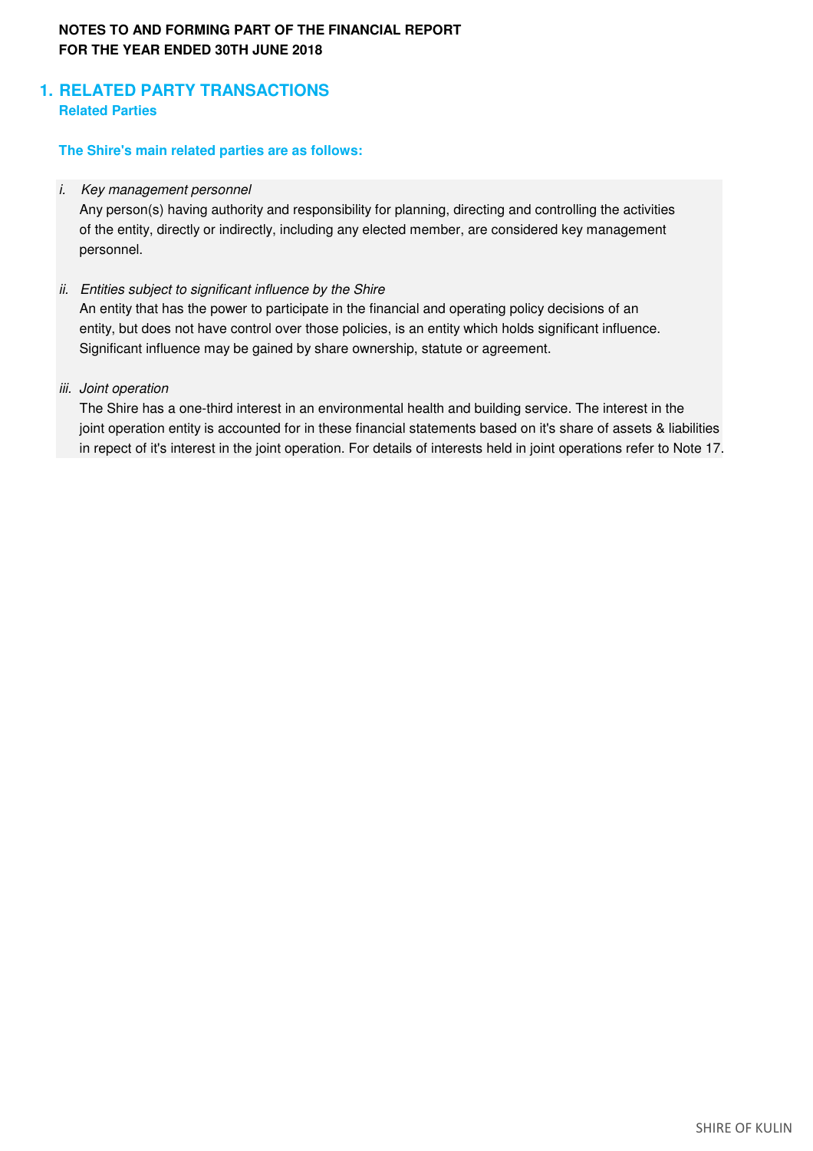# **1. RELATED PARTY TRANSACTIONS Related Parties**

## **The Shire's main related parties are as follows:**

## *i. Key management personnel*

Any person(s) having authority and responsibility for planning, directing and controlling the activities of the entity, directly or indirectly, including any elected member, are considered key management personnel.

## *ii. Entities subject to significant influence by the Shire*

An entity that has the power to participate in the financial and operating policy decisions of an entity, but does not have control over those policies, is an entity which holds significant influence. Significant influence may be gained by share ownership, statute or agreement.

## *iii. Joint operation*

The Shire has a one-third interest in an environmental health and building service. The interest in the joint operation entity is accounted for in these financial statements based on it's share of assets & liabilities in repect of it's interest in the joint operation. For details of interests held in joint operations refer to Note 17.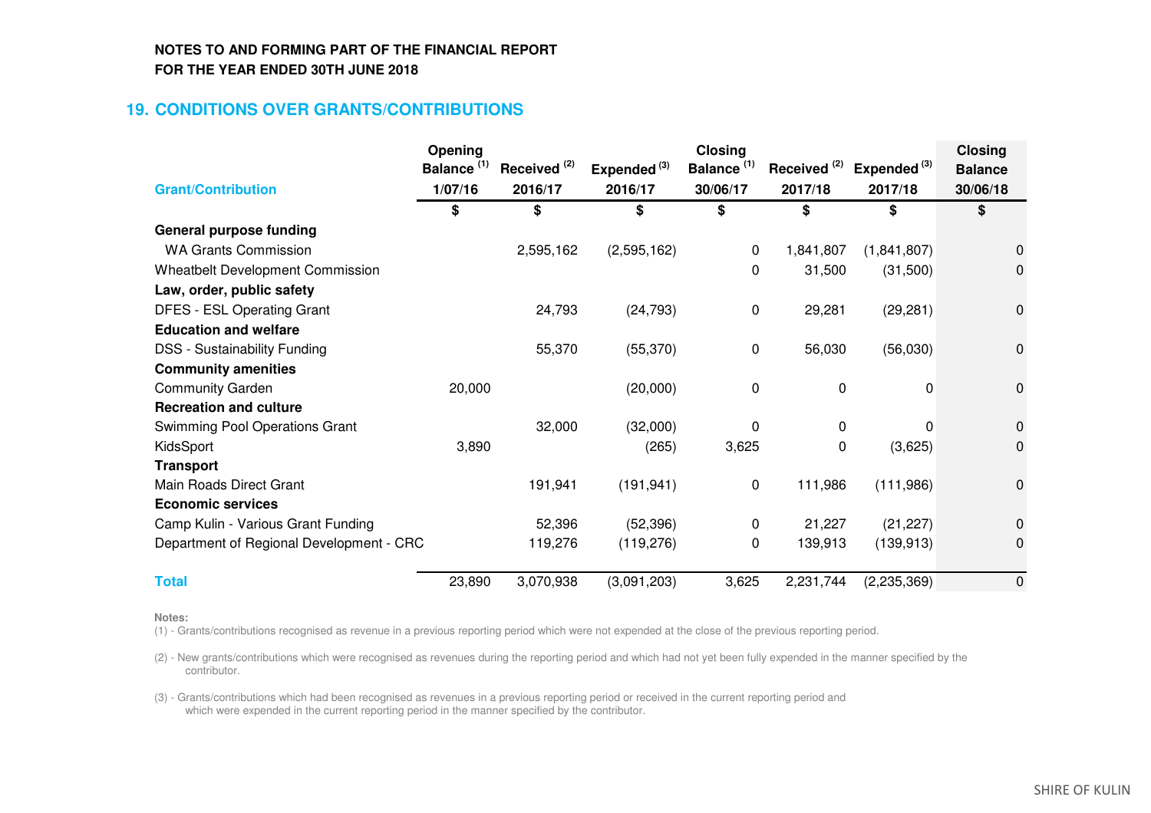# **19. CONDITIONS OVER GRANTS/CONTRIBUTIONS**

|                                          | Opening                |                         |                         | <b>Closing</b>         |                         |                         | <b>Closing</b> |
|------------------------------------------|------------------------|-------------------------|-------------------------|------------------------|-------------------------|-------------------------|----------------|
|                                          | Balance <sup>(1)</sup> | Received <sup>(2)</sup> | Expended <sup>(3)</sup> | Balance <sup>(1)</sup> | Received <sup>(2)</sup> | Expended <sup>(3)</sup> | <b>Balance</b> |
| <b>Grant/Contribution</b>                | 1/07/16                | 2016/17                 | 2016/17                 | 30/06/17               | 2017/18                 | 2017/18                 | 30/06/18       |
|                                          | \$                     | \$                      | \$                      | \$                     | \$                      | \$                      | \$             |
| <b>General purpose funding</b>           |                        |                         |                         |                        |                         |                         |                |
| <b>WA Grants Commission</b>              |                        | 2,595,162               | (2,595,162)             | 0                      | 1,841,807               | (1,841,807)             | $\Omega$       |
| <b>Wheatbelt Development Commission</b>  |                        |                         |                         | 0                      | 31,500                  | (31,500)                | 0              |
| Law, order, public safety                |                        |                         |                         |                        |                         |                         |                |
| <b>DFES - ESL Operating Grant</b>        |                        | 24,793                  | (24, 793)               | 0                      | 29,281                  | (29, 281)               | $\pmb{0}$      |
| <b>Education and welfare</b>             |                        |                         |                         |                        |                         |                         |                |
| <b>DSS - Sustainability Funding</b>      |                        | 55,370                  | (55, 370)               | 0                      | 56,030                  | (56,030)                | 0              |
| <b>Community amenities</b>               |                        |                         |                         |                        |                         |                         |                |
| <b>Community Garden</b>                  | 20,000                 |                         | (20,000)                | $\pmb{0}$              | $\mathbf 0$             | 0                       | 0              |
| <b>Recreation and culture</b>            |                        |                         |                         |                        |                         |                         |                |
| Swimming Pool Operations Grant           |                        | 32,000                  | (32,000)                | $\Omega$               | 0                       | 0                       | 0              |
| KidsSport                                | 3,890                  |                         | (265)                   | 3,625                  | 0                       | (3,625)                 | 0              |
| <b>Transport</b>                         |                        |                         |                         |                        |                         |                         |                |
| Main Roads Direct Grant                  |                        | 191,941                 | (191, 941)              | 0                      | 111,986                 | (111,986)               | 0              |
| <b>Economic services</b>                 |                        |                         |                         |                        |                         |                         |                |
| Camp Kulin - Various Grant Funding       |                        | 52,396                  | (52, 396)               | 0                      | 21,227                  | (21, 227)               | 0              |
| Department of Regional Development - CRC |                        | 119,276                 | (119, 276)              | 0                      | 139,913                 | (139, 913)              | $\Omega$       |
| <b>Total</b>                             | 23,890                 | 3,070,938               | (3,091,203)             | 3,625                  | 2,231,744               | (2,235,369)             | $\mathbf 0$    |

**Notes:**

(1) - Grants/contributions recognised as revenue in a previous reporting period which were not expended at the close of the previous reporting period.

(2) - New grants/contributions which were recognised as revenues during the reporting period and which had not yet been fully expended in the manner specified by the contributor.

(3) - Grants/contributions which had been recognised as revenues in a previous reporting period or received in the current reporting period and which were expended in the current reporting period in the manner specified by the contributor.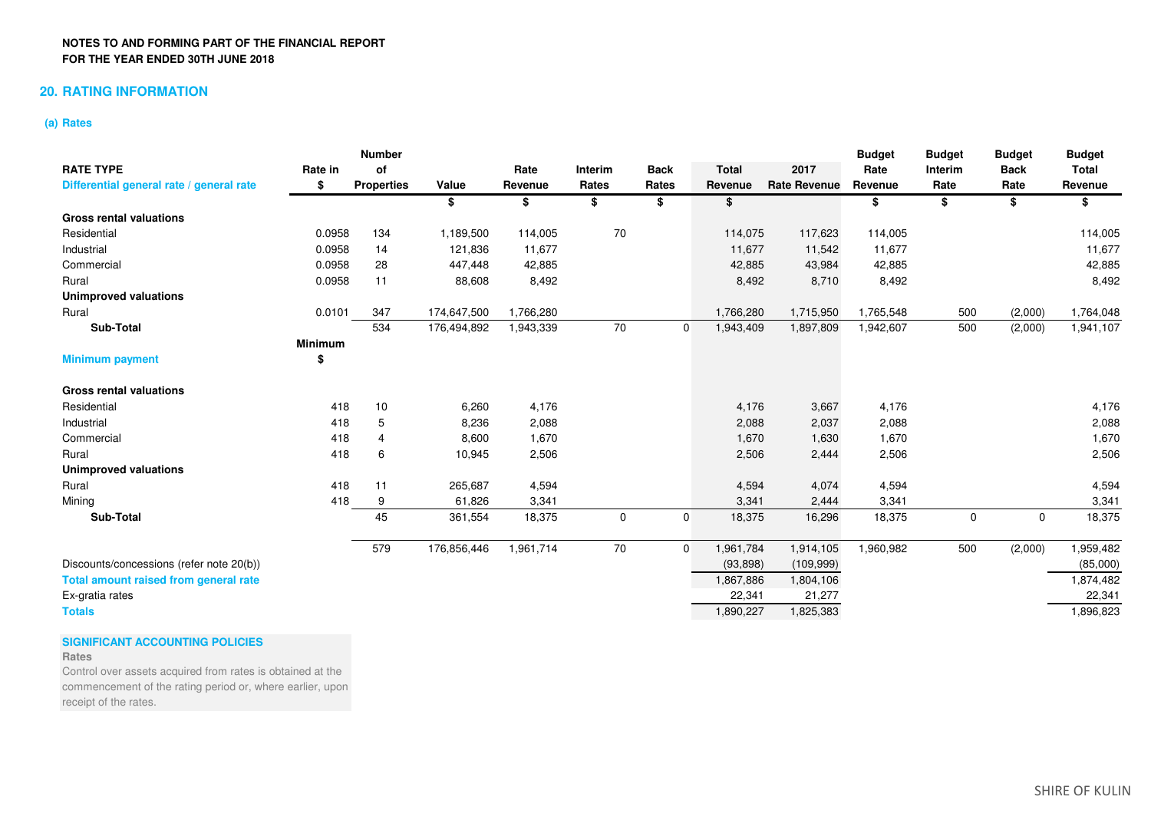### **20. RATING INFORMATION**

### **(a) Rates**

|                                              |                | <b>Number</b>     |             |           |             |              |              |                     | <b>Budget</b> | <b>Budget</b>  | <b>Budget</b> | <b>Budget</b> |
|----------------------------------------------|----------------|-------------------|-------------|-----------|-------------|--------------|--------------|---------------------|---------------|----------------|---------------|---------------|
| <b>RATE TYPE</b>                             | Rate in        | οf                |             | Rate      | Interim     | <b>Back</b>  | <b>Total</b> | 2017                | Rate          | <b>Interim</b> | <b>Back</b>   | <b>Total</b>  |
| Differential general rate / general rate     | \$             | <b>Properties</b> | Value       | Revenue   | Rates       | Rates        | Revenue      | <b>Rate Revenue</b> | Revenue       | Rate           | Rate          | Revenue       |
|                                              |                |                   | \$          | \$        | \$          | \$           | \$           |                     | \$            | \$             | \$            | \$            |
| <b>Gross rental valuations</b>               |                |                   |             |           |             |              |              |                     |               |                |               |               |
| Residential                                  | 0.0958         | 134               | 1,189,500   | 114,005   | 70          |              | 114,075      | 117,623             | 114,005       |                |               | 114,005       |
| Industrial                                   | 0.0958         | 14                | 121,836     | 11,677    |             |              | 11,677       | 11,542              | 11,677        |                |               | 11,677        |
| Commercial                                   | 0.0958         | 28                | 447,448     | 42,885    |             |              | 42,885       | 43,984              | 42,885        |                |               | 42,885        |
| Rural                                        | 0.0958         | 11                | 88,608      | 8,492     |             |              | 8,492        | 8,710               | 8,492         |                |               | 8,492         |
| <b>Unimproved valuations</b>                 |                |                   |             |           |             |              |              |                     |               |                |               |               |
| Rural                                        | 0.0101         | 347               | 174,647,500 | 1,766,280 |             |              | 1,766,280    | 1,715,950           | 1,765,548     | 500            | (2,000)       | 1,764,048     |
| Sub-Total                                    |                | 534               | 176,494,892 | 1,943,339 | 70          | $\mathbf{0}$ | 1,943,409    | 1,897,809           | 1,942,607     | 500            | (2,000)       | 1,941,107     |
|                                              | <b>Minimum</b> |                   |             |           |             |              |              |                     |               |                |               |               |
| <b>Minimum payment</b>                       | \$             |                   |             |           |             |              |              |                     |               |                |               |               |
| <b>Gross rental valuations</b>               |                |                   |             |           |             |              |              |                     |               |                |               |               |
| Residential                                  | 418            | 10                | 6,260       | 4,176     |             |              | 4,176        | 3,667               | 4,176         |                |               | 4,176         |
| Industrial                                   | 418            | 5                 | 8,236       | 2,088     |             |              | 2,088        | 2,037               | 2,088         |                |               | 2,088         |
| Commercial                                   | 418            | 4                 | 8,600       | 1,670     |             |              | 1,670        | 1,630               | 1,670         |                |               | 1,670         |
| Rural                                        | 418            | 6                 | 10,945      | 2,506     |             |              | 2,506        | 2,444               | 2,506         |                |               | 2,506         |
| <b>Unimproved valuations</b>                 |                |                   |             |           |             |              |              |                     |               |                |               |               |
| Rural                                        | 418            | 11                | 265,687     | 4,594     |             |              | 4,594        | 4,074               | 4,594         |                |               | 4,594         |
| Mining                                       | 418            | 9                 | 61,826      | 3,341     |             |              | 3,341        | 2,444               | 3,341         |                |               | 3,341         |
| Sub-Total                                    |                | 45                | 361,554     | 18,375    | $\mathbf 0$ | $\mathbf 0$  | 18,375       | 16,296              | 18,375        | $\mathbf 0$    | $\mathbf 0$   | 18,375        |
|                                              |                | 579               | 176,856,446 | 1,961,714 | 70          | $\Omega$     | 1,961,784    | 1,914,105           | 1,960,982     | 500            | (2,000)       | 1,959,482     |
| Discounts/concessions (refer note 20(b))     |                |                   |             |           |             |              | (93, 898)    | (109, 999)          |               |                |               | (85,000)      |
| <b>Total amount raised from general rate</b> |                |                   |             |           |             |              | 1,867,886    | 1,804,106           |               |                |               | 1,874,482     |
| Ex-gratia rates                              |                |                   |             |           |             |              | 22,341       | 21,277              |               |                |               | 22,341        |
| <b>Totals</b>                                |                |                   |             |           |             |              | 1,890,227    | 1,825,383           |               |                |               | 1,896,823     |

## **SIGNIFICANT ACCOUNTING POLICIES**

### **Rates**

 Control over assets acquired from rates is obtained at the commencement of the rating period or, where earlier, upon receipt of the rates.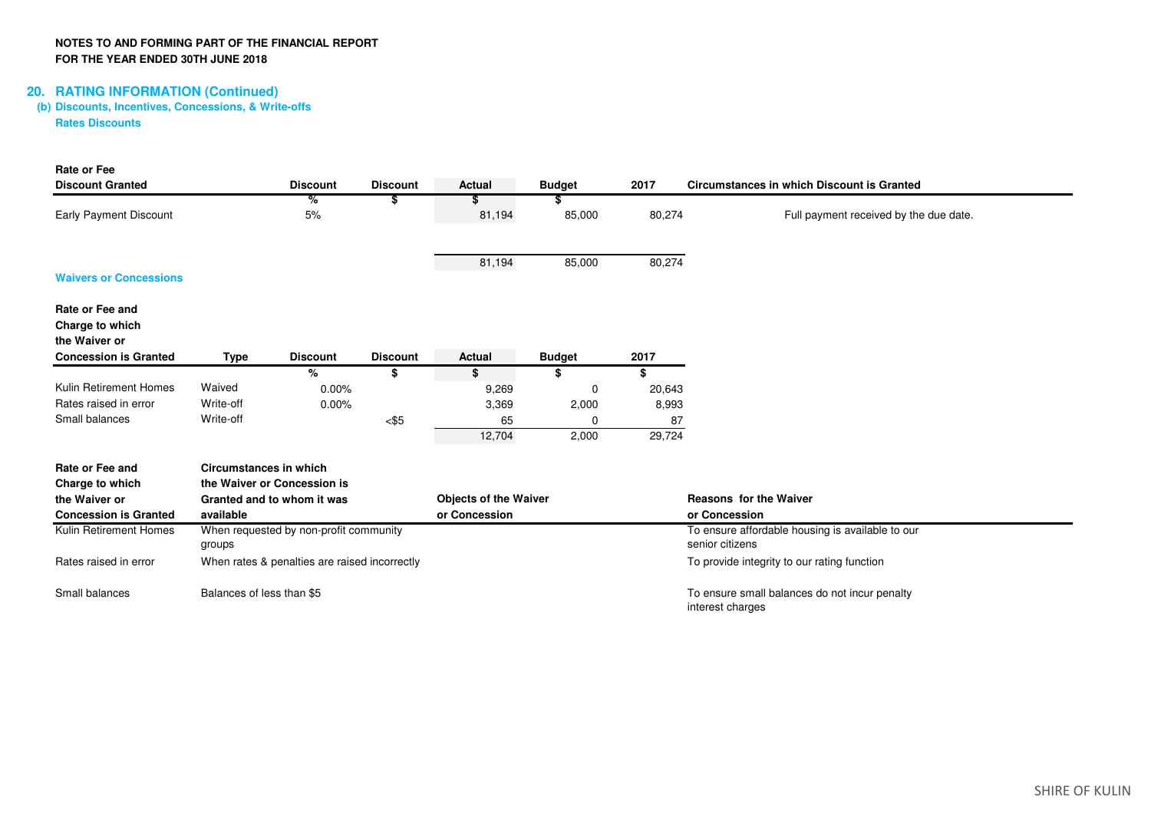# **20. RATING INFORMATION (Continued) (b) Discounts, Incentives, Concessions, & Write-offsRates Discounts**

| <b>Rate or Fee</b>            |                               |                                               |                 |                              |               |        |                                                   |
|-------------------------------|-------------------------------|-----------------------------------------------|-----------------|------------------------------|---------------|--------|---------------------------------------------------|
| <b>Discount Granted</b>       |                               | <b>Discount</b>                               | <b>Discount</b> | Actual                       | <b>Budget</b> | 2017   | <b>Circumstances in which Discount is Granted</b> |
|                               |                               | %                                             | \$              | S                            |               |        |                                                   |
| <b>Early Payment Discount</b> |                               | 5%                                            |                 | 81,194                       | 85,000        | 80,274 | Full payment received by the due date.            |
|                               |                               |                                               |                 |                              |               |        |                                                   |
|                               |                               |                                               |                 |                              |               |        |                                                   |
| <b>Waivers or Concessions</b> |                               |                                               |                 | 81,194                       | 85,000        | 80,274 |                                                   |
|                               |                               |                                               |                 |                              |               |        |                                                   |
| Rate or Fee and               |                               |                                               |                 |                              |               |        |                                                   |
| Charge to which               |                               |                                               |                 |                              |               |        |                                                   |
| the Waiver or                 |                               |                                               |                 |                              |               |        |                                                   |
| <b>Concession is Granted</b>  | <b>Type</b>                   | <b>Discount</b>                               | <b>Discount</b> | <b>Actual</b>                | <b>Budget</b> | 2017   |                                                   |
|                               |                               | %                                             | \$              | \$                           | \$            | \$     |                                                   |
| Kulin Retirement Homes        | Waived                        | 0.00%                                         |                 | 9,269                        | 0             | 20,643 |                                                   |
| Rates raised in error         | Write-off                     | 0.00%                                         |                 | 3,369                        | 2,000         | 8,993  |                                                   |
| Small balances                | Write-off                     |                                               | $<$ \$5         | 65                           | $\Omega$      | 87     |                                                   |
|                               |                               |                                               |                 | 12,704                       | 2,000         | 29,724 |                                                   |
| Rate or Fee and               | <b>Circumstances in which</b> |                                               |                 |                              |               |        |                                                   |
| Charge to which               |                               | the Waiver or Concession is                   |                 |                              |               |        |                                                   |
| the Waiver or                 |                               | Granted and to whom it was                    |                 | <b>Objects of the Waiver</b> |               |        | <b>Reasons for the Waiver</b>                     |
| <b>Concession is Granted</b>  | available                     |                                               |                 | or Concession                |               |        | or Concession                                     |
| Kulin Retirement Homes        |                               | When requested by non-profit community        |                 |                              |               |        | To ensure affordable housing is available to our  |
|                               | groups                        |                                               |                 |                              |               |        | senior citizens                                   |
| Rates raised in error         |                               | When rates & penalties are raised incorrectly |                 |                              |               |        | To provide integrity to our rating function       |
| Small balances                | Balances of less than \$5     |                                               |                 |                              |               |        | To ensure small balances do not incur penalty     |
|                               |                               |                                               |                 |                              |               |        | interest charges                                  |
|                               |                               |                                               |                 |                              |               |        |                                                   |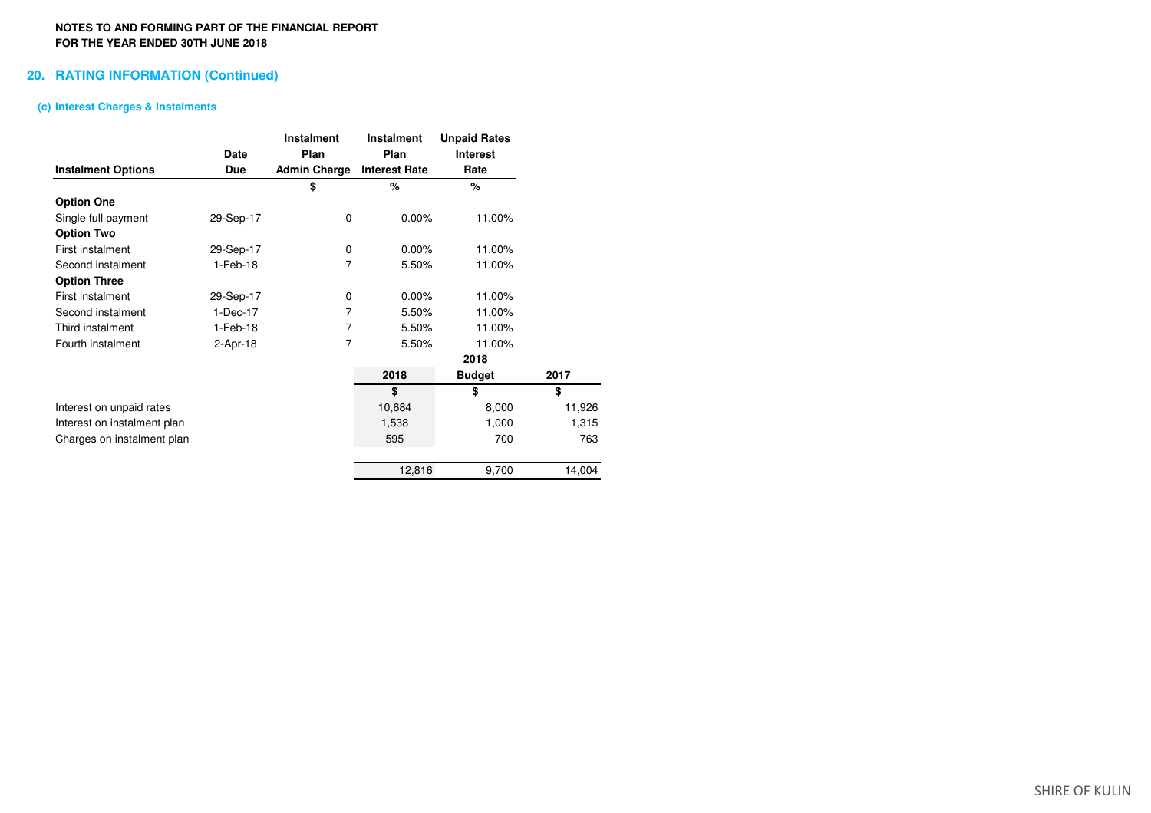### **20. RATING INFORMATION (Continued)**

### **(c) Interest Charges & Instalments**

|                             |            | <b>Instalment</b>   | Instalment           | <b>Unpaid Rates</b> |        |
|-----------------------------|------------|---------------------|----------------------|---------------------|--------|
|                             | Date       | Plan                | Plan                 | Interest            |        |
| <b>Instalment Options</b>   | Due        | <b>Admin Charge</b> | <b>Interest Rate</b> | Rate                |        |
|                             |            | \$                  | %                    | %                   |        |
| <b>Option One</b>           |            |                     |                      |                     |        |
| Single full payment         | 29-Sep-17  | $\mathbf 0$         | $0.00\%$             | 11.00%              |        |
| <b>Option Two</b>           |            |                     |                      |                     |        |
| First instalment            | 29-Sep-17  | 0                   | 0.00%                | 11.00%              |        |
| Second instalment           | 1-Feb-18   | $\overline{7}$      | 5.50%                | 11.00%              |        |
| <b>Option Three</b>         |            |                     |                      |                     |        |
| First instalment            | 29-Sep-17  | 0                   | 0.00%                | 11.00%              |        |
| Second instalment           | 1-Dec-17   | 7                   | 5.50%                | 11.00%              |        |
| Third instalment            | 1-Feb-18   | 7                   | 5.50%                | 11.00%              |        |
| Fourth instalment           | $2-Apr-18$ | 7                   | 5.50%                | 11.00%              |        |
|                             |            |                     |                      | 2018                |        |
|                             |            |                     | 2018                 | <b>Budget</b>       | 2017   |
|                             |            |                     | \$                   | \$                  | \$     |
| Interest on unpaid rates    |            |                     | 10,684               | 8,000               | 11,926 |
| Interest on instalment plan |            |                     | 1,538                | 1,000               | 1,315  |
| Charges on instalment plan  |            |                     | 595                  | 700                 | 763    |
|                             |            |                     | 12,816               | 9,700               | 14,004 |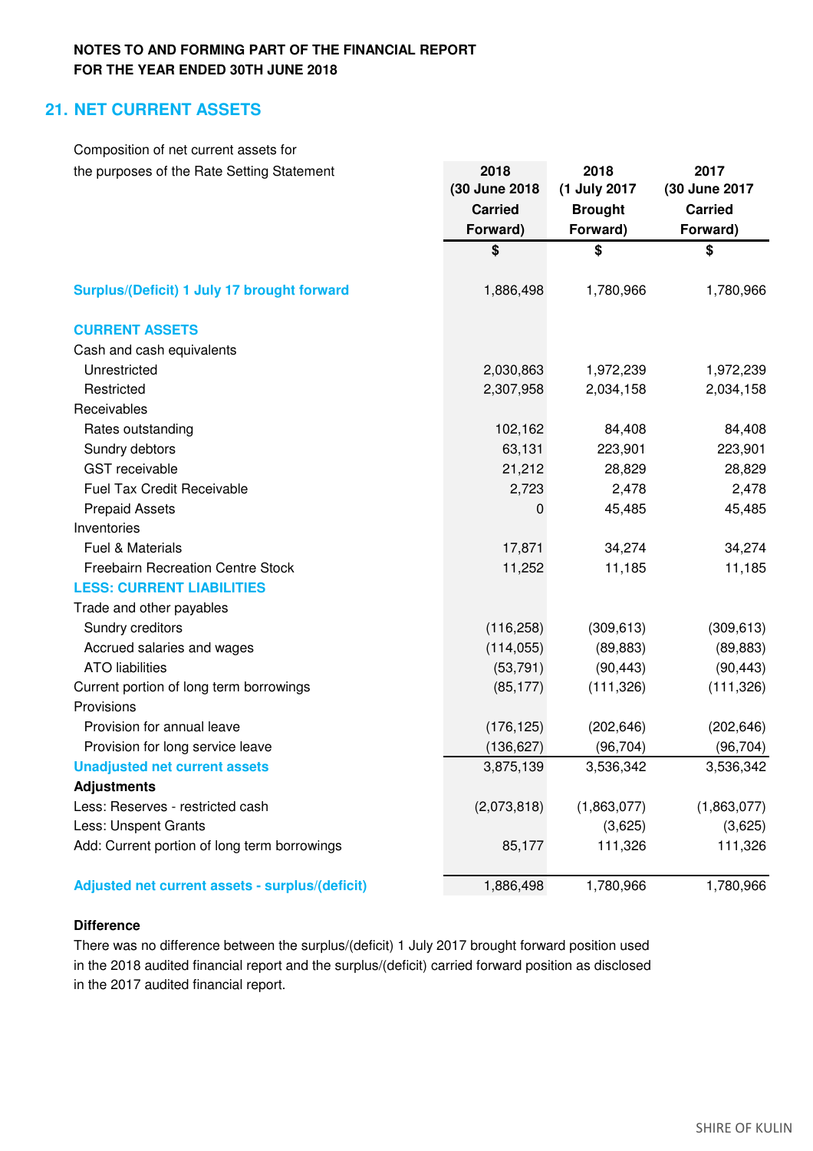# **21. NET CURRENT ASSETS**

| Composition of net current assets for           |                |                |                |
|-------------------------------------------------|----------------|----------------|----------------|
| the purposes of the Rate Setting Statement      | 2018           | 2018           | 2017           |
|                                                 | (30 June 2018  | (1 July 2017   | (30 June 2017  |
|                                                 | <b>Carried</b> | <b>Brought</b> | <b>Carried</b> |
|                                                 | Forward)       | Forward)       | Forward)       |
|                                                 | \$             | \$             | \$             |
| Surplus/(Deficit) 1 July 17 brought forward     | 1,886,498      | 1,780,966      | 1,780,966      |
| <b>CURRENT ASSETS</b>                           |                |                |                |
| Cash and cash equivalents                       |                |                |                |
| Unrestricted                                    | 2,030,863      | 1,972,239      | 1,972,239      |
| Restricted                                      | 2,307,958      | 2,034,158      | 2,034,158      |
| Receivables                                     |                |                |                |
| Rates outstanding                               | 102,162        | 84,408         | 84,408         |
| Sundry debtors                                  | 63,131         | 223,901        | 223,901        |
| <b>GST</b> receivable                           | 21,212         | 28,829         | 28,829         |
| <b>Fuel Tax Credit Receivable</b>               | 2,723          | 2,478          | 2,478          |
| <b>Prepaid Assets</b>                           | $\mathbf 0$    | 45,485         | 45,485         |
| Inventories                                     |                |                |                |
| Fuel & Materials                                | 17,871         | 34,274         | 34,274         |
| <b>Freebairn Recreation Centre Stock</b>        | 11,252         | 11,185         | 11,185         |
| <b>LESS: CURRENT LIABILITIES</b>                |                |                |                |
| Trade and other payables                        |                |                |                |
| Sundry creditors                                | (116, 258)     | (309, 613)     | (309, 613)     |
| Accrued salaries and wages                      | (114, 055)     | (89, 883)      | (89, 883)      |
| <b>ATO</b> liabilities                          | (53, 791)      | (90, 443)      | (90, 443)      |
| Current portion of long term borrowings         | (85, 177)      | (111, 326)     | (111, 326)     |
| Provisions                                      |                |                |                |
| Provision for annual leave                      | (176, 125)     | (202, 646)     | (202, 646)     |
| Provision for long service leave                | (136, 627)     | (96, 704)      | (96,704)       |
| <b>Unadjusted net current assets</b>            | 3,875,139      | 3,536,342      | 3,536,342      |
| <b>Adjustments</b>                              |                |                |                |
| Less: Reserves - restricted cash                | (2,073,818)    | (1,863,077)    | (1,863,077)    |
| Less: Unspent Grants                            |                | (3,625)        | (3,625)        |
| Add: Current portion of long term borrowings    | 85,177         | 111,326        | 111,326        |
| Adjusted net current assets - surplus/(deficit) | 1,886,498      | 1,780,966      | 1,780,966      |

## **Difference**

There was no difference between the surplus/(deficit) 1 July 2017 brought forward position used in the 2018 audited financial report and the surplus/(deficit) carried forward position as disclosed in the 2017 audited financial report.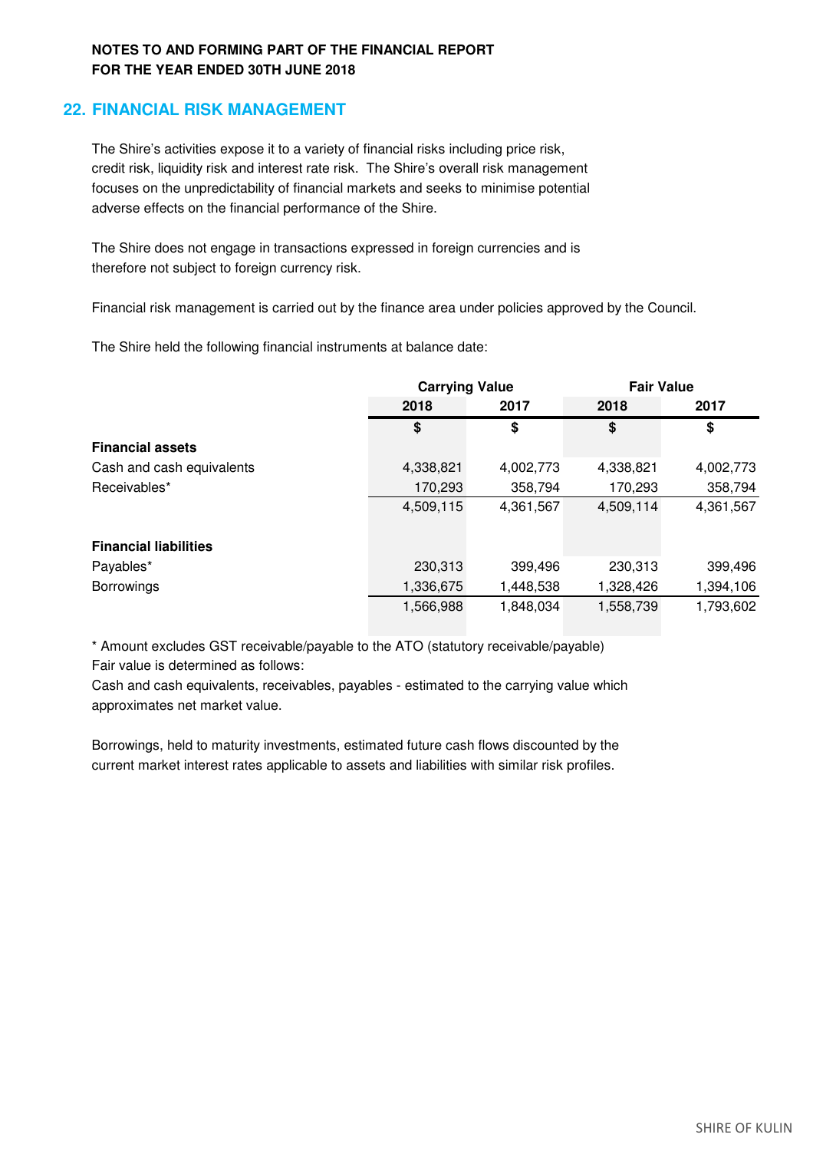# **22. FINANCIAL RISK MANAGEMENT**

adverse effects on the financial performance of the Shire. The Shire's activities expose it to a variety of financial risks including price risk, credit risk, liquidity risk and interest rate risk. The Shire's overall risk management focuses on the unpredictability of financial markets and seeks to minimise potential

The Shire does not engage in transactions expressed in foreign currencies and is therefore not subject to foreign currency risk.

Financial risk management is carried out by the finance area under policies approved by the Council.

The Shire held the following financial instruments at balance date:

|                              | <b>Carrying Value</b> |           | <b>Fair Value</b> |           |
|------------------------------|-----------------------|-----------|-------------------|-----------|
|                              | 2018                  | 2017      | 2018              | 2017      |
|                              | \$                    | \$        | \$                | \$        |
| <b>Financial assets</b>      |                       |           |                   |           |
| Cash and cash equivalents    | 4,338,821             | 4,002,773 | 4,338,821         | 4,002,773 |
| Receivables*                 | 170,293               | 358,794   | 170,293           | 358,794   |
|                              | 4,509,115             | 4,361,567 | 4,509,114         | 4,361,567 |
|                              |                       |           |                   |           |
| <b>Financial liabilities</b> |                       |           |                   |           |
| Payables*                    | 230,313               | 399,496   | 230,313           | 399,496   |
| <b>Borrowings</b>            | 1,336,675             | 1,448,538 | 1,328,426         | 1,394,106 |
|                              | 1,566,988             | 1,848,034 | 1,558,739         | 1,793,602 |

\* Amount excludes GST receivable/payable to the ATO (statutory receivable/payable) Fair value is determined as follows:

Cash and cash equivalents, receivables, payables - estimated to the carrying value which approximates net market value.

Borrowings, held to maturity investments, estimated future cash flows discounted by the current market interest rates applicable to assets and liabilities with similar risk profiles.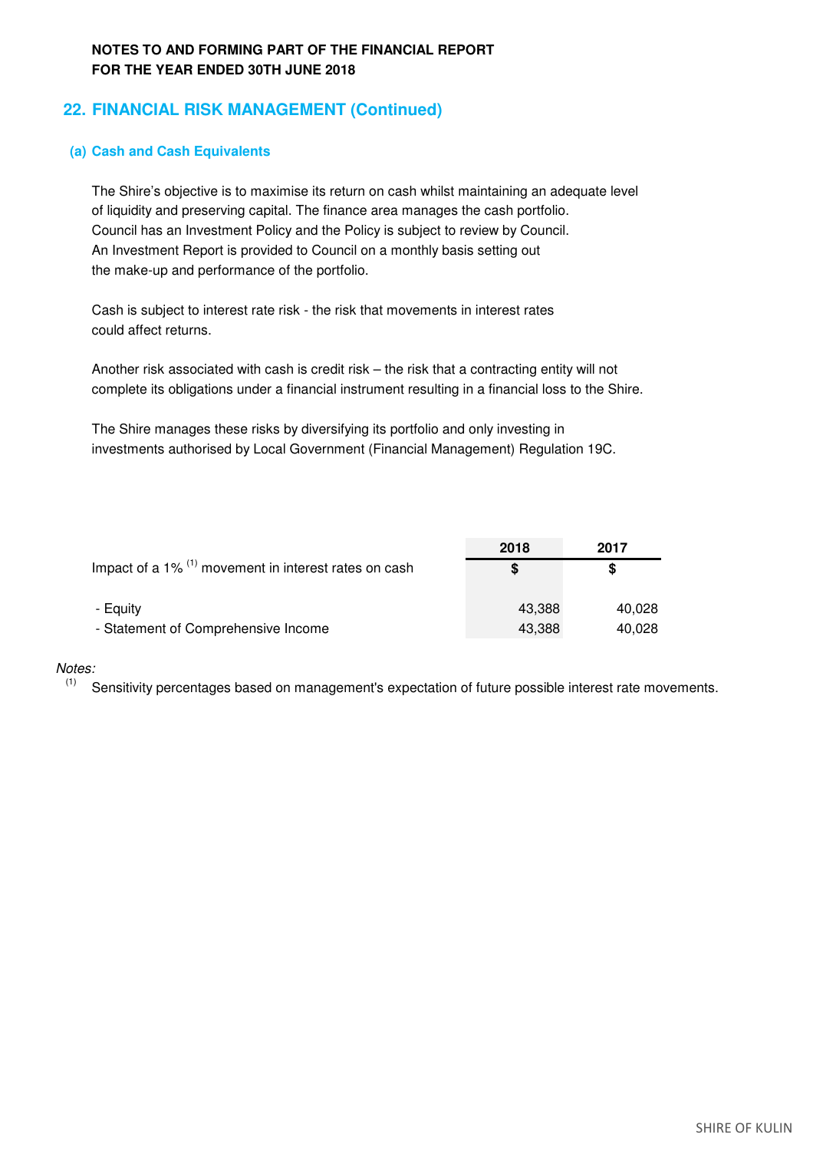# **22. FINANCIAL RISK MANAGEMENT (Continued)**

## **(a) Cash and Cash Equivalents**

of liquidity and preserving capital. The finance area manages the cash portfolio. Council has an Investment Policy and the Policy is subject to review by Council. An Investment Report is provided to Council on a monthly basis setting out the make-up and performance of the portfolio. The Shire's objective is to maximise its return on cash whilst maintaining an adequate level

could affect returns. Cash is subject to interest rate risk - the risk that movements in interest rates

complete its obligations under a financial instrument resulting in a financial loss to the Shire. Another risk associated with cash is credit risk – the risk that a contracting entity will not

investments authorised by Local Government (Financial Management) Regulation 19C. The Shire manages these risks by diversifying its portfolio and only investing in

|                                                                     | 2018   | 2017   |
|---------------------------------------------------------------------|--------|--------|
| Impact of a $1\%$ <sup>(1)</sup> movement in interest rates on cash | S      | S      |
| - Equity                                                            | 43.388 | 40.028 |
| - Statement of Comprehensive Income                                 | 43.388 | 40,028 |

### *Notes:*

 $(1)$  Sensitivity percentages based on management's expectation of future possible interest rate movements.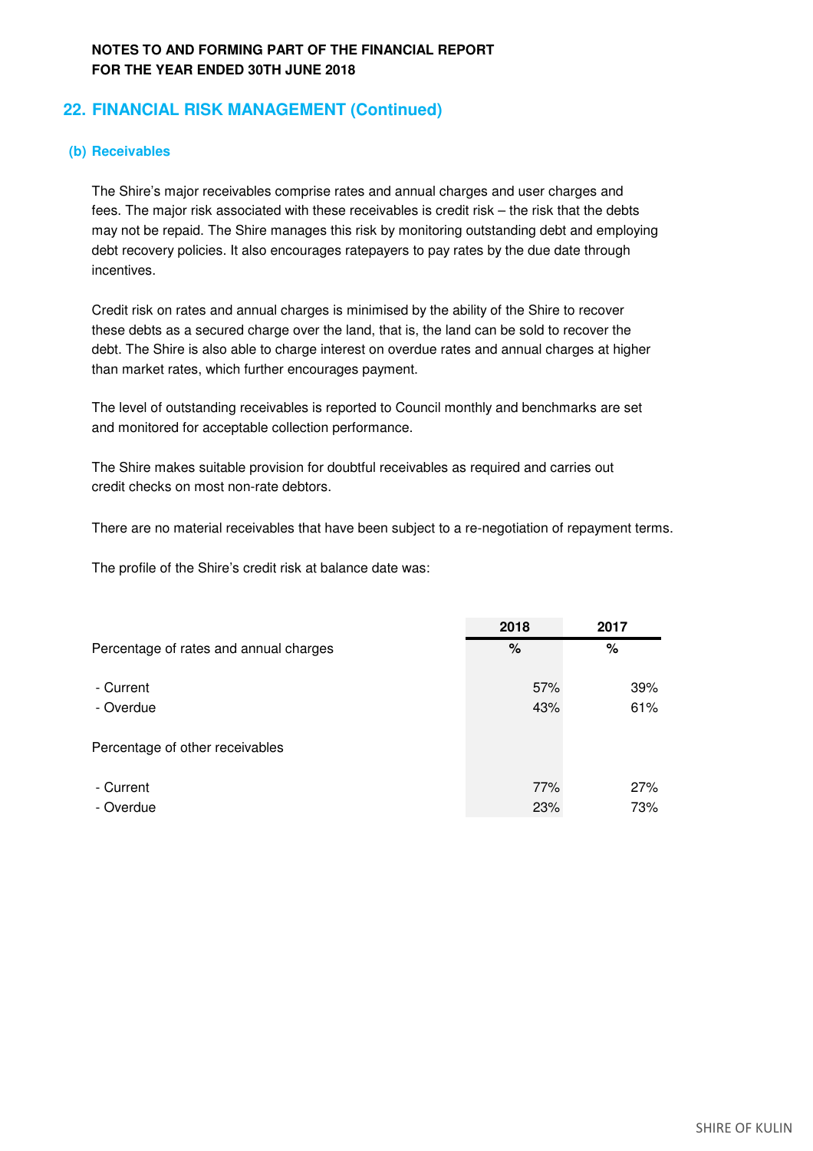# **22. FINANCIAL RISK MANAGEMENT (Continued)**

## **(b) Receivables**

incentives. fees. The major risk associated with these receivables is credit risk – the risk that the debts debt recovery policies. It also encourages ratepayers to pay rates by the due date through may not be repaid. The Shire manages this risk by monitoring outstanding debt and employing The Shire's major receivables comprise rates and annual charges and user charges and

these debts as a secured charge over the land, that is, the land can be sold to recover the debt. The Shire is also able to charge interest on overdue rates and annual charges at higher than market rates, which further encourages payment. Credit risk on rates and annual charges is minimised by the ability of the Shire to recover

The level of outstanding receivables is reported to Council monthly and benchmarks are set and monitored for acceptable collection performance.

credit checks on most non-rate debtors. The Shire makes suitable provision for doubtful receivables as required and carries out

There are no material receivables that have been subject to a re-negotiation of repayment terms.

The profile of the Shire's credit risk at balance date was:

|                                        | 2018 | 2017 |
|----------------------------------------|------|------|
| Percentage of rates and annual charges | %    | %    |
| - Current                              | 57%  | 39%  |
| - Overdue                              | 43%  | 61%  |
| Percentage of other receivables        |      |      |
| - Current                              | 77%  | 27%  |
| - Overdue                              | 23%  | 73%  |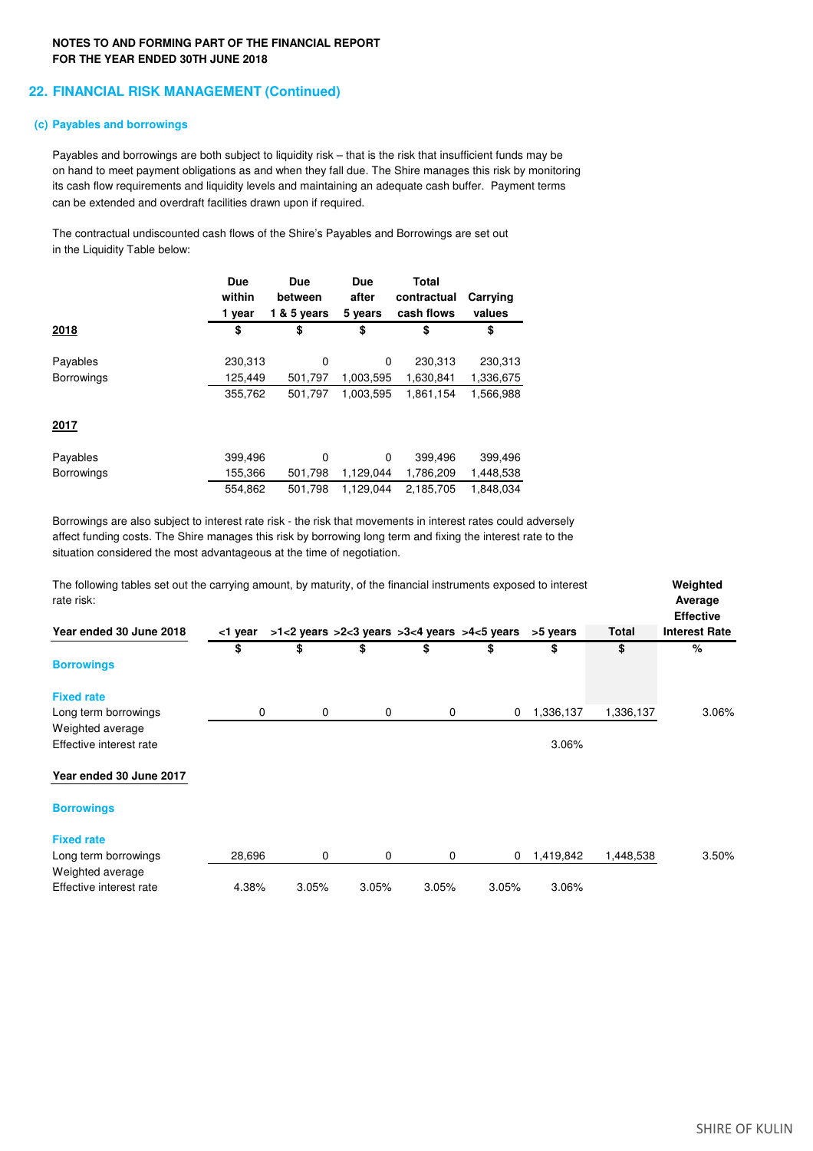### **22. FINANCIAL RISK MANAGEMENT (Continued)**

### **(c) Payables and borrowings**

Payables and borrowings are both subject to liquidity risk – that is the risk that insufficient funds may be on hand to meet payment obligations as and when they fall due. The Shire manages this risk by monitoring can be extended and overdraft facilities drawn upon if required. its cash flow requirements and liquidity levels and maintaining an adequate cash buffer. Payment terms

The contractual undiscounted cash flows of the Shire's Payables and Borrowings are set out in the Liquidity Table below:

|                   | Due     | Due         | Due       | Total       |           |
|-------------------|---------|-------------|-----------|-------------|-----------|
|                   | within  | between     | after     | contractual | Carrying  |
|                   | 1 year  | 1 & 5 years | 5 years   | cash flows  | values    |
| 2018              | \$      | \$          | \$        | \$          | \$        |
| Payables          | 230,313 | 0           | 0         | 230,313     | 230,313   |
| <b>Borrowings</b> | 125,449 | 501,797     | 1,003,595 | 1,630,841   | 1,336,675 |
|                   | 355,762 | 501.797     | 1.003.595 | 1.861.154   | 1,566,988 |
| 2017              |         |             |           |             |           |
| Payables          | 399,496 | 0           | 0         | 399,496     | 399,496   |
| <b>Borrowings</b> | 155,366 | 501,798     | 1,129,044 | 1,786,209   | 1,448,538 |
|                   | 554,862 | 501,798     | 1,129,044 | 2,185,705   | 1,848,034 |

Borrowings are also subject to interest rate risk - the risk that movements in interest rates could adversely affect funding costs. The Shire manages this risk by borrowing long term and fixing the interest rate to the situation considered the most advantageous at the time of negotiation.

| The following tables set out the carrying amount, by maturity, of the financial instruments exposed to interest<br>rate risk: |         |             |       |       |                                                            | Weighted<br>Average<br><b>Effective</b> |           |                      |
|-------------------------------------------------------------------------------------------------------------------------------|---------|-------------|-------|-------|------------------------------------------------------------|-----------------------------------------|-----------|----------------------|
| Year ended 30 June 2018                                                                                                       | <1 year |             |       |       | $>1$ <2 years $>2$ < 3 years $>3$ < 4 years $>4$ < 5 years | >5 years                                | Total     | <b>Interest Rate</b> |
|                                                                                                                               | \$      | \$          | \$    | \$    | \$                                                         | \$                                      | \$        | %                    |
| <b>Borrowings</b>                                                                                                             |         |             |       |       |                                                            |                                         |           |                      |
| <b>Fixed rate</b>                                                                                                             |         |             |       |       |                                                            |                                         |           |                      |
| Long term borrowings                                                                                                          | 0       | 0           | 0     | 0     | 0                                                          | 1,336,137                               | 1,336,137 | 3.06%                |
| Weighted average                                                                                                              |         |             |       |       |                                                            |                                         |           |                      |
| Effective interest rate                                                                                                       |         |             |       |       |                                                            | 3.06%                                   |           |                      |
| Year ended 30 June 2017                                                                                                       |         |             |       |       |                                                            |                                         |           |                      |
| <b>Borrowings</b>                                                                                                             |         |             |       |       |                                                            |                                         |           |                      |
| <b>Fixed rate</b>                                                                                                             |         |             |       |       |                                                            |                                         |           |                      |
| Long term borrowings                                                                                                          | 28,696  | $\mathbf 0$ | 0     | 0     | 0                                                          | 1,419,842                               | 1,448,538 | 3.50%                |
| Weighted average                                                                                                              |         |             |       |       |                                                            |                                         |           |                      |
| Effective interest rate                                                                                                       | 4.38%   | 3.05%       | 3.05% | 3.05% | 3.05%                                                      | 3.06%                                   |           |                      |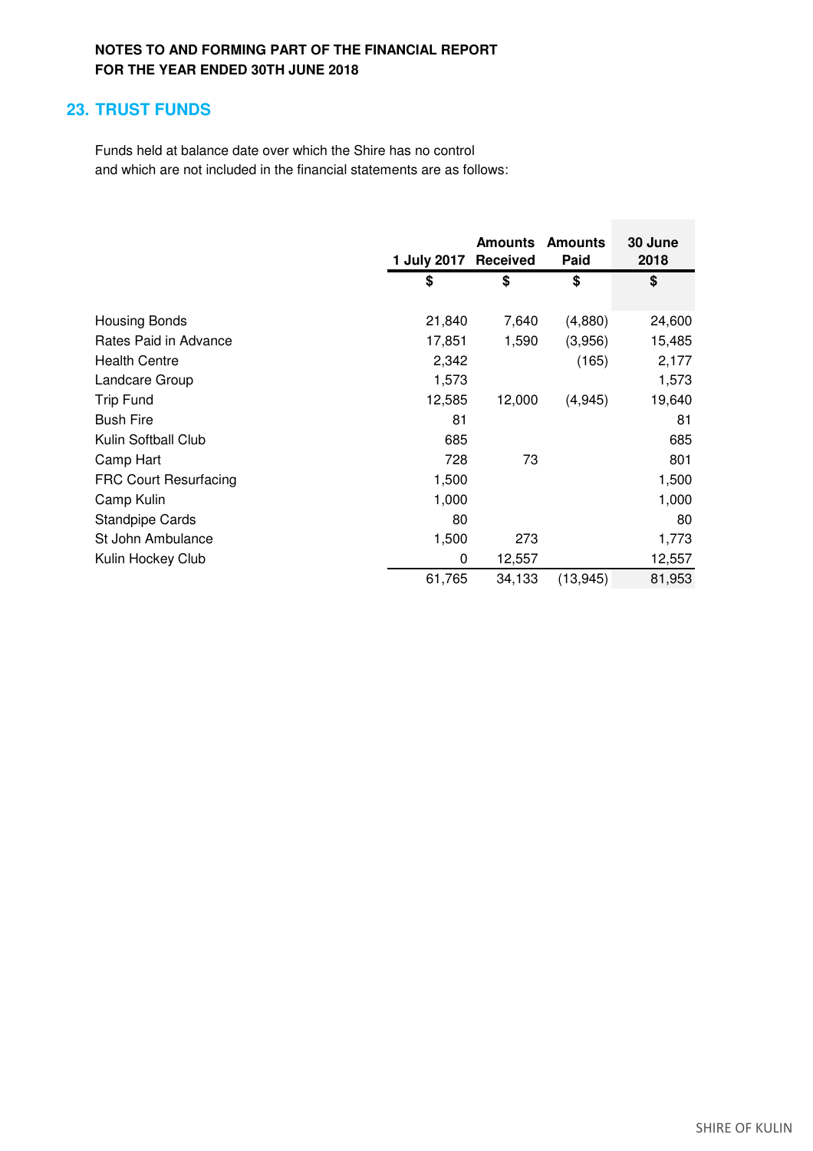# **23. TRUST FUNDS**

Funds held at balance date over which the Shire has no control and which are not included in the financial statements are as follows:

|                              | 1 July 2017 | <b>Amounts</b><br>Received | <b>Amounts</b><br>Paid | 30 June<br>2018 |
|------------------------------|-------------|----------------------------|------------------------|-----------------|
|                              | \$          | \$                         | \$                     | \$              |
| <b>Housing Bonds</b>         | 21,840      | 7,640                      | (4,880)                | 24,600          |
| Rates Paid in Advance        | 17,851      | 1,590                      | (3,956)                | 15,485          |
| <b>Health Centre</b>         | 2,342       |                            | (165)                  | 2,177           |
| Landcare Group               | 1,573       |                            |                        | 1,573           |
| <b>Trip Fund</b>             | 12,585      | 12,000                     | (4,945)                | 19,640          |
| <b>Bush Fire</b>             | 81          |                            |                        | 81              |
| Kulin Softball Club          | 685         |                            |                        | 685             |
| Camp Hart                    | 728         | 73                         |                        | 801             |
| <b>FRC Court Resurfacing</b> | 1,500       |                            |                        | 1,500           |
| Camp Kulin                   | 1,000       |                            |                        | 1,000           |
| <b>Standpipe Cards</b>       | 80          |                            |                        | 80              |
| St John Ambulance            | 1,500       | 273                        |                        | 1,773           |
| Kulin Hockey Club            | 0           | 12,557                     |                        | 12,557          |
|                              | 61,765      | 34,133                     | (13, 945)              | 81,953          |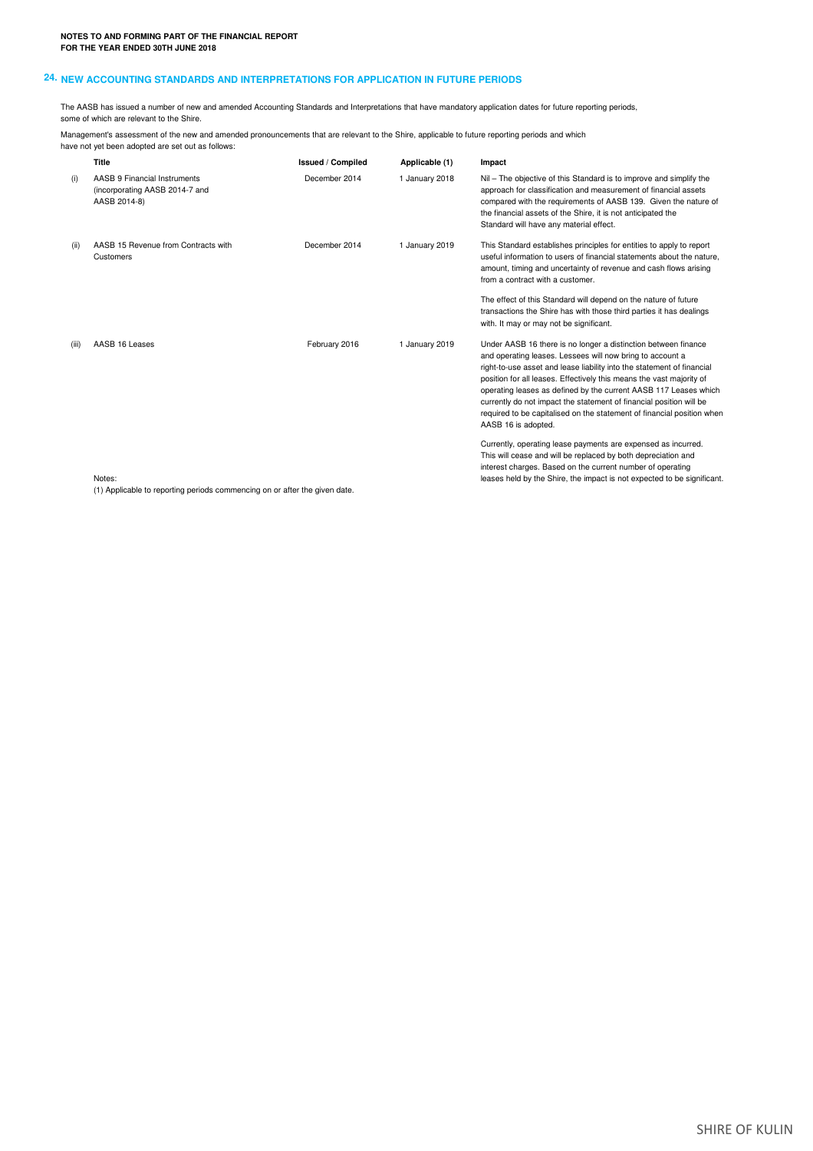### **24. NEW ACCOUNTING STANDARDS AND INTERPRETATIONS FOR APPLICATION IN FUTURE PERIODS**

The AASB has issued a number of new and amended Accounting Standards and Interpretations that have mandatory application dates for future reporting periods, some of which are relevant to the Shire.

Management's assessment of the new and amended pronouncements that are relevant to the Shire, applicable to future reporting periods and which have not yet been adopted are set out as follows:

|       | Title                                                                          | <b>Issued / Compiled</b> | Applicable (1) | Impact                                                                                                                                                                                                                                                                                                                                                                                                                                                                                                                    |
|-------|--------------------------------------------------------------------------------|--------------------------|----------------|---------------------------------------------------------------------------------------------------------------------------------------------------------------------------------------------------------------------------------------------------------------------------------------------------------------------------------------------------------------------------------------------------------------------------------------------------------------------------------------------------------------------------|
| (i)   | AASB 9 Financial Instruments<br>(incorporating AASB 2014-7 and<br>AASB 2014-8) | December 2014            | 1 January 2018 | Nil – The objective of this Standard is to improve and simplify the<br>approach for classification and measurement of financial assets<br>compared with the requirements of AASB 139. Given the nature of<br>the financial assets of the Shire, it is not anticipated the<br>Standard will have any material effect.                                                                                                                                                                                                      |
| (ii)  | AASB 15 Revenue from Contracts with<br>Customers                               | December 2014            | 1 January 2019 | This Standard establishes principles for entities to apply to report<br>useful information to users of financial statements about the nature.<br>amount, timing and uncertainty of revenue and cash flows arising<br>from a contract with a customer.                                                                                                                                                                                                                                                                     |
|       |                                                                                |                          |                | The effect of this Standard will depend on the nature of future<br>transactions the Shire has with those third parties it has dealings<br>with. It may or may not be significant.                                                                                                                                                                                                                                                                                                                                         |
| (iii) | AASB 16 Leases                                                                 | February 2016            | 1 January 2019 | Under AASB 16 there is no longer a distinction between finance<br>and operating leases. Lessees will now bring to account a<br>right-to-use asset and lease liability into the statement of financial<br>position for all leases. Effectively this means the vast majority of<br>operating leases as defined by the current AASB 117 Leases which<br>currently do not impact the statement of financial position will be<br>required to be capitalised on the statement of financial position when<br>AASB 16 is adopted. |
|       | Notes:                                                                         |                          |                | Currently, operating lease payments are expensed as incurred.<br>This will cease and will be replaced by both depreciation and<br>interest charges. Based on the current number of operating<br>leases held by the Shire, the impact is not expected to be significant.                                                                                                                                                                                                                                                   |

(1) Applicable to reporting periods commencing on or after the given date.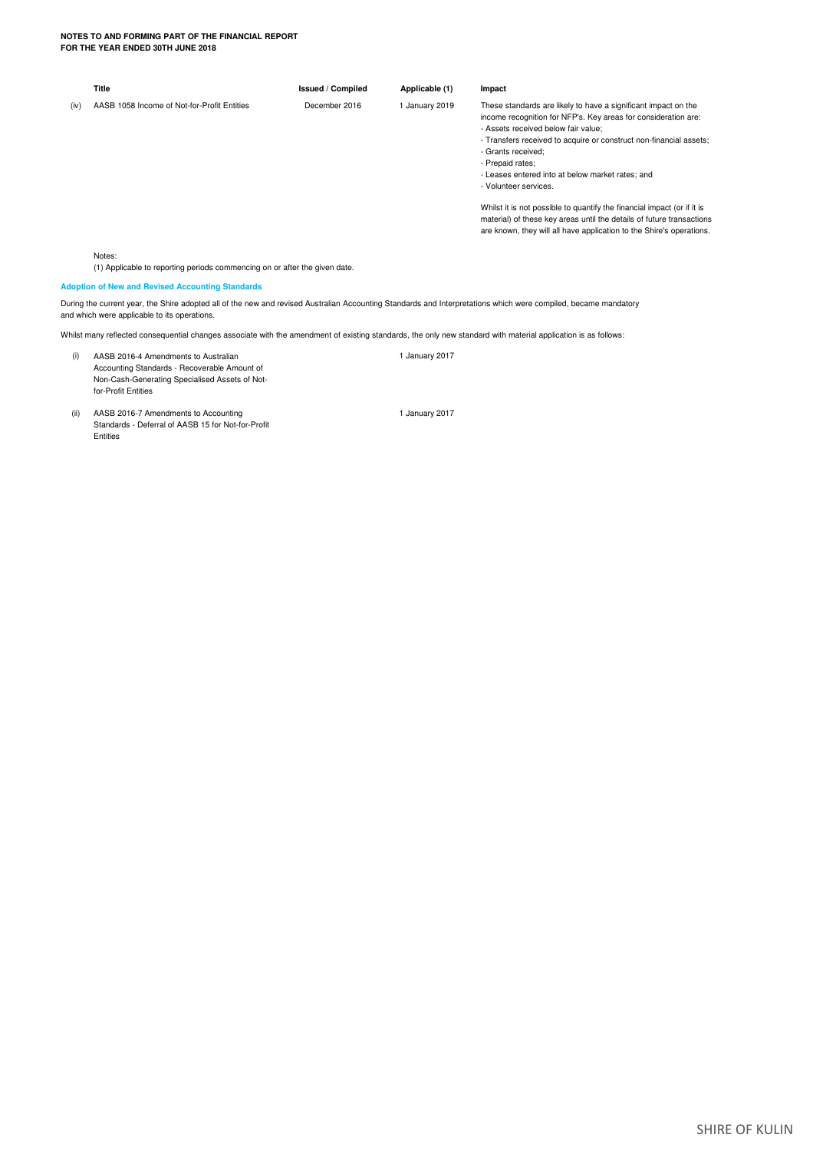|      | Title                                                                                | <b>Issued / Compiled</b> | Applicable (1) | Impact                                                                                                                                                                                                                                                                                                                                                                                                                                                                                                                                                                                           |
|------|--------------------------------------------------------------------------------------|--------------------------|----------------|--------------------------------------------------------------------------------------------------------------------------------------------------------------------------------------------------------------------------------------------------------------------------------------------------------------------------------------------------------------------------------------------------------------------------------------------------------------------------------------------------------------------------------------------------------------------------------------------------|
| (iv) | AASB 1058 Income of Not-for-Profit Entities                                          | December 2016            | 1 January 2019 | These standards are likely to have a significant impact on the<br>income recognition for NFP's. Key areas for consideration are:<br>- Assets received below fair value:<br>- Transfers received to acquire or construct non-financial assets;<br>- Grants received:<br>- Prepaid rates;<br>- Leases entered into at below market rates; and<br>- Volunteer services.<br>Whilst it is not possible to quantify the financial impact (or if it is<br>material) of these key areas until the details of future transactions<br>are known, they will all have application to the Shire's operations. |
|      | Notes:<br>(1) Applicable to reporting periods commencing on or after the given date. |                          |                |                                                                                                                                                                                                                                                                                                                                                                                                                                                                                                                                                                                                  |
|      | <b>Adoption of New and Revised Accounting Standards</b>                              |                          |                |                                                                                                                                                                                                                                                                                                                                                                                                                                                                                                                                                                                                  |

and which were applicable to its operations. During the current year, the Shire adopted all of the new and revised Australian Accounting Standards and Interpretations which were compiled, became mandatory

Whilst many reflected consequential changes associate with the amendment of existing standards, the only new standard with material application is as follows:

- (i) AASB 2016-4 Amendments to Australian 1 January 2017 Accounting Standards - Recoverable Amount of Non-Cash-Generating Specialised Assets of Notfor-Profit Entities
- (ii) AASB 2016-7 Amendments to Accounting 1 January 2017 Standards - Deferral of AASB 15 for Not-for-Profit **Entities**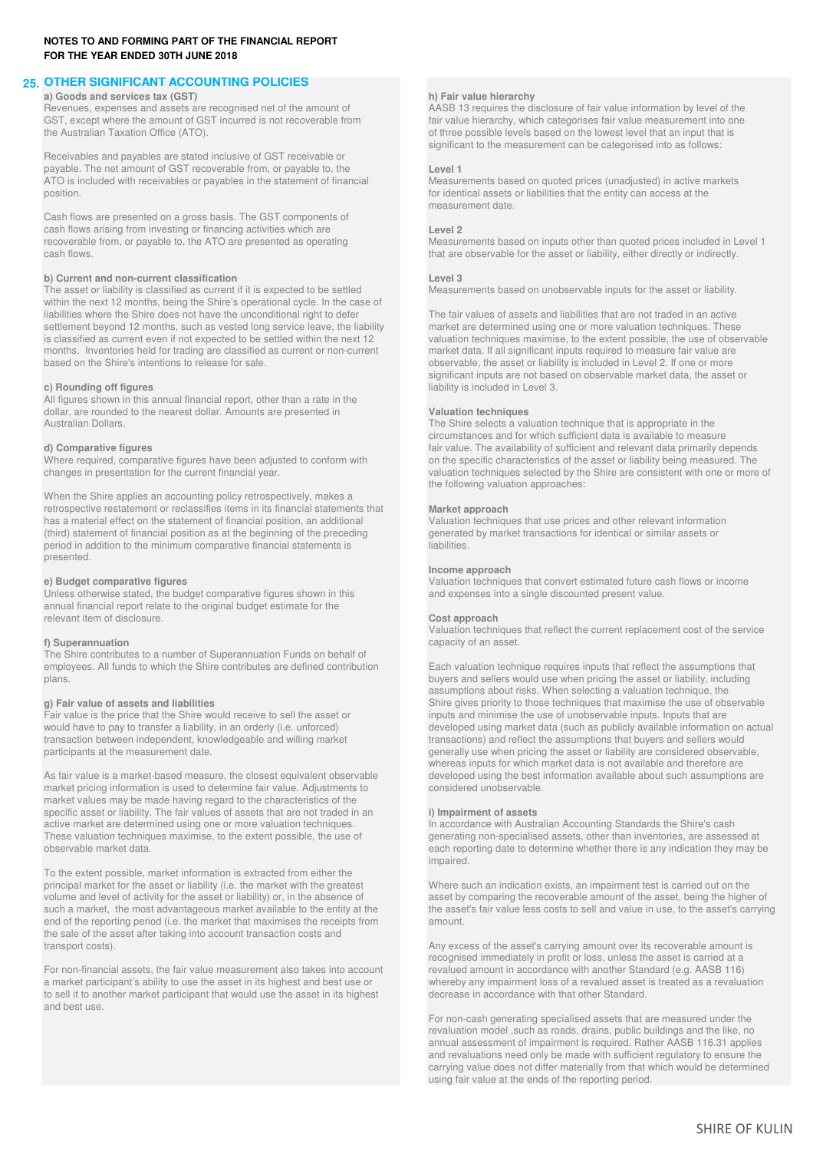### **25. OTHER SIGNIFICANT ACCOUNTING POLICIES**

**a) Goods and services tax (GST) h) Fair value hierarchy** Revenues, expenses and assets are recognised net of the amount of **AASB 13** requires the disclosure of fair value information by level of the GST, except where the amount of GST incurred is not recoverable from fair value the Australian Taxation Office (ATO).  $\blacksquare$  of three possible levels based on the lowest level that an input that is

Receivables and payables are stated inclusive of GST receivable or payable. The net amount of GST recoverable from, or payable to, the **Level 1 Level 1 Level 1 ATO** is included with receivables or payables in the statement of financial **Measurements based on quoted prices (unadjuste** ATO is included with receivables or payables in the statement of financial position.

Cash flows are presented on a gross basis. The GST components of cash flows arising from investing or financing activities which are **Level 2**<br> **Level 2**<br> **Level 2**<br> **Level 2** 

**b) Current and non-current classification**<br> **Figure 13** The asset or liability is classified as current if it is expected to be settled<br> **Measurements based on unobservable inputs for the asset or liability.** The asset or liability is classified as current if it is expected to be settled within the next 12 months, being the Shire's operational cycle. In the case of liabilities where the Shire does not have the unconditional right to defer<br>
settlement beyond 12 months, such as vested long service leave, the liability market are determined using one or more valuation techniques. These settlement beyond 12 months, such as vested long service leave, the liability is classified as current even if not expected to be settled within the next 12 months. Inventories held for trading are classified as current or non-current market data. If all significant inputs required to measure fair value are based on the Shire's intentions to release for sale.  $\blacksquare$  observable, the asset or liability is included in Level 2. If one or more

All figures shown in this annual financial report, other than a rate in the dollar, are rounded to the nearest dollar. Amounts are presented in **Valuation techniques** Australian Dollars. The Shire selects a valuation technique that is appropriate in the

When the Shire applies an accounting policy retrospectively, makes a retrospective restatement or reclassifies items in its financial statements that **Market approach** (third) statement of financial position as at the beginning of the preceding generated by market transactions for identical or similar assets or period in addition to the minimum comparative financial statements is period in addition to the minimum comparative financial statements is presented.

Unless otherwise stated, the budget comparative figures shown in this annual financial report relate to the original budget estimate for the relevant item of disclosure. **Cost approach**

The Shire contributes to a number of Superannuation Funds on behalf of employees. All funds to which the Shire contributes are defined contribution Each valuation technique requires inputs that reflect the assumptions that plans. buyers and sellers would use when pricing the asset or liability, including

market pricing information is used to determine fair value. Adjustments to market values may be made having regard to the characteristics of the specific asset or liability. The fair values of assets that are not traded in an **i) Impairment of assets** active market are determined using one or more valuation techniques. In accordance with Australian Accounting Standards the Shire's cash These valuation techniques maximise, to the extent possible, the use of generating non-specialised assets, other than inventories, are assessed at observable market data to determine whether there is any indication they ma

To the extent possible, market information is extracted from either the principal market for the asset or liability (i.e. the market with the greatest Where such an indication exists, an impairment test is carried out on the volume and level of activity for the asset or liability) or, in the a end of the reporting period (i.e. the market that maximises the receipts from amount. the sale of the asset after taking into account transaction costs and

For non-financial assets, the fair value measurement also takes into account a market participant's ability to use the asset in its highest and best use or to sell it to another market participant that would use the asset in its highest and best use.

fair value hierarchy, which categorises fair value measurement into one significant to the measurement can be categorised into as follows:

for identical assets or liabilities that the entity can access at the measurement date.

recoverable from, or payable to, the ATO are presented as operating Measurements based on inputs other than quoted prices included in Level 1<br>
that are observable for the asset or liability either directly or indirectly that are observable for the asset or liability, either directly or indirectly.

valuation techniques maximise, to the extent possible, the use of observable significant inputs are not based on observable market data, the asset or **c) Rounding off figures liability is included in Level 3. liability is included in Level 3.** 

circumstances and for which sufficient data is available to measure **d) Comparative figures distinct figures** fair value. The availability of sufficient and relevant data primarily depends on the specific characteristics of the asset or liability being measured. The Where required, compa Where required, comparative figures have been adjusted to conform with on the specific characteristics of the asset or liability being measured. The changes in presentation for the current financial year. valuation techniques selected by the Shire are consistent with one or more of the following valuation approaches:

Valuation techniques that use prices and other relevant information

### **Income approach**

**e) Budget comparative figures e** Valuation techniques that convert estimated future cash flows or income Unless otherwise stated, the budget comparative figures shown in this Unless otherwise stated, the budget comparat

Valuation techniques that reflect the current replacement cost of the service **f) Superannuation** capacity of an asset.

assumptions about risks. When selecting a valuation technique, the **g) Fair value of assets and liabilities** Shire gives priority to those techniques that maximise the use of observable Fair value is the price that the Shire would receive to sell the asset or inputs and minimise the use of unobservable inputs. Inputs that are would have to pay to transfer a liability, in an orderly (i.e. unforced) developed using market data (such as publicly available information on actual transactions) and reflect the assumptions that buyers and sellers would transactions) and reflect the assumptions that buyers and sellers would participants at the measurement date. The measurement date asset or liability are considered observable, whereas inputs for which market data is not available and therefore are As fair value is a market-based measure, the closest equivalent observable developed using the best information available about such assumptions are market pricing information is used to determine fair value. Adiustments t

each reporting date to determine whether there is any indication they may be impaired.

asset by comparing the recoverable amount of the asset, being the higher of such a market, the most advantageous market available to the entity at the the asset's fair value less costs to sell and value in use, to the asset's carrying

transport costs). Any excess of the asset's carrying amount over its recoverable amount is recognised immediately in profit or loss, unless the asset is carried at a revalued amount in accordance with another Standard (e.g. AASB 116) whereby any impairment loss of a revalued asset is treated as a revaluation decrease in accordance with that other Standard.

> For non-cash generating specialised assets that are measured under the revaluation model ,such as roads, drains, public buildings and the like, no annual assessment of impairment is required. Rather AASB 116.31 applies and revaluations need only be made with sufficient regulatory to ensure the carrying value does not differ materially from that which would be determined using fair value at the ends of the reporting period.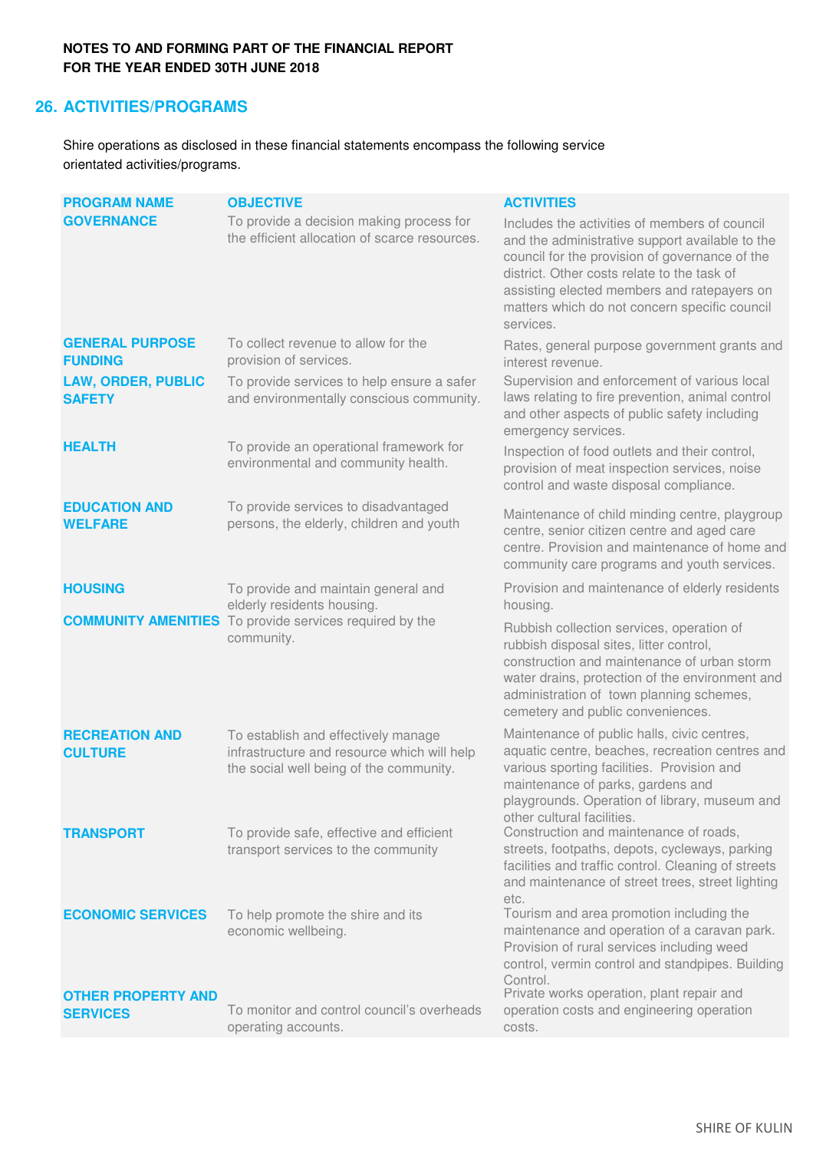# **26. ACTIVITIES/PROGRAMS**

Shire operations as disclosed in these financial statements encompass the following service orientated activities/programs.

| <b>PROGRAM NAME</b>                          | <b>OBJECTIVE</b>                                                                                                              | <b>ACTIVITIES</b>                                                                                                                                                                                                                                                                                              |
|----------------------------------------------|-------------------------------------------------------------------------------------------------------------------------------|----------------------------------------------------------------------------------------------------------------------------------------------------------------------------------------------------------------------------------------------------------------------------------------------------------------|
| <b>GOVERNANCE</b>                            | To provide a decision making process for<br>the efficient allocation of scarce resources.                                     | Includes the activities of members of council<br>and the administrative support available to the<br>council for the provision of governance of the<br>district. Other costs relate to the task of<br>assisting elected members and ratepayers on<br>matters which do not concern specific council<br>services. |
| <b>GENERAL PURPOSE</b><br><b>FUNDING</b>     | To collect revenue to allow for the<br>provision of services.                                                                 | Rates, general purpose government grants and<br>interest revenue.                                                                                                                                                                                                                                              |
| <b>LAW, ORDER, PUBLIC</b><br><b>SAFETY</b>   | To provide services to help ensure a safer<br>and environmentally conscious community.                                        | Supervision and enforcement of various local<br>laws relating to fire prevention, animal control<br>and other aspects of public safety including<br>emergency services.                                                                                                                                        |
| <b>HEALTH</b>                                | To provide an operational framework for<br>environmental and community health.                                                | Inspection of food outlets and their control,<br>provision of meat inspection services, noise<br>control and waste disposal compliance.                                                                                                                                                                        |
| <b>EDUCATION AND</b><br><b>WELFARE</b>       | To provide services to disadvantaged<br>persons, the elderly, children and youth                                              | Maintenance of child minding centre, playgroup<br>centre, senior citizen centre and aged care<br>centre. Provision and maintenance of home and<br>community care programs and youth services.                                                                                                                  |
| <b>HOUSING</b>                               | To provide and maintain general and<br>elderly residents housing.                                                             | Provision and maintenance of elderly residents<br>housing.                                                                                                                                                                                                                                                     |
|                                              | <b>COMMUNITY AMENITIES</b> To provide services required by the<br>community.                                                  | Rubbish collection services, operation of<br>rubbish disposal sites, litter control,<br>construction and maintenance of urban storm<br>water drains, protection of the environment and<br>administration of town planning schemes,<br>cemetery and public conveniences.                                        |
| <b>RECREATION AND</b><br><b>CULTURE</b>      | To establish and effectively manage<br>infrastructure and resource which will help<br>the social well being of the community. | Maintenance of public halls, civic centres,<br>aquatic centre, beaches, recreation centres and<br>various sporting facilities. Provision and<br>maintenance of parks, gardens and<br>playgrounds. Operation of library, museum and<br>other cultural facilities.                                               |
| <b>TRANSPORT</b>                             | To provide safe, effective and efficient<br>transport services to the community                                               | Construction and maintenance of roads,<br>streets, footpaths, depots, cycleways, parking<br>facilities and traffic control. Cleaning of streets<br>and maintenance of street trees, street lighting<br>etc.                                                                                                    |
| <b>ECONOMIC SERVICES</b>                     | To help promote the shire and its<br>economic wellbeing.                                                                      | Tourism and area promotion including the<br>maintenance and operation of a caravan park.<br>Provision of rural services including weed<br>control, vermin control and standpipes. Building<br>Control.<br>Private works operation, plant repair and                                                            |
| <b>OTHER PROPERTY AND</b><br><b>SERVICES</b> | To monitor and control council's overheads<br>operating accounts.                                                             | operation costs and engineering operation<br>costs.                                                                                                                                                                                                                                                            |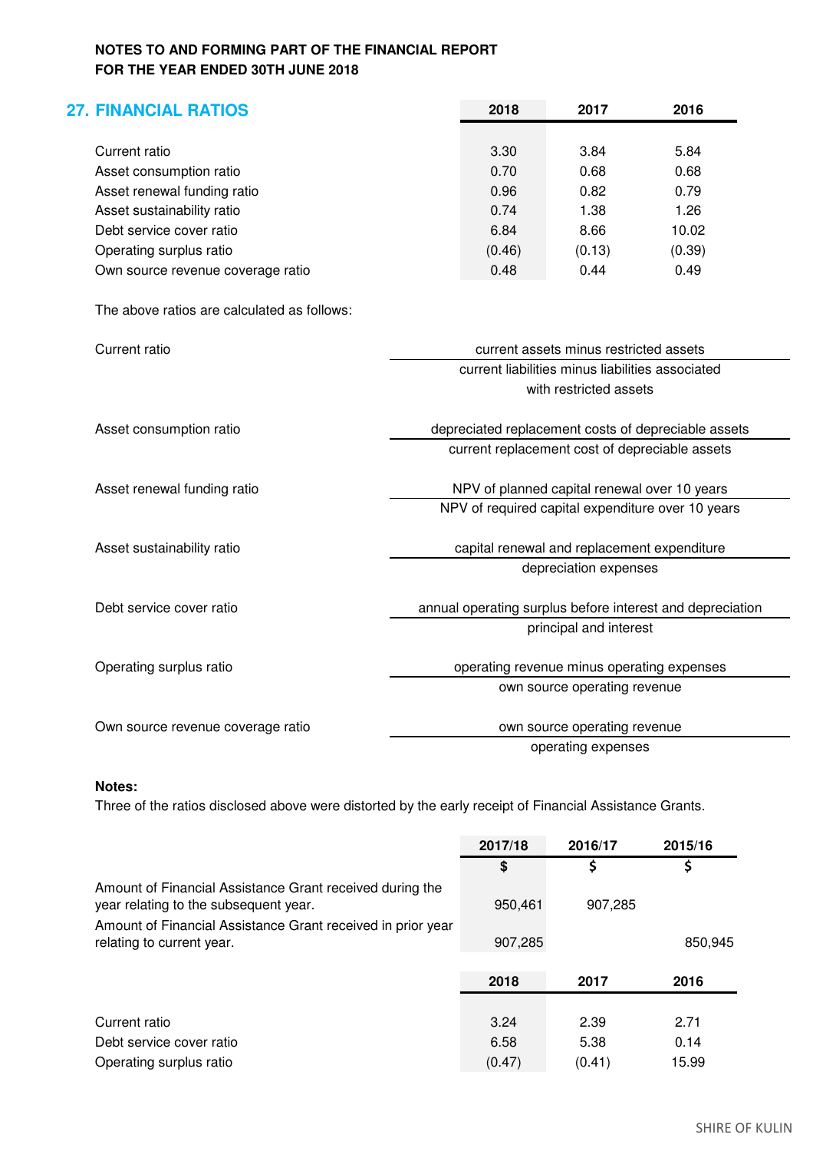| <b>27. FINANCIAL RATIOS</b>                 |                                        | 2018                                                | 2017                                             | 2016                                                      |  |
|---------------------------------------------|----------------------------------------|-----------------------------------------------------|--------------------------------------------------|-----------------------------------------------------------|--|
| <b>Current ratio</b>                        |                                        | 3.30                                                | 3.84                                             | 5.84                                                      |  |
| Asset consumption ratio                     |                                        | 0.70                                                | 0.68                                             | 0.68                                                      |  |
| Asset renewal funding ratio                 |                                        | 0.96                                                | 0.82                                             | 0.79                                                      |  |
| Asset sustainability ratio                  |                                        | 0.74                                                | 1.38                                             | 1.26                                                      |  |
| Debt service cover ratio                    |                                        | 6.84                                                | 8.66                                             | 10.02                                                     |  |
| Operating surplus ratio                     |                                        | (0.46)                                              | (0.13)                                           | (0.39)                                                    |  |
| Own source revenue coverage ratio           |                                        | 0.48                                                | 0.44                                             | 0.49                                                      |  |
| The above ratios are calculated as follows: |                                        |                                                     |                                                  |                                                           |  |
| <b>Current ratio</b>                        | current assets minus restricted assets |                                                     |                                                  |                                                           |  |
|                                             |                                        |                                                     | current liabilities minus liabilities associated |                                                           |  |
|                                             |                                        | with restricted assets                              |                                                  |                                                           |  |
| Asset consumption ratio                     |                                        | depreciated replacement costs of depreciable assets |                                                  |                                                           |  |
|                                             |                                        |                                                     |                                                  | current replacement cost of depreciable assets            |  |
| Asset renewal funding ratio                 |                                        |                                                     | NPV of planned capital renewal over 10 years     |                                                           |  |
|                                             |                                        |                                                     |                                                  | NPV of required capital expenditure over 10 years         |  |
| Asset sustainability ratio                  |                                        |                                                     | capital renewal and replacement expenditure      |                                                           |  |
|                                             |                                        |                                                     | depreciation expenses                            |                                                           |  |
| Debt service cover ratio                    |                                        |                                                     |                                                  | annual operating surplus before interest and depreciation |  |
|                                             |                                        |                                                     | principal and interest                           |                                                           |  |
|                                             |                                        |                                                     |                                                  |                                                           |  |
| Operating surplus ratio                     |                                        |                                                     | operating revenue minus operating expenses       |                                                           |  |
|                                             |                                        |                                                     | own source operating revenue                     |                                                           |  |
| Own source revenue coverage ratio           |                                        |                                                     | own source operating revenue                     |                                                           |  |
|                                             |                                        |                                                     | operating expenses                               |                                                           |  |
|                                             |                                        |                                                     |                                                  |                                                           |  |

# **Notes:**

Three of the ratios disclosed above were distorted by the early receipt of Financial Assistance Grants.

|                                                                                                   | 2017/18 | 2016/17 | 2015/16 |
|---------------------------------------------------------------------------------------------------|---------|---------|---------|
|                                                                                                   | \$      | \$      | \$      |
| Amount of Financial Assistance Grant received during the<br>year relating to the subsequent year. | 950,461 | 907,285 |         |
| Amount of Financial Assistance Grant received in prior year                                       |         |         |         |
| relating to current year.                                                                         | 907,285 |         | 850,945 |
|                                                                                                   | 2018    | 2017    | 2016    |
|                                                                                                   |         |         |         |
| Current ratio                                                                                     | 3.24    | 2.39    | 2.71    |
| Debt service cover ratio                                                                          | 6.58    | 5.38    | 0.14    |
| Operating surplus ratio                                                                           | (0.47)  | (0.41)  | 15.99   |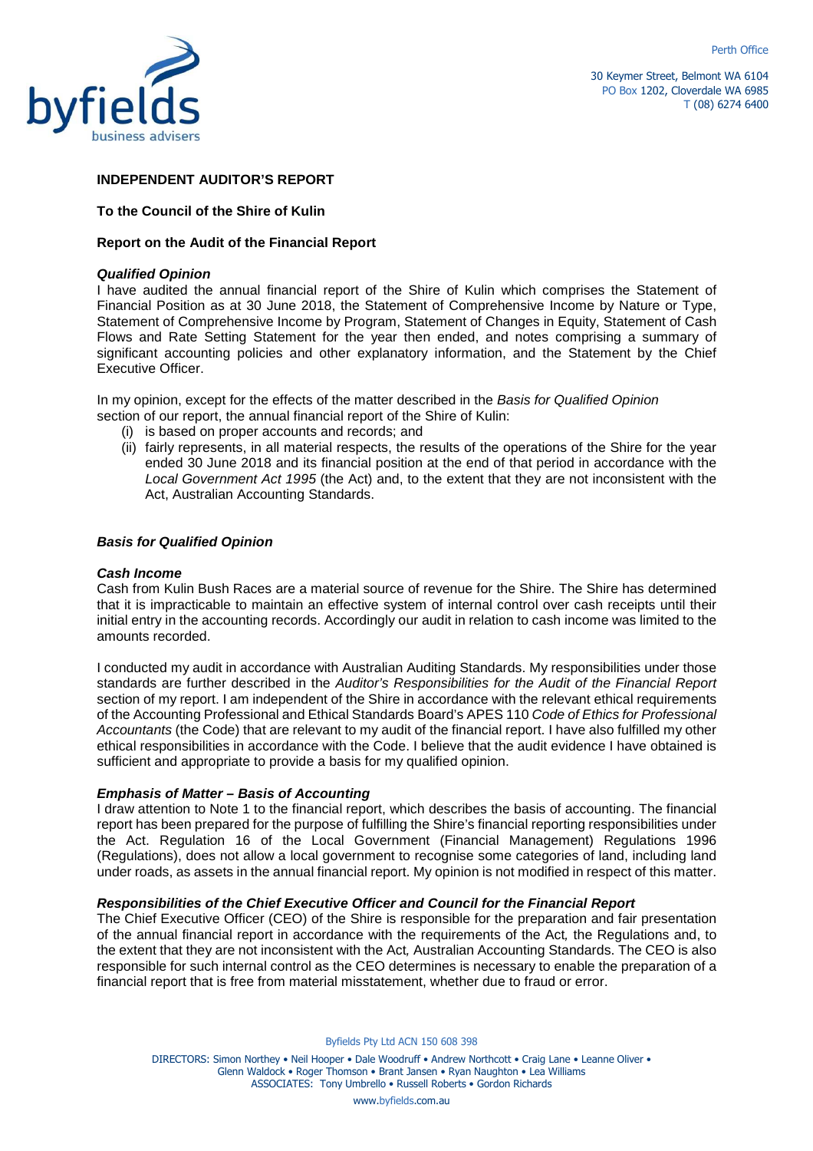



30 Keymer Street, Belmont WA 6104 PO Box 1202, Cloverdale WA 6985 T (08) 6274 6400

### **INDEPENDENT AUDITOR'S REPORT**

### **To the Council of the Shire of Kulin**

### **Report on the Audit of the Financial Report**

### **Qualified Opinion**

I have audited the annual financial report of the Shire of Kulin which comprises the Statement of Financial Position as at 30 June 2018, the Statement of Comprehensive Income by Nature or Type, Statement of Comprehensive Income by Program, Statement of Changes in Equity, Statement of Cash Flows and Rate Setting Statement for the year then ended, and notes comprising a summary of significant accounting policies and other explanatory information, and the Statement by the Chief Executive Officer.

In my opinion, except for the effects of the matter described in the Basis for Qualified Opinion section of our report, the annual financial report of the Shire of Kulin:

- (i) is based on proper accounts and records; and
- (ii) fairly represents, in all material respects, the results of the operations of the Shire for the year ended 30 June 2018 and its financial position at the end of that period in accordance with the Local Government Act 1995 (the Act) and, to the extent that they are not inconsistent with the Act, Australian Accounting Standards.

### **Basis for Qualified Opinion**

### **Cash Income**

Cash from Kulin Bush Races are a material source of revenue for the Shire. The Shire has determined that it is impracticable to maintain an effective system of internal control over cash receipts until their initial entry in the accounting records. Accordingly our audit in relation to cash income was limited to the amounts recorded.

I conducted my audit in accordance with Australian Auditing Standards. My responsibilities under those standards are further described in the Auditor's Responsibilities for the Audit of the Financial Report section of my report. I am independent of the Shire in accordance with the relevant ethical requirements of the Accounting Professional and Ethical Standards Board's APES 110 Code of Ethics for Professional Accountants (the Code) that are relevant to my audit of the financial report. I have also fulfilled my other ethical responsibilities in accordance with the Code. I believe that the audit evidence I have obtained is sufficient and appropriate to provide a basis for my qualified opinion.

### **Emphasis of Matter – Basis of Accounting**

I draw attention to Note 1 to the financial report, which describes the basis of accounting. The financial report has been prepared for the purpose of fulfilling the Shire's financial reporting responsibilities under the Act. Regulation 16 of the Local Government (Financial Management) Regulations 1996 (Regulations), does not allow a local government to recognise some categories of land, including land under roads, as assets in the annual financial report. My opinion is not modified in respect of this matter.

### **Responsibilities of the Chief Executive Officer and Council for the Financial Report**

The Chief Executive Officer (CEO) of the Shire is responsible for the preparation and fair presentation of the annual financial report in accordance with the requirements of the Act, the Regulations and, to the extent that they are not inconsistent with the Act, Australian Accounting Standards. The CEO is also responsible for such internal control as the CEO determines is necessary to enable the preparation of a financial report that is free from material misstatement, whether due to fraud or error.

Byfields Pty Ltd ACN 150 608 398

DIRECTORS: Simon Northey • Neil Hooper • Dale Woodruff • Andrew Northcott • Craig Lane • Leanne Oliver • Glenn Waldock • Roger Thomson • Brant Jansen • Ryan Naughton • Lea Williams ASSOCIATES: Tony Umbrello • Russell Roberts • Gordon Richards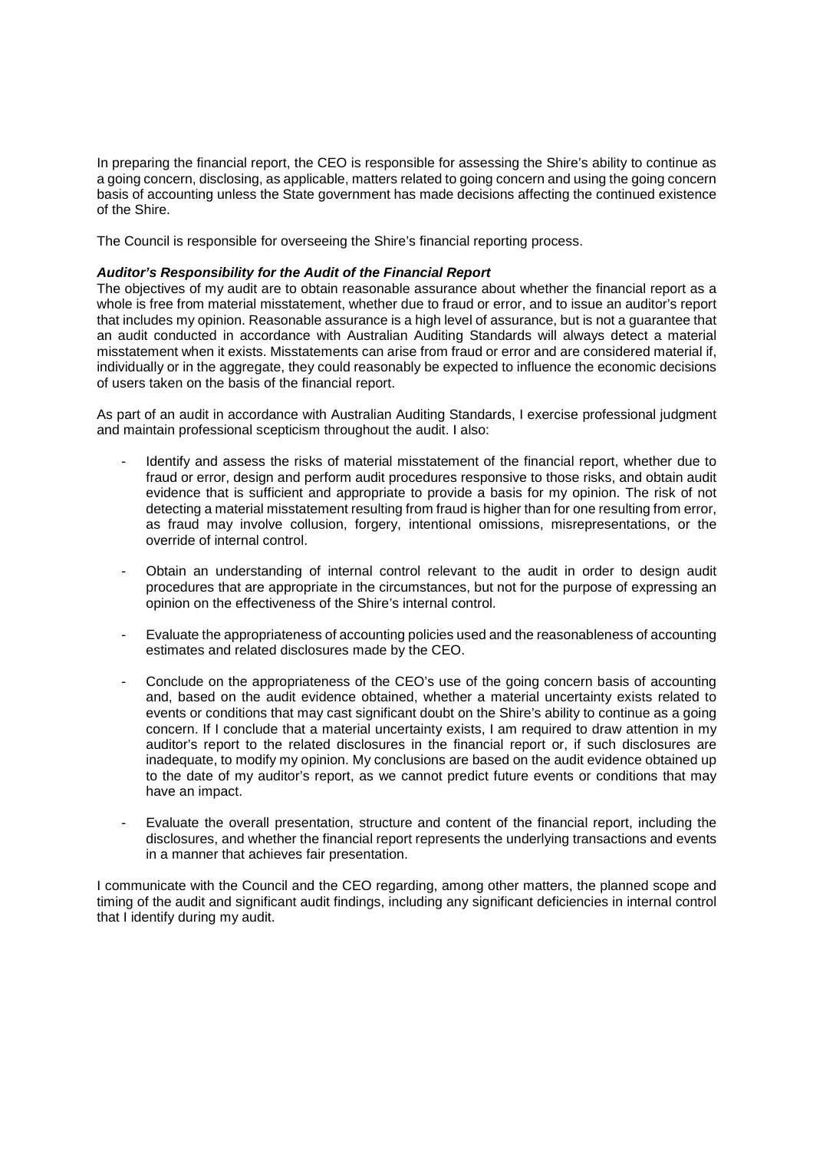In preparing the financial report, the CEO is responsible for assessing the Shire's ability to continue as a going concern, disclosing, as applicable, matters related to going concern and using the going concern basis of accounting unless the State government has made decisions affecting the continued existence of the Shire.

The Council is responsible for overseeing the Shire's financial reporting process.

### **Auditor's Responsibility for the Audit of the Financial Report**

The objectives of my audit are to obtain reasonable assurance about whether the financial report as a whole is free from material misstatement, whether due to fraud or error, and to issue an auditor's report that includes my opinion. Reasonable assurance is a high level of assurance, but is not a guarantee that an audit conducted in accordance with Australian Auditing Standards will always detect a material misstatement when it exists. Misstatements can arise from fraud or error and are considered material if, individually or in the aggregate, they could reasonably be expected to influence the economic decisions of users taken on the basis of the financial report.

As part of an audit in accordance with Australian Auditing Standards, I exercise professional judgment and maintain professional scepticism throughout the audit. I also:

- Identify and assess the risks of material misstatement of the financial report, whether due to fraud or error, design and perform audit procedures responsive to those risks, and obtain audit evidence that is sufficient and appropriate to provide a basis for my opinion. The risk of not detecting a material misstatement resulting from fraud is higher than for one resulting from error, as fraud may involve collusion, forgery, intentional omissions, misrepresentations, or the override of internal control.
- Obtain an understanding of internal control relevant to the audit in order to design audit procedures that are appropriate in the circumstances, but not for the purpose of expressing an opinion on the effectiveness of the Shire's internal control.
- Evaluate the appropriateness of accounting policies used and the reasonableness of accounting estimates and related disclosures made by the CEO.
- Conclude on the appropriateness of the CEO's use of the going concern basis of accounting and, based on the audit evidence obtained, whether a material uncertainty exists related to events or conditions that may cast significant doubt on the Shire's ability to continue as a going concern. If I conclude that a material uncertainty exists, I am required to draw attention in my auditor's report to the related disclosures in the financial report or, if such disclosures are inadequate, to modify my opinion. My conclusions are based on the audit evidence obtained up to the date of my auditor's report, as we cannot predict future events or conditions that may have an impact.
- Evaluate the overall presentation, structure and content of the financial report, including the disclosures, and whether the financial report represents the underlying transactions and events in a manner that achieves fair presentation.

I communicate with the Council and the CEO regarding, among other matters, the planned scope and timing of the audit and significant audit findings, including any significant deficiencies in internal control that I identify during my audit.